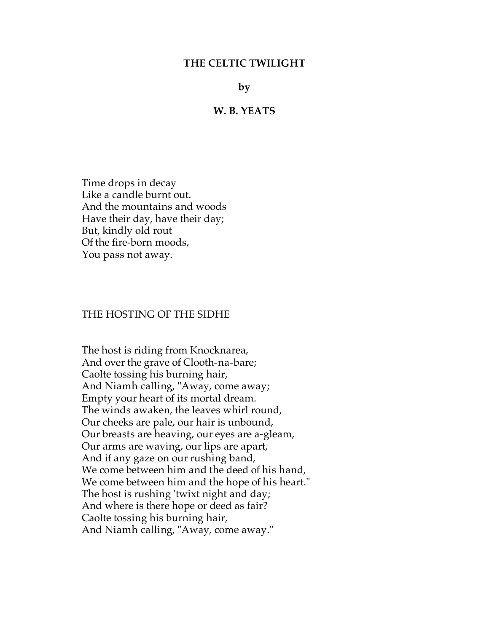### **THE CELTIC TWILIGHT**

**by**

#### **W. B. YEATS**

 Time drops in decay Like a candle burnt out. And the mountains and woods Have their day, have their day; But, kindly old rout Of the fire-born moods, You pass not away.

#### THE HOSTING OF THE SIDHE

 The host is riding from Knocknarea, And over the grave of Clooth-na-bare; Caolte tossing his burning hair, And Niamh calling, "Away, come away; Empty your heart of its mortal dream. The winds awaken, the leaves whirl round, Our cheeks are pale, our hair is unbound, Our breasts are heaving, our eyes are a-gleam, Our arms are waving, our lips are apart, And if any gaze on our rushing band, We come between him and the deed of his hand, We come between him and the hope of his heart." The host is rushing 'twixt night and day; And where is there hope or deed as fair? Caolte tossing his burning hair, And Niamh calling, "Away, come away."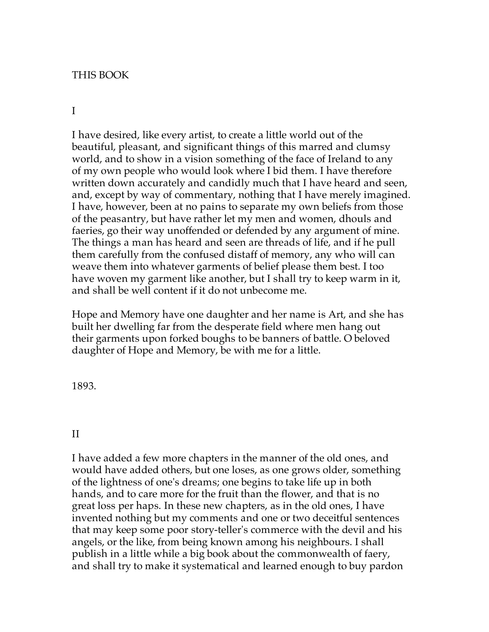### THIS BOOK

# I

I have desired, like every artist, to create a little world out of the beautiful, pleasant, and significant things of this marred and clumsy world, and to show in a vision something of the face of Ireland to any of my own people who would look where I bid them. I have therefore written down accurately and candidly much that I have heard and seen, and, except by way of commentary, nothing that I have merely imagined. I have, however, been at no pains to separate my own beliefs from those of the peasantry, but have rather let my men and women, dhouls and faeries, go their way unoffended or defended by any argument of mine. The things a man has heard and seen are threads of life, and if he pull them carefully from the confused distaff of memory, any who will can weave them into whatever garments of belief please them best. I too have woven my garment like another, but I shall try to keep warm in it, and shall be well content if it do not unbecome me.

Hope and Memory have one daughter and her name is Art, and she has built her dwelling far from the desperate field where men hang out their garments upon forked boughs to be banners of battle. O beloved daughter of Hope and Memory, be with me for a little.

1893.

### II

I have added a few more chapters in the manner of the old ones, and would have added others, but one loses, as one grows older, something of the lightness of one's dreams; one begins to take life up in both hands, and to care more for the fruit than the flower, and that is no great loss per haps. In these new chapters, as in the old ones, I have invented nothing but my comments and one or two deceitful sentences that may keep some poor story-teller's commerce with the devil and his angels, or the like, from being known among his neighbours. I shall publish in a little while a big book about the commonwealth of faery, and shall try to make it systematical and learned enough to buy pardon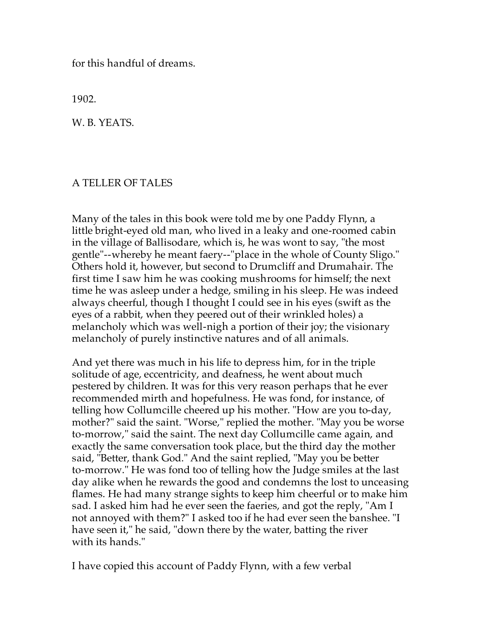for this handful of dreams.

1902.

W. B. YEATS.

### A TELLER OF TALES

Many of the tales in this book were told me by one Paddy Flynn, a little bright-eyed old man, who lived in a leaky and one-roomed cabin in the village of Ballisodare, which is, he was wont to say, "the most gentle"--whereby he meant faery--"place in the whole of County Sligo." Others hold it, however, but second to Drumcliff and Drumahair. The first time I saw him he was cooking mushrooms for himself; the next time he was asleep under a hedge, smiling in his sleep. He was indeed always cheerful, though I thought I could see in his eyes (swift as the eyes of a rabbit, when they peered out of their wrinkled holes) a melancholy which was well-nigh a portion of their joy; the visionary melancholy of purely instinctive natures and of all animals.

And yet there was much in his life to depress him, for in the triple solitude of age, eccentricity, and deafness, he went about much pestered by children. It was for this very reason perhaps that he ever recommended mirth and hopefulness. He was fond, for instance, of telling how Collumcille cheered up his mother. "How are you to-day, mother?" said the saint. "Worse," replied the mother. "May you be worse to-morrow," said the saint. The next day Collumcille came again, and exactly the same conversation took place, but the third day the mother said, "Better, thank God." And the saint replied, "May you be better to-morrow." He was fond too of telling how the Judge smiles at the last day alike when he rewards the good and condemns the lost to unceasing flames. He had many strange sights to keep him cheerful or to make him sad. I asked him had he ever seen the faeries, and got the reply, "Am I not annoyed with them?" I asked too if he had ever seen the banshee. "I have seen it," he said, "down there by the water, batting the river with its hands."

I have copied this account of Paddy Flynn, with a few verbal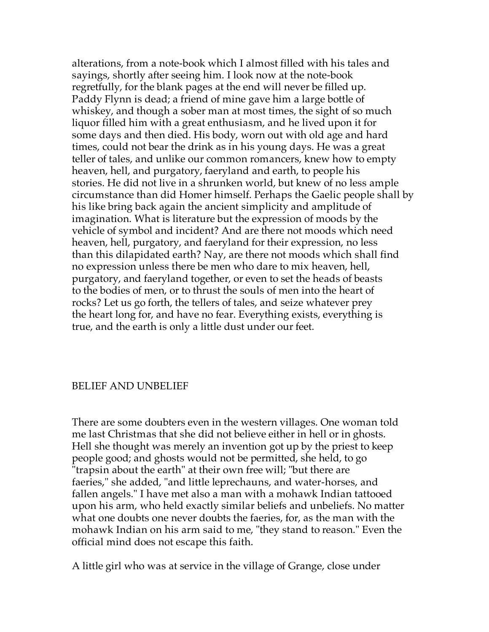alterations, from a note-book which I almost filled with his tales and sayings, shortly after seeing him. I look now at the note-book regretfully, for the blank pages at the end will never be filled up. Paddy Flynn is dead; a friend of mine gave him a large bottle of whiskey, and though a sober man at most times, the sight of so much liquor filled him with a great enthusiasm, and he lived upon it for some days and then died. His body, worn out with old age and hard times, could not bear the drink as in his young days. He was a great teller of tales, and unlike our common romancers, knew how to empty heaven, hell, and purgatory, faeryland and earth, to people his stories. He did not live in a shrunken world, but knew of no less ample circumstance than did Homer himself. Perhaps the Gaelic people shall by his like bring back again the ancient simplicity and amplitude of imagination. What is literature but the expression of moods by the vehicle of symbol and incident? And are there not moods which need heaven, hell, purgatory, and faeryland for their expression, no less than this dilapidated earth? Nay, are there not moods which shall find no expression unless there be men who dare to mix heaven, hell, purgatory, and faeryland together, or even to set the heads of beasts to the bodies of men, or to thrust the souls of men into the heart of rocks? Let us go forth, the tellers of tales, and seize whatever prey the heart long for, and have no fear. Everything exists, everything is true, and the earth is only a little dust under our feet.

### BELIEF AND UNBELIEF

There are some doubters even in the western villages. One woman told me last Christmas that she did not believe either in hell or in ghosts. Hell she thought was merely an invention got up by the priest to keep people good; and ghosts would not be permitted, she held, to go "trapsin about the earth" at their own free will; "but there are faeries," she added, "and little leprechauns, and water-horses, and fallen angels." I have met also a man with a mohawk Indian tattooed upon his arm, who held exactly similar beliefs and unbeliefs. No matter what one doubts one never doubts the faeries, for, as the man with the mohawk Indian on his arm said to me, "they stand to reason." Even the official mind does not escape this faith.

A little girl who was at service in the village of Grange, close under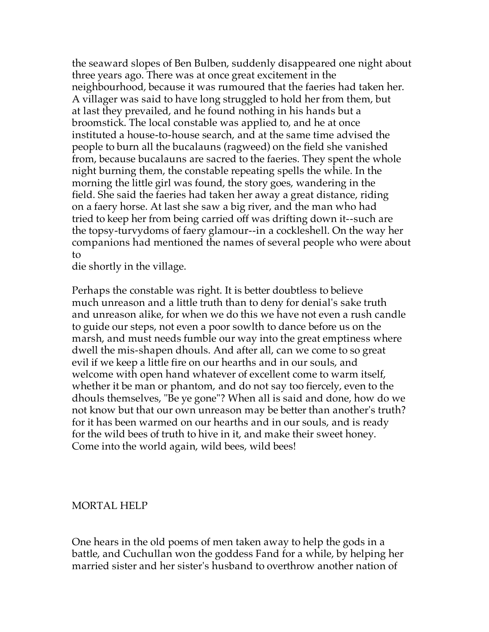the seaward slopes of Ben Bulben, suddenly disappeared one night about three years ago. There was at once great excitement in the neighbourhood, because it was rumoured that the faeries had taken her. A villager was said to have long struggled to hold her from them, but at last they prevailed, and he found nothing in his hands but a broomstick. The local constable was applied to, and he at once instituted a house-to-house search, and at the same time advised the people to burn all the bucalauns (ragweed) on the field she vanished from, because bucalauns are sacred to the faeries. They spent the whole night burning them, the constable repeating spells the while. In the morning the little girl was found, the story goes, wandering in the field. She said the faeries had taken her away a great distance, riding on a faery horse. At last she saw a big river, and the man who had tried to keep her from being carried off was drifting down it--such are the topsy-turvydoms of faery glamour--in a cockleshell. On the way her companions had mentioned the names of several people who were about to

die shortly in the village.

Perhaps the constable was right. It is better doubtless to believe much unreason and a little truth than to deny for denial's sake truth and unreason alike, for when we do this we have not even a rush candle to guide our steps, not even a poor sowlth to dance before us on the marsh, and must needs fumble our way into the great emptiness where dwell the mis-shapen dhouls. And after all, can we come to so great evil if we keep a little fire on our hearths and in our souls, and welcome with open hand whatever of excellent come to warm itself, whether it be man or phantom, and do not say too fiercely, even to the dhouls themselves, "Be ye gone"? When all is said and done, how do we not know but that our own unreason may be better than another's truth? for it has been warmed on our hearths and in our souls, and is ready for the wild bees of truth to hive in it, and make their sweet honey. Come into the world again, wild bees, wild bees!

### MORTAL HELP

One hears in the old poems of men taken away to help the gods in a battle, and Cuchullan won the goddess Fand for a while, by helping her married sister and her sister's husband to overthrow another nation of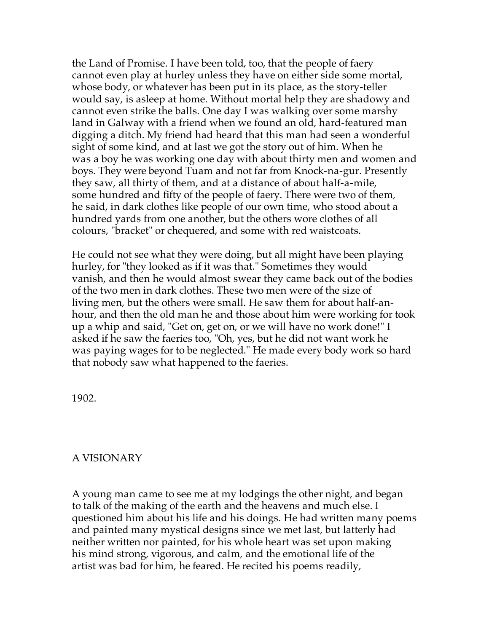the Land of Promise. I have been told, too, that the people of faery cannot even play at hurley unless they have on either side some mortal, whose body, or whatever has been put in its place, as the story-teller would say, is asleep at home. Without mortal help they are shadowy and cannot even strike the balls. One day I was walking over some marshy land in Galway with a friend when we found an old, hard-featured man digging a ditch. My friend had heard that this man had seen a wonderful sight of some kind, and at last we got the story out of him. When he was a boy he was working one day with about thirty men and women and boys. They were beyond Tuam and not far from Knock-na-gur. Presently they saw, all thirty of them, and at a distance of about half-a-mile, some hundred and fifty of the people of faery. There were two of them, he said, in dark clothes like people of our own time, who stood about a hundred yards from one another, but the others wore clothes of all colours, "bracket" or chequered, and some with red waistcoats.

He could not see what they were doing, but all might have been playing hurley, for "they looked as if it was that." Sometimes they would vanish, and then he would almost swear they came back out of the bodies of the two men in dark clothes. These two men were of the size of living men, but the others were small. He saw them for about half-anhour, and then the old man he and those about him were working for took up a whip and said, "Get on, get on, or we will have no work done!" I asked if he saw the faeries too, "Oh, yes, but he did not want work he was paying wages for to be neglected." He made every body work so hard that nobody saw what happened to the faeries.

1902.

# A VISIONARY

A young man came to see me at my lodgings the other night, and began to talk of the making of the earth and the heavens and much else. I questioned him about his life and his doings. He had written many poems and painted many mystical designs since we met last, but latterly had neither written nor painted, for his whole heart was set upon making his mind strong, vigorous, and calm, and the emotional life of the artist was bad for him, he feared. He recited his poems readily,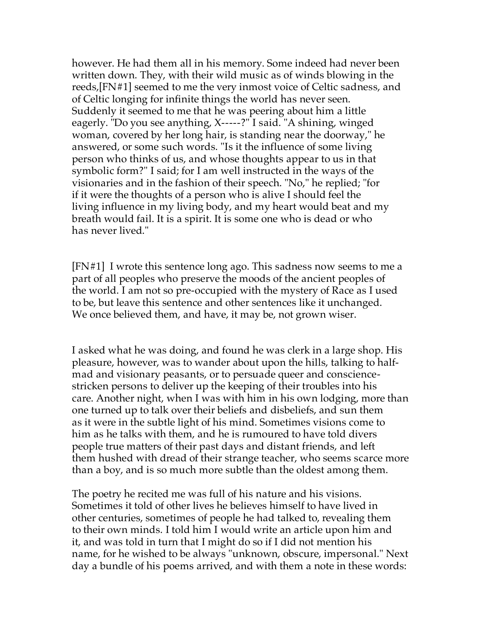however. He had them all in his memory. Some indeed had never been written down. They, with their wild music as of winds blowing in the reeds,[FN#1] seemed to me the very inmost voice of Celtic sadness, and of Celtic longing for infinite things the world has never seen. Suddenly it seemed to me that he was peering about him a little eagerly. "Do you see anything, X-----?" I said. "A shining, winged woman, covered by her long hair, is standing near the doorway," he answered, or some such words. "Is it the influence of some living person who thinks of us, and whose thoughts appear to us in that symbolic form?" I said; for I am well instructed in the ways of the visionaries and in the fashion of their speech. "No," he replied; "for if it were the thoughts of a person who is alive I should feel the living influence in my living body, and my heart would beat and my breath would fail. It is a spirit. It is some one who is dead or who has never lived."

[FN#1] I wrote this sentence long ago. This sadness now seems to me a part of all peoples who preserve the moods of the ancient peoples of the world. I am not so pre-occupied with the mystery of Race as I used to be, but leave this sentence and other sentences like it unchanged. We once believed them, and have, it may be, not grown wiser.

I asked what he was doing, and found he was clerk in a large shop. His pleasure, however, was to wander about upon the hills, talking to halfmad and visionary peasants, or to persuade queer and consciencestricken persons to deliver up the keeping of their troubles into his care. Another night, when I was with him in his own lodging, more than one turned up to talk over their beliefs and disbeliefs, and sun them as it were in the subtle light of his mind. Sometimes visions come to him as he talks with them, and he is rumoured to have told divers people true matters of their past days and distant friends, and left them hushed with dread of their strange teacher, who seems scarce more than a boy, and is so much more subtle than the oldest among them.

The poetry he recited me was full of his nature and his visions. Sometimes it told of other lives he believes himself to have lived in other centuries, sometimes of people he had talked to, revealing them to their own minds. I told him I would write an article upon him and it, and was told in turn that I might do so if I did not mention his name, for he wished to be always "unknown, obscure, impersonal." Next day a bundle of his poems arrived, and with them a note in these words: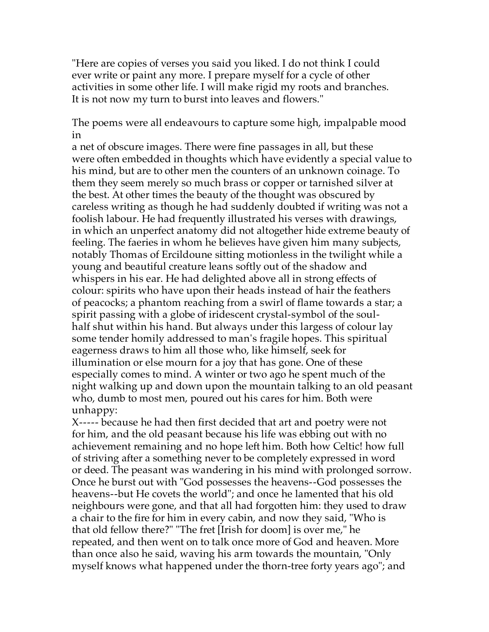"Here are copies of verses you said you liked. I do not think I could ever write or paint any more. I prepare myself for a cycle of other activities in some other life. I will make rigid my roots and branches. It is not now my turn to burst into leaves and flowers."

The poems were all endeavours to capture some high, impalpable mood in

a net of obscure images. There were fine passages in all, but these were often embedded in thoughts which have evidently a special value to his mind, but are to other men the counters of an unknown coinage. To them they seem merely so much brass or copper or tarnished silver at the best. At other times the beauty of the thought was obscured by careless writing as though he had suddenly doubted if writing was not a foolish labour. He had frequently illustrated his verses with drawings, in which an unperfect anatomy did not altogether hide extreme beauty of feeling. The faeries in whom he believes have given him many subjects, notably Thomas of Ercildoune sitting motionless in the twilight while a young and beautiful creature leans softly out of the shadow and whispers in his ear. He had delighted above all in strong effects of colour: spirits who have upon their heads instead of hair the feathers of peacocks; a phantom reaching from a swirl of flame towards a star; a spirit passing with a globe of iridescent crystal-symbol of the soulhalf shut within his hand. But always under this largess of colour lay some tender homily addressed to man's fragile hopes. This spiritual eagerness draws to him all those who, like himself, seek for illumination or else mourn for a joy that has gone. One of these especially comes to mind. A winter or two ago he spent much of the night walking up and down upon the mountain talking to an old peasant who, dumb to most men, poured out his cares for him. Both were unhappy:

X----- because he had then first decided that art and poetry were not for him, and the old peasant because his life was ebbing out with no achievement remaining and no hope left him. Both how Celtic! how full of striving after a something never to be completely expressed in word or deed. The peasant was wandering in his mind with prolonged sorrow. Once he burst out with "God possesses the heavens--God possesses the heavens--but He covets the world"; and once he lamented that his old neighbours were gone, and that all had forgotten him: they used to draw a chair to the fire for him in every cabin, and now they said, "Who is that old fellow there?" "The fret [Irish for doom] is over me," he repeated, and then went on to talk once more of God and heaven. More than once also he said, waving his arm towards the mountain, "Only myself knows what happened under the thorn-tree forty years ago"; and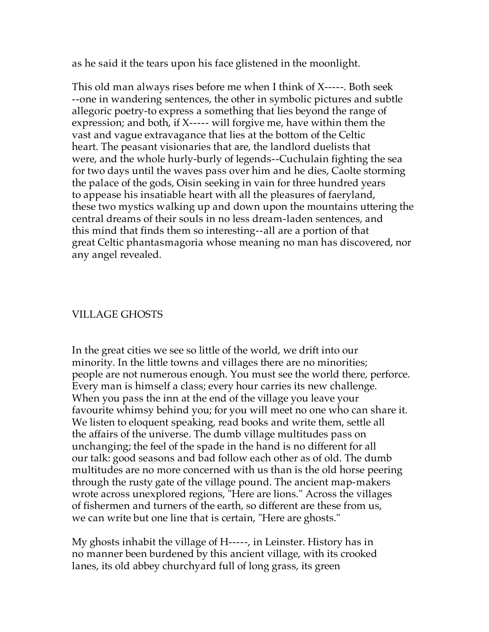as he said it the tears upon his face glistened in the moonlight.

This old man always rises before me when I think of X-----. Both seek --one in wandering sentences, the other in symbolic pictures and subtle allegoric poetry-to express a something that lies beyond the range of expression; and both, if X----- will forgive me, have within them the vast and vague extravagance that lies at the bottom of the Celtic heart. The peasant visionaries that are, the landlord duelists that were, and the whole hurly-burly of legends--Cuchulain fighting the sea for two days until the waves pass over him and he dies, Caolte storming the palace of the gods, Oisin seeking in vain for three hundred years to appease his insatiable heart with all the pleasures of faeryland, these two mystics walking up and down upon the mountains uttering the central dreams of their souls in no less dream-laden sentences, and this mind that finds them so interesting--all are a portion of that great Celtic phantasmagoria whose meaning no man has discovered, nor any angel revealed.

### VILLAGE GHOSTS

In the great cities we see so little of the world, we drift into our minority. In the little towns and villages there are no minorities; people are not numerous enough. You must see the world there, perforce. Every man is himself a class; every hour carries its new challenge. When you pass the inn at the end of the village you leave your favourite whimsy behind you; for you will meet no one who can share it. We listen to eloquent speaking, read books and write them, settle all the affairs of the universe. The dumb village multitudes pass on unchanging; the feel of the spade in the hand is no different for all our talk: good seasons and bad follow each other as of old. The dumb multitudes are no more concerned with us than is the old horse peering through the rusty gate of the village pound. The ancient map-makers wrote across unexplored regions, "Here are lions." Across the villages of fishermen and turners of the earth, so different are these from us, we can write but one line that is certain, "Here are ghosts."

My ghosts inhabit the village of H-----, in Leinster. History has in no manner been burdened by this ancient village, with its crooked lanes, its old abbey churchyard full of long grass, its green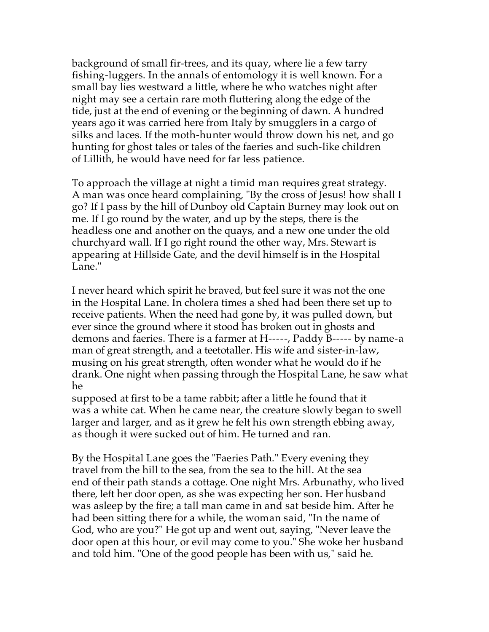background of small fir-trees, and its quay, where lie a few tarry fishing-luggers. In the annals of entomology it is well known. For a small bay lies westward a little, where he who watches night after night may see a certain rare moth fluttering along the edge of the tide, just at the end of evening or the beginning of dawn. A hundred years ago it was carried here from Italy by smugglers in a cargo of silks and laces. If the moth-hunter would throw down his net, and go hunting for ghost tales or tales of the faeries and such-like children of Lillith, he would have need for far less patience.

To approach the village at night a timid man requires great strategy. A man was once heard complaining, "By the cross of Jesus! how shall I go? If I pass by the hill of Dunboy old Captain Burney may look out on me. If I go round by the water, and up by the steps, there is the headless one and another on the quays, and a new one under the old churchyard wall. If I go right round the other way, Mrs. Stewart is appearing at Hillside Gate, and the devil himself is in the Hospital Lane."

I never heard which spirit he braved, but feel sure it was not the one in the Hospital Lane. In cholera times a shed had been there set up to receive patients. When the need had gone by, it was pulled down, but ever since the ground where it stood has broken out in ghosts and demons and faeries. There is a farmer at H-----, Paddy B----- by name-a man of great strength, and a teetotaller. His wife and sister-in-law, musing on his great strength, often wonder what he would do if he drank. One night when passing through the Hospital Lane, he saw what he

supposed at first to be a tame rabbit; after a little he found that it was a white cat. When he came near, the creature slowly began to swell larger and larger, and as it grew he felt his own strength ebbing away, as though it were sucked out of him. He turned and ran.

By the Hospital Lane goes the "Faeries Path." Every evening they travel from the hill to the sea, from the sea to the hill. At the sea end of their path stands a cottage. One night Mrs. Arbunathy, who lived there, left her door open, as she was expecting her son. Her husband was asleep by the fire; a tall man came in and sat beside him. After he had been sitting there for a while, the woman said, "In the name of God, who are you?" He got up and went out, saying, "Never leave the door open at this hour, or evil may come to you." She woke her husband and told him. "One of the good people has been with us," said he.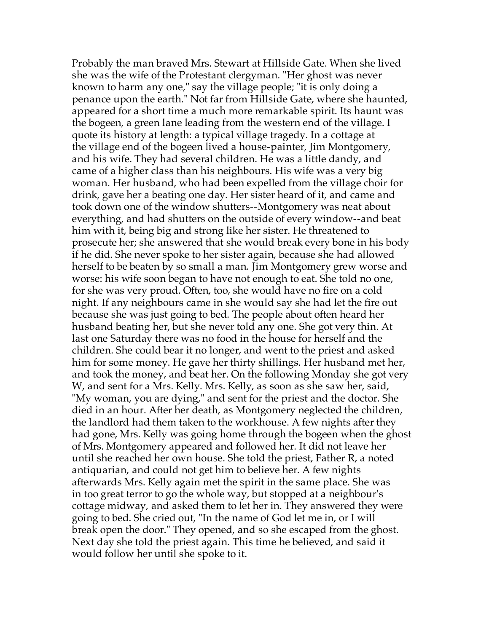Probably the man braved Mrs. Stewart at Hillside Gate. When she lived she was the wife of the Protestant clergyman. "Her ghost was never known to harm any one," say the village people; "it is only doing a penance upon the earth." Not far from Hillside Gate, where she haunted, appeared for a short time a much more remarkable spirit. Its haunt was the bogeen, a green lane leading from the western end of the village. I quote its history at length: a typical village tragedy. In a cottage at the village end of the bogeen lived a house-painter, Jim Montgomery, and his wife. They had several children. He was a little dandy, and came of a higher class than his neighbours. His wife was a very big woman. Her husband, who had been expelled from the village choir for drink, gave her a beating one day. Her sister heard of it, and came and took down one of the window shutters--Montgomery was neat about everything, and had shutters on the outside of every window--and beat him with it, being big and strong like her sister. He threatened to prosecute her; she answered that she would break every bone in his body if he did. She never spoke to her sister again, because she had allowed herself to be beaten by so small a man. Jim Montgomery grew worse and worse: his wife soon began to have not enough to eat. She told no one, for she was very proud. Often, too, she would have no fire on a cold night. If any neighbours came in she would say she had let the fire out because she was just going to bed. The people about often heard her husband beating her, but she never told any one. She got very thin. At last one Saturday there was no food in the house for herself and the children. She could bear it no longer, and went to the priest and asked him for some money. He gave her thirty shillings. Her husband met her, and took the money, and beat her. On the following Monday she got very W, and sent for a Mrs. Kelly. Mrs. Kelly, as soon as she saw her, said, "My woman, you are dying," and sent for the priest and the doctor. She died in an hour. After her death, as Montgomery neglected the children, the landlord had them taken to the workhouse. A few nights after they had gone, Mrs. Kelly was going home through the bogeen when the ghost of Mrs. Montgomery appeared and followed her. It did not leave her until she reached her own house. She told the priest, Father R, a noted antiquarian, and could not get him to believe her. A few nights afterwards Mrs. Kelly again met the spirit in the same place. She was in too great terror to go the whole way, but stopped at a neighbour's cottage midway, and asked them to let her in. They answered they were going to bed. She cried out, "In the name of God let me in, or I will break open the door." They opened, and so she escaped from the ghost. Next day she told the priest again. This time he believed, and said it would follow her until she spoke to it.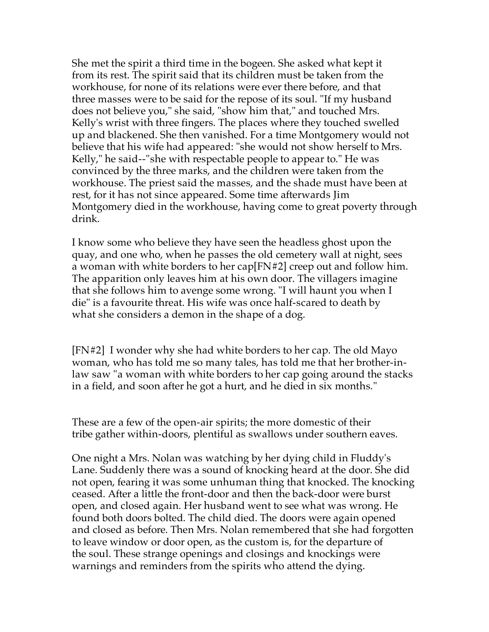She met the spirit a third time in the bogeen. She asked what kept it from its rest. The spirit said that its children must be taken from the workhouse, for none of its relations were ever there before, and that three masses were to be said for the repose of its soul. "If my husband does not believe you," she said, "show him that," and touched Mrs. Kelly's wrist with three fingers. The places where they touched swelled up and blackened. She then vanished. For a time Montgomery would not believe that his wife had appeared: "she would not show herself to Mrs. Kelly," he said--"she with respectable people to appear to." He was convinced by the three marks, and the children were taken from the workhouse. The priest said the masses, and the shade must have been at rest, for it has not since appeared. Some time afterwards Jim Montgomery died in the workhouse, having come to great poverty through drink.

I know some who believe they have seen the headless ghost upon the quay, and one who, when he passes the old cemetery wall at night, sees a woman with white borders to her cap[FN#2] creep out and follow him. The apparition only leaves him at his own door. The villagers imagine that she follows him to avenge some wrong. "I will haunt you when I die" is a favourite threat. His wife was once half-scared to death by what she considers a demon in the shape of a dog.

[FN#2] I wonder why she had white borders to her cap. The old Mayo woman, who has told me so many tales, has told me that her brother-inlaw saw "a woman with white borders to her cap going around the stacks in a field, and soon after he got a hurt, and he died in six months."

These are a few of the open-air spirits; the more domestic of their tribe gather within-doors, plentiful as swallows under southern eaves.

One night a Mrs. Nolan was watching by her dying child in Fluddy's Lane. Suddenly there was a sound of knocking heard at the door. She did not open, fearing it was some unhuman thing that knocked. The knocking ceased. After a little the front-door and then the back-door were burst open, and closed again. Her husband went to see what was wrong. He found both doors bolted. The child died. The doors were again opened and closed as before. Then Mrs. Nolan remembered that she had forgotten to leave window or door open, as the custom is, for the departure of the soul. These strange openings and closings and knockings were warnings and reminders from the spirits who attend the dying.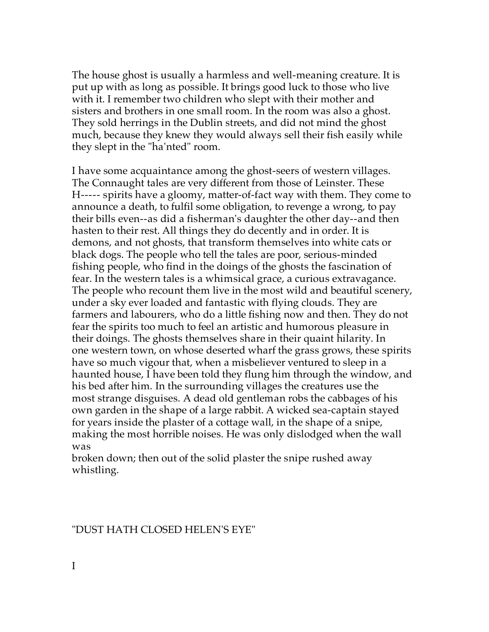The house ghost is usually a harmless and well-meaning creature. It is put up with as long as possible. It brings good luck to those who live with it. I remember two children who slept with their mother and sisters and brothers in one small room. In the room was also a ghost. They sold herrings in the Dublin streets, and did not mind the ghost much, because they knew they would always sell their fish easily while they slept in the "ha'nted" room.

I have some acquaintance among the ghost-seers of western villages. The Connaught tales are very different from those of Leinster. These H----- spirits have a gloomy, matter-of-fact way with them. They come to announce a death, to fulfil some obligation, to revenge a wrong, to pay their bills even--as did a fisherman's daughter the other day--and then hasten to their rest. All things they do decently and in order. It is demons, and not ghosts, that transform themselves into white cats or black dogs. The people who tell the tales are poor, serious-minded fishing people, who find in the doings of the ghosts the fascination of fear. In the western tales is a whimsical grace, a curious extravagance. The people who recount them live in the most wild and beautiful scenery, under a sky ever loaded and fantastic with flying clouds. They are farmers and labourers, who do a little fishing now and then. They do not fear the spirits too much to feel an artistic and humorous pleasure in their doings. The ghosts themselves share in their quaint hilarity. In one western town, on whose deserted wharf the grass grows, these spirits have so much vigour that, when a misbeliever ventured to sleep in a haunted house, I have been told they flung him through the window, and his bed after him. In the surrounding villages the creatures use the most strange disguises. A dead old gentleman robs the cabbages of his own garden in the shape of a large rabbit. A wicked sea-captain stayed for years inside the plaster of a cottage wall, in the shape of a snipe, making the most horrible noises. He was only dislodged when the wall was

broken down; then out of the solid plaster the snipe rushed away whistling.

"DUST HATH CLOSED HELEN'S EYE"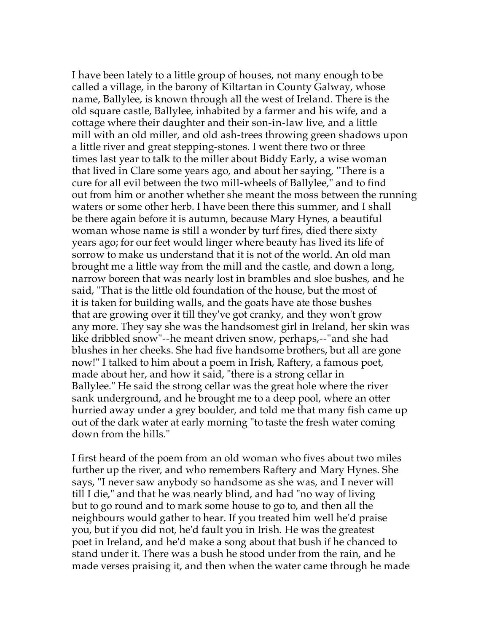I have been lately to a little group of houses, not many enough to be called a village, in the barony of Kiltartan in County Galway, whose name, Ballylee, is known through all the west of Ireland. There is the old square castle, Ballylee, inhabited by a farmer and his wife, and a cottage where their daughter and their son-in-law live, and a little mill with an old miller, and old ash-trees throwing green shadows upon a little river and great stepping-stones. I went there two or three times last year to talk to the miller about Biddy Early, a wise woman that lived in Clare some years ago, and about her saying, "There is a cure for all evil between the two mill-wheels of Ballylee," and to find out from him or another whether she meant the moss between the running waters or some other herb. I have been there this summer, and I shall be there again before it is autumn, because Mary Hynes, a beautiful woman whose name is still a wonder by turf fires, died there sixty years ago; for our feet would linger where beauty has lived its life of sorrow to make us understand that it is not of the world. An old man brought me a little way from the mill and the castle, and down a long, narrow boreen that was nearly lost in brambles and sloe bushes, and he said, "That is the little old foundation of the house, but the most of it is taken for building walls, and the goats have ate those bushes that are growing over it till they've got cranky, and they won't grow any more. They say she was the handsomest girl in Ireland, her skin was like dribbled snow"--he meant driven snow, perhaps,--"and she had blushes in her cheeks. She had five handsome brothers, but all are gone now!" I talked to him about a poem in Irish, Raftery, a famous poet, made about her, and how it said, "there is a strong cellar in Ballylee." He said the strong cellar was the great hole where the river sank underground, and he brought me to a deep pool, where an otter hurried away under a grey boulder, and told me that many fish came up out of the dark water at early morning "to taste the fresh water coming down from the hills."

I first heard of the poem from an old woman who fives about two miles further up the river, and who remembers Raftery and Mary Hynes. She says, "I never saw anybody so handsome as she was, and I never will till I die," and that he was nearly blind, and had "no way of living but to go round and to mark some house to go to, and then all the neighbours would gather to hear. If you treated him well he'd praise you, but if you did not, he'd fault you in Irish. He was the greatest poet in Ireland, and he'd make a song about that bush if he chanced to stand under it. There was a bush he stood under from the rain, and he made verses praising it, and then when the water came through he made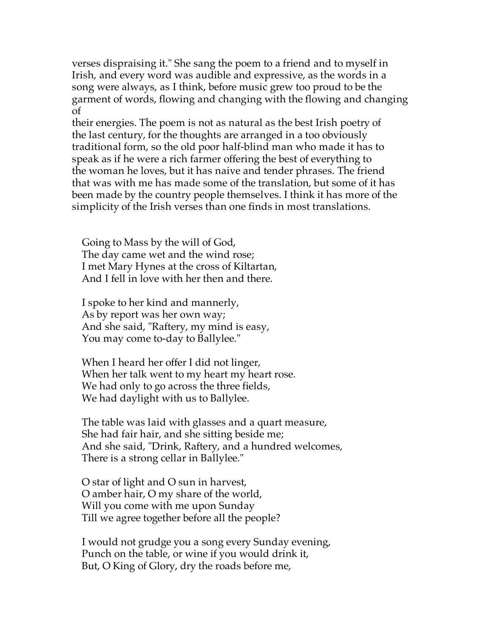verses dispraising it." She sang the poem to a friend and to myself in Irish, and every word was audible and expressive, as the words in a song were always, as I think, before music grew too proud to be the garment of words, flowing and changing with the flowing and changing of

their energies. The poem is not as natural as the best Irish poetry of the last century, for the thoughts are arranged in a too obviously traditional form, so the old poor half-blind man who made it has to speak as if he were a rich farmer offering the best of everything to the woman he loves, but it has naive and tender phrases. The friend that was with me has made some of the translation, but some of it has been made by the country people themselves. I think it has more of the simplicity of the Irish verses than one finds in most translations.

 Going to Mass by the will of God, The day came wet and the wind rose; I met Mary Hynes at the cross of Kiltartan, And I fell in love with her then and there.

 I spoke to her kind and mannerly, As by report was her own way; And she said, "Raftery, my mind is easy, You may come to-day to Ballylee."

 When I heard her offer I did not linger, When her talk went to my heart my heart rose. We had only to go across the three fields, We had daylight with us to Ballylee.

 The table was laid with glasses and a quart measure, She had fair hair, and she sitting beside me; And she said, "Drink, Raftery, and a hundred welcomes, There is a strong cellar in Ballylee."

 O star of light and O sun in harvest, O amber hair, O my share of the world, Will you come with me upon Sunday Till we agree together before all the people?

 I would not grudge you a song every Sunday evening, Punch on the table, or wine if you would drink it, But, O King of Glory, dry the roads before me,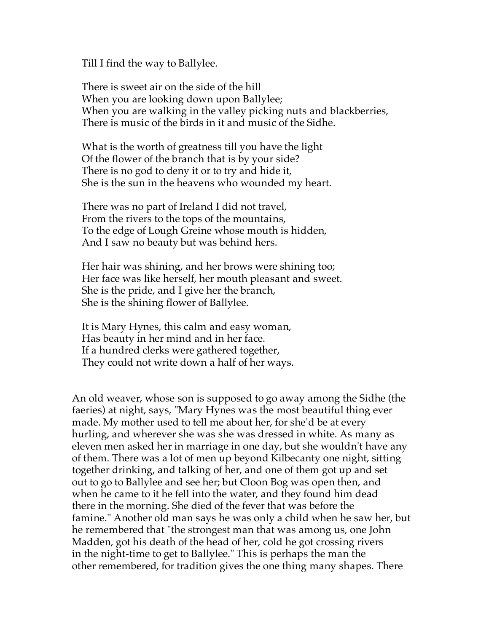Till I find the way to Ballylee.

 There is sweet air on the side of the hill When you are looking down upon Ballylee; When you are walking in the valley picking nuts and blackberries, There is music of the birds in it and music of the Sidhe.

 What is the worth of greatness till you have the light Of the flower of the branch that is by your side? There is no god to deny it or to try and hide it, She is the sun in the heavens who wounded my heart.

 There was no part of Ireland I did not travel, From the rivers to the tops of the mountains, To the edge of Lough Greine whose mouth is hidden, And I saw no beauty but was behind hers.

 Her hair was shining, and her brows were shining too; Her face was like herself, her mouth pleasant and sweet. She is the pride, and I give her the branch, She is the shining flower of Ballylee.

 It is Mary Hynes, this calm and easy woman, Has beauty in her mind and in her face. If a hundred clerks were gathered together, They could not write down a half of her ways.

An old weaver, whose son is supposed to go away among the Sidhe (the faeries) at night, says, "Mary Hynes was the most beautiful thing ever made. My mother used to tell me about her, for she'd be at every hurling, and wherever she was she was dressed in white. As many as eleven men asked her in marriage in one day, but she wouldn't have any of them. There was a lot of men up beyond Kilbecanty one night, sitting together drinking, and talking of her, and one of them got up and set out to go to Ballylee and see her; but Cloon Bog was open then, and when he came to it he fell into the water, and they found him dead there in the morning. She died of the fever that was before the famine." Another old man says he was only a child when he saw her, but he remembered that "the strongest man that was among us, one John Madden, got his death of the head of her, cold he got crossing rivers in the night-time to get to Ballylee." This is perhaps the man the other remembered, for tradition gives the one thing many shapes. There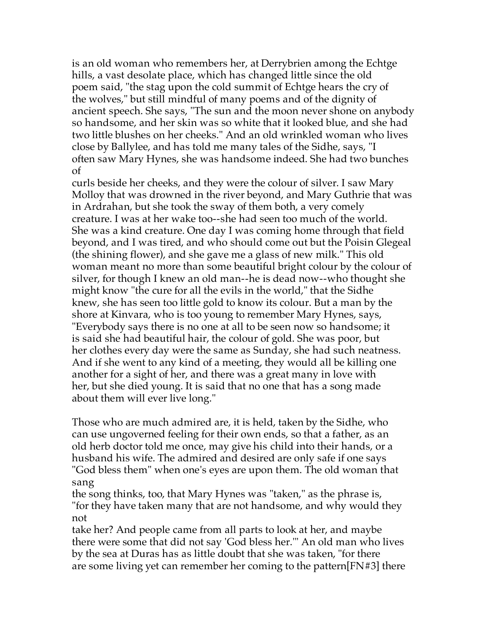is an old woman who remembers her, at Derrybrien among the Echtge hills, a vast desolate place, which has changed little since the old poem said, "the stag upon the cold summit of Echtge hears the cry of the wolves," but still mindful of many poems and of the dignity of ancient speech. She says, "The sun and the moon never shone on anybody so handsome, and her skin was so white that it looked blue, and she had two little blushes on her cheeks." And an old wrinkled woman who lives close by Ballylee, and has told me many tales of the Sidhe, says, "I often saw Mary Hynes, she was handsome indeed. She had two bunches of

curls beside her cheeks, and they were the colour of silver. I saw Mary Molloy that was drowned in the river beyond, and Mary Guthrie that was in Ardrahan, but she took the sway of them both, a very comely creature. I was at her wake too--she had seen too much of the world. She was a kind creature. One day I was coming home through that field beyond, and I was tired, and who should come out but the Poisin Glegeal (the shining flower), and she gave me a glass of new milk." This old woman meant no more than some beautiful bright colour by the colour of silver, for though I knew an old man--he is dead now--who thought she might know "the cure for all the evils in the world," that the Sidhe knew, she has seen too little gold to know its colour. But a man by the shore at Kinvara, who is too young to remember Mary Hynes, says, "Everybody says there is no one at all to be seen now so handsome; it is said she had beautiful hair, the colour of gold. She was poor, but her clothes every day were the same as Sunday, she had such neatness. And if she went to any kind of a meeting, they would all be killing one another for a sight of her, and there was a great many in love with her, but she died young. It is said that no one that has a song made about them will ever live long."

Those who are much admired are, it is held, taken by the Sidhe, who can use ungoverned feeling for their own ends, so that a father, as an old herb doctor told me once, may give his child into their hands, or a husband his wife. The admired and desired are only safe if one says "God bless them" when one's eyes are upon them. The old woman that sang

the song thinks, too, that Mary Hynes was "taken," as the phrase is, "for they have taken many that are not handsome, and why would they not

take her? And people came from all parts to look at her, and maybe there were some that did not say 'God bless her.'" An old man who lives by the sea at Duras has as little doubt that she was taken, "for there are some living yet can remember her coming to the pattern[FN#3] there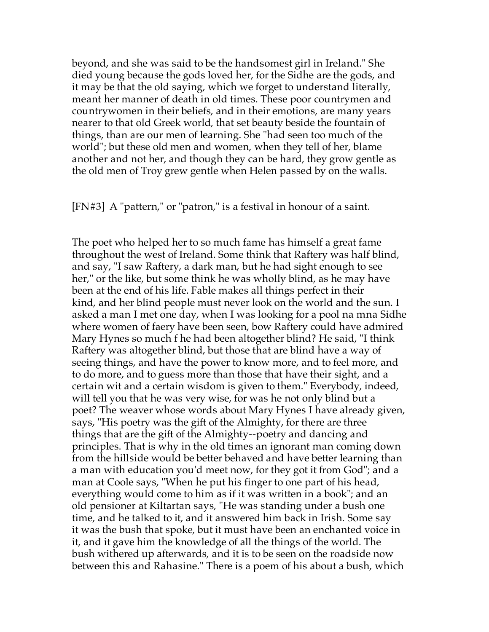beyond, and she was said to be the handsomest girl in Ireland." She died young because the gods loved her, for the Sidhe are the gods, and it may be that the old saying, which we forget to understand literally, meant her manner of death in old times. These poor countrymen and countrywomen in their beliefs, and in their emotions, are many years nearer to that old Greek world, that set beauty beside the fountain of things, than are our men of learning. She "had seen too much of the world"; but these old men and women, when they tell of her, blame another and not her, and though they can be hard, they grow gentle as the old men of Troy grew gentle when Helen passed by on the walls.

[FN#3] A "pattern," or "patron," is a festival in honour of a saint.

The poet who helped her to so much fame has himself a great fame throughout the west of Ireland. Some think that Raftery was half blind, and say, "I saw Raftery, a dark man, but he had sight enough to see her," or the like, but some think he was wholly blind, as he may have been at the end of his life. Fable makes all things perfect in their kind, and her blind people must never look on the world and the sun. I asked a man I met one day, when I was looking for a pool na mna Sidhe where women of faery have been seen, bow Raftery could have admired Mary Hynes so much f he had been altogether blind? He said, "I think Raftery was altogether blind, but those that are blind have a way of seeing things, and have the power to know more, and to feel more, and to do more, and to guess more than those that have their sight, and a certain wit and a certain wisdom is given to them." Everybody, indeed, will tell you that he was very wise, for was he not only blind but a poet? The weaver whose words about Mary Hynes I have already given, says, "His poetry was the gift of the Almighty, for there are three things that are the gift of the Almighty--poetry and dancing and principles. That is why in the old times an ignorant man coming down from the hillside would be better behaved and have better learning than a man with education you'd meet now, for they got it from God"; and a man at Coole says, "When he put his finger to one part of his head, everything would come to him as if it was written in a book"; and an old pensioner at Kiltartan says, "He was standing under a bush one time, and he talked to it, and it answered him back in Irish. Some say it was the bush that spoke, but it must have been an enchanted voice in it, and it gave him the knowledge of all the things of the world. The bush withered up afterwards, and it is to be seen on the roadside now between this and Rahasine." There is a poem of his about a bush, which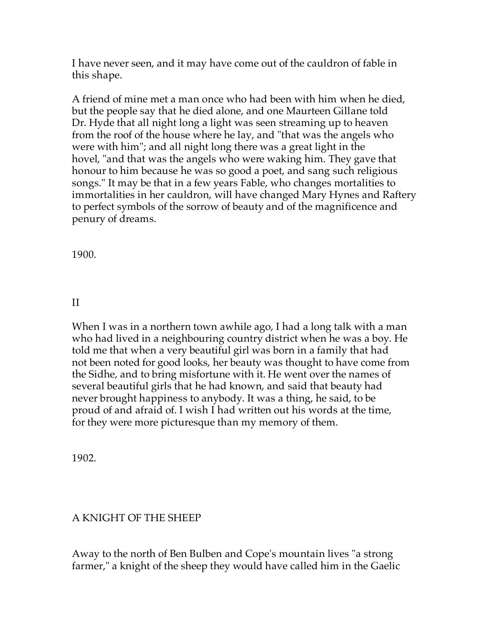I have never seen, and it may have come out of the cauldron of fable in this shape.

A friend of mine met a man once who had been with him when he died, but the people say that he died alone, and one Maurteen Gillane told Dr. Hyde that all night long a light was seen streaming up to heaven from the roof of the house where he lay, and "that was the angels who were with him"; and all night long there was a great light in the hovel, "and that was the angels who were waking him. They gave that honour to him because he was so good a poet, and sang such religious songs." It may be that in a few years Fable, who changes mortalities to immortalities in her cauldron, will have changed Mary Hynes and Raftery to perfect symbols of the sorrow of beauty and of the magnificence and penury of dreams.

1900.

# II

When I was in a northern town awhile ago, I had a long talk with a man who had lived in a neighbouring country district when he was a boy. He told me that when a very beautiful girl was born in a family that had not been noted for good looks, her beauty was thought to have come from the Sidhe, and to bring misfortune with it. He went over the names of several beautiful girls that he had known, and said that beauty had never brought happiness to anybody. It was a thing, he said, to be proud of and afraid of. I wish I had written out his words at the time, for they were more picturesque than my memory of them.

1902.

# A KNIGHT OF THE SHEEP

Away to the north of Ben Bulben and Cope's mountain lives "a strong farmer," a knight of the sheep they would have called him in the Gaelic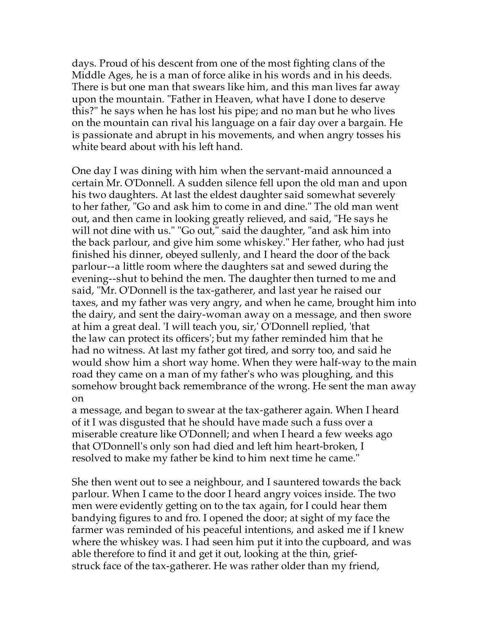days. Proud of his descent from one of the most fighting clans of the Middle Ages, he is a man of force alike in his words and in his deeds. There is but one man that swears like him, and this man lives far away upon the mountain. "Father in Heaven, what have I done to deserve this?" he says when he has lost his pipe; and no man but he who lives on the mountain can rival his language on a fair day over a bargain. He is passionate and abrupt in his movements, and when angry tosses his white beard about with his left hand.

One day I was dining with him when the servant-maid announced a certain Mr. O'Donnell. A sudden silence fell upon the old man and upon his two daughters. At last the eldest daughter said somewhat severely to her father, "Go and ask him to come in and dine." The old man went out, and then came in looking greatly relieved, and said, "He says he will not dine with us." "Go out," said the daughter, "and ask him into the back parlour, and give him some whiskey." Her father, who had just finished his dinner, obeyed sullenly, and I heard the door of the back parlour--a little room where the daughters sat and sewed during the evening--shut to behind the men. The daughter then turned to me and said, "Mr. O'Donnell is the tax-gatherer, and last year he raised our taxes, and my father was very angry, and when he came, brought him into the dairy, and sent the dairy-woman away on a message, and then swore at him a great deal. 'I will teach you, sir,' O'Donnell replied, 'that the law can protect its officers'; but my father reminded him that he had no witness. At last my father got tired, and sorry too, and said he would show him a short way home. When they were half-way to the main road they came on a man of my father's who was ploughing, and this somehow brought back remembrance of the wrong. He sent the man away on

a message, and began to swear at the tax-gatherer again. When I heard of it I was disgusted that he should have made such a fuss over a miserable creature like O'Donnell; and when I heard a few weeks ago that O'Donnell's only son had died and left him heart-broken, I resolved to make my father be kind to him next time he came."

She then went out to see a neighbour, and I sauntered towards the back parlour. When I came to the door I heard angry voices inside. The two men were evidently getting on to the tax again, for I could hear them bandying figures to and fro. I opened the door; at sight of my face the farmer was reminded of his peaceful intentions, and asked me if I knew where the whiskey was. I had seen him put it into the cupboard, and was able therefore to find it and get it out, looking at the thin, griefstruck face of the tax-gatherer. He was rather older than my friend,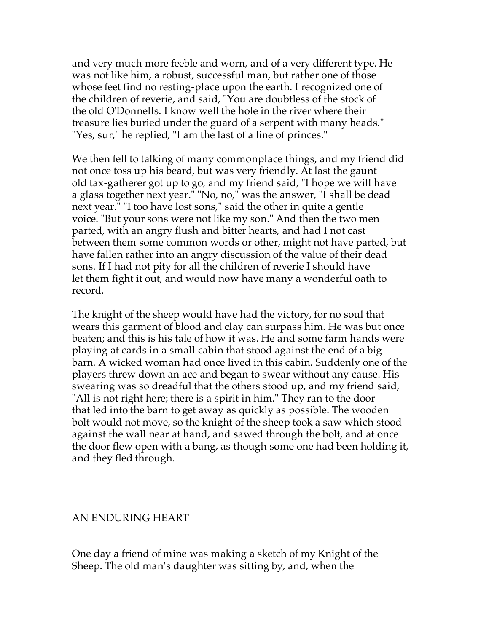and very much more feeble and worn, and of a very different type. He was not like him, a robust, successful man, but rather one of those whose feet find no resting-place upon the earth. I recognized one of the children of reverie, and said, "You are doubtless of the stock of the old O'Donnells. I know well the hole in the river where their treasure lies buried under the guard of a serpent with many heads." "Yes, sur," he replied, "I am the last of a line of princes."

We then fell to talking of many commonplace things, and my friend did not once toss up his beard, but was very friendly. At last the gaunt old tax-gatherer got up to go, and my friend said, "I hope we will have a glass together next year." "No, no," was the answer, "I shall be dead next year." "I too have lost sons," said the other in quite a gentle voice. "But your sons were not like my son." And then the two men parted, with an angry flush and bitter hearts, and had I not cast between them some common words or other, might not have parted, but have fallen rather into an angry discussion of the value of their dead sons. If I had not pity for all the children of reverie I should have let them fight it out, and would now have many a wonderful oath to record.

The knight of the sheep would have had the victory, for no soul that wears this garment of blood and clay can surpass him. He was but once beaten; and this is his tale of how it was. He and some farm hands were playing at cards in a small cabin that stood against the end of a big barn. A wicked woman had once lived in this cabin. Suddenly one of the players threw down an ace and began to swear without any cause. His swearing was so dreadful that the others stood up, and my friend said, "All is not right here; there is a spirit in him." They ran to the door that led into the barn to get away as quickly as possible. The wooden bolt would not move, so the knight of the sheep took a saw which stood against the wall near at hand, and sawed through the bolt, and at once the door flew open with a bang, as though some one had been holding it, and they fled through.

### AN ENDURING HEART

One day a friend of mine was making a sketch of my Knight of the Sheep. The old man's daughter was sitting by, and, when the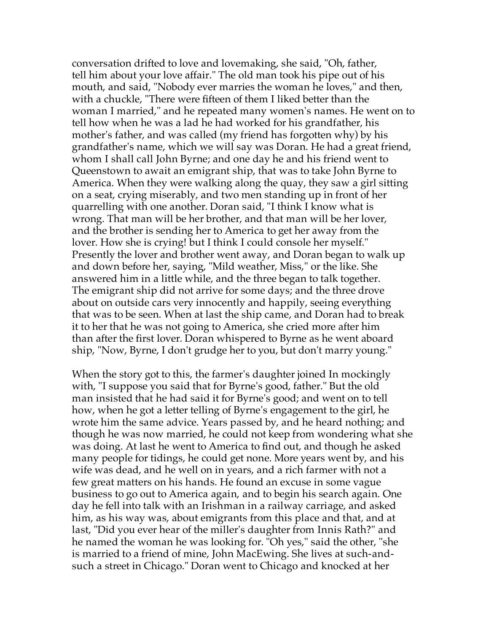conversation drifted to love and lovemaking, she said, "Oh, father, tell him about your love affair." The old man took his pipe out of his mouth, and said, "Nobody ever marries the woman he loves," and then, with a chuckle, "There were fifteen of them I liked better than the woman I married," and he repeated many women's names. He went on to tell how when he was a lad he had worked for his grandfather, his mother's father, and was called (my friend has forgotten why) by his grandfather's name, which we will say was Doran. He had a great friend, whom I shall call John Byrne; and one day he and his friend went to Queenstown to await an emigrant ship, that was to take John Byrne to America. When they were walking along the quay, they saw a girl sitting on a seat, crying miserably, and two men standing up in front of her quarrelling with one another. Doran said, "I think I know what is wrong. That man will be her brother, and that man will be her lover, and the brother is sending her to America to get her away from the lover. How she is crying! but I think I could console her myself." Presently the lover and brother went away, and Doran began to walk up and down before her, saying, "Mild weather, Miss," or the like. She answered him in a little while, and the three began to talk together. The emigrant ship did not arrive for some days; and the three drove about on outside cars very innocently and happily, seeing everything that was to be seen. When at last the ship came, and Doran had to break it to her that he was not going to America, she cried more after him than after the first lover. Doran whispered to Byrne as he went aboard ship, "Now, Byrne, I don't grudge her to you, but don't marry young."

When the story got to this, the farmer's daughter joined In mockingly with, "I suppose you said that for Byrne's good, father." But the old man insisted that he had said it for Byrne's good; and went on to tell how, when he got a letter telling of Byrne's engagement to the girl, he wrote him the same advice. Years passed by, and he heard nothing; and though he was now married, he could not keep from wondering what she was doing. At last he went to America to find out, and though he asked many people for tidings, he could get none. More years went by, and his wife was dead, and he well on in years, and a rich farmer with not a few great matters on his hands. He found an excuse in some vague business to go out to America again, and to begin his search again. One day he fell into talk with an Irishman in a railway carriage, and asked him, as his way was, about emigrants from this place and that, and at last, "Did you ever hear of the miller's daughter from Innis Rath?" and he named the woman he was looking for. "Oh yes," said the other, "she is married to a friend of mine, John MacEwing. She lives at such-andsuch a street in Chicago." Doran went to Chicago and knocked at her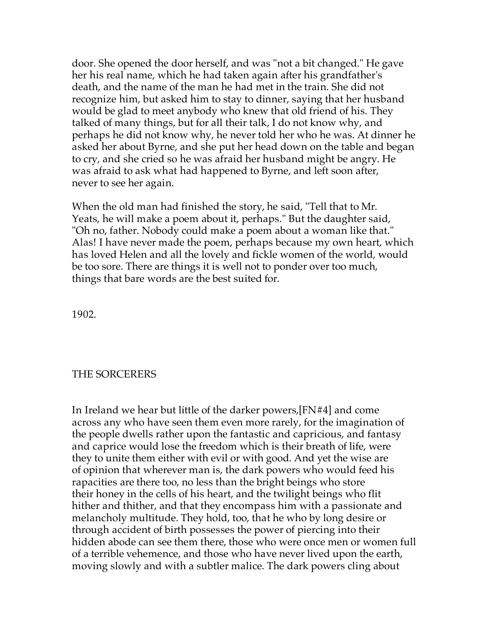door. She opened the door herself, and was "not a bit changed." He gave her his real name, which he had taken again after his grandfather's death, and the name of the man he had met in the train. She did not recognize him, but asked him to stay to dinner, saying that her husband would be glad to meet anybody who knew that old friend of his. They talked of many things, but for all their talk, I do not know why, and perhaps he did not know why, he never told her who he was. At dinner he asked her about Byrne, and she put her head down on the table and began to cry, and she cried so he was afraid her husband might be angry. He was afraid to ask what had happened to Byrne, and left soon after, never to see her again.

When the old man had finished the story, he said, "Tell that to Mr. Yeats, he will make a poem about it, perhaps." But the daughter said, "Oh no, father. Nobody could make a poem about a woman like that." Alas! I have never made the poem, perhaps because my own heart, which has loved Helen and all the lovely and fickle women of the world, would be too sore. There are things it is well not to ponder over too much, things that bare words are the best suited for.

1902.

### THE SORCERERS

In Ireland we hear but little of the darker powers,[FN#4] and come across any who have seen them even more rarely, for the imagination of the people dwells rather upon the fantastic and capricious, and fantasy and caprice would lose the freedom which is their breath of life, were they to unite them either with evil or with good. And yet the wise are of opinion that wherever man is, the dark powers who would feed his rapacities are there too, no less than the bright beings who store their honey in the cells of his heart, and the twilight beings who flit hither and thither, and that they encompass him with a passionate and melancholy multitude. They hold, too, that he who by long desire or through accident of birth possesses the power of piercing into their hidden abode can see them there, those who were once men or women full of a terrible vehemence, and those who have never lived upon the earth, moving slowly and with a subtler malice. The dark powers cling about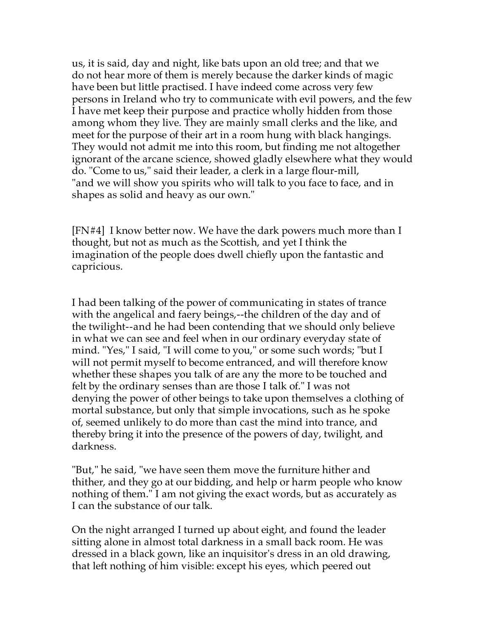us, it is said, day and night, like bats upon an old tree; and that we do not hear more of them is merely because the darker kinds of magic have been but little practised. I have indeed come across very few persons in Ireland who try to communicate with evil powers, and the few I have met keep their purpose and practice wholly hidden from those among whom they live. They are mainly small clerks and the like, and meet for the purpose of their art in a room hung with black hangings. They would not admit me into this room, but finding me not altogether ignorant of the arcane science, showed gladly elsewhere what they would do. "Come to us," said their leader, a clerk in a large flour-mill, "and we will show you spirits who will talk to you face to face, and in shapes as solid and heavy as our own."

[FN#4] I know better now. We have the dark powers much more than I thought, but not as much as the Scottish, and yet I think the imagination of the people does dwell chiefly upon the fantastic and capricious.

I had been talking of the power of communicating in states of trance with the angelical and faery beings,--the children of the day and of the twilight--and he had been contending that we should only believe in what we can see and feel when in our ordinary everyday state of mind. "Yes," I said, "I will come to you," or some such words; "but I will not permit myself to become entranced, and will therefore know whether these shapes you talk of are any the more to be touched and felt by the ordinary senses than are those I talk of." I was not denying the power of other beings to take upon themselves a clothing of mortal substance, but only that simple invocations, such as he spoke of, seemed unlikely to do more than cast the mind into trance, and thereby bring it into the presence of the powers of day, twilight, and darkness.

"But," he said, "we have seen them move the furniture hither and thither, and they go at our bidding, and help or harm people who know nothing of them." I am not giving the exact words, but as accurately as I can the substance of our talk.

On the night arranged I turned up about eight, and found the leader sitting alone in almost total darkness in a small back room. He was dressed in a black gown, like an inquisitor's dress in an old drawing, that left nothing of him visible: except his eyes, which peered out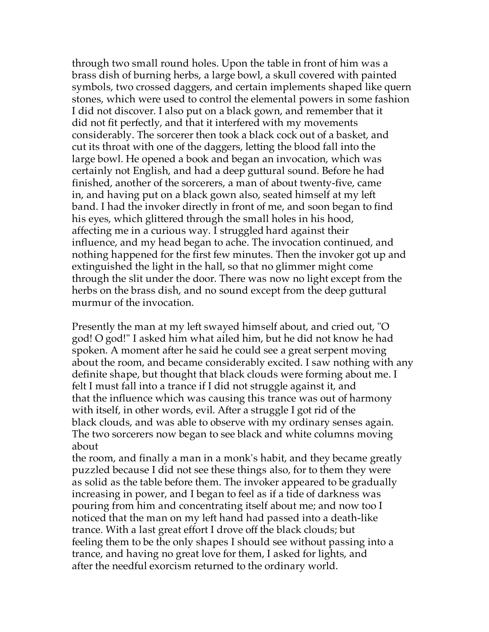through two small round holes. Upon the table in front of him was a brass dish of burning herbs, a large bowl, a skull covered with painted symbols, two crossed daggers, and certain implements shaped like quern stones, which were used to control the elemental powers in some fashion I did not discover. I also put on a black gown, and remember that it did not fit perfectly, and that it interfered with my movements considerably. The sorcerer then took a black cock out of a basket, and cut its throat with one of the daggers, letting the blood fall into the large bowl. He opened a book and began an invocation, which was certainly not English, and had a deep guttural sound. Before he had finished, another of the sorcerers, a man of about twenty-five, came in, and having put on a black gown also, seated himself at my left band. I had the invoker directly in front of me, and soon began to find his eyes, which glittered through the small holes in his hood, affecting me in a curious way. I struggled hard against their influence, and my head began to ache. The invocation continued, and nothing happened for the first few minutes. Then the invoker got up and extinguished the light in the hall, so that no glimmer might come through the slit under the door. There was now no light except from the herbs on the brass dish, and no sound except from the deep guttural murmur of the invocation.

Presently the man at my left swayed himself about, and cried out, "O god! O god!" I asked him what ailed him, but he did not know he had spoken. A moment after he said he could see a great serpent moving about the room, and became considerably excited. I saw nothing with any definite shape, but thought that black clouds were forming about me. I felt I must fall into a trance if I did not struggle against it, and that the influence which was causing this trance was out of harmony with itself, in other words, evil. After a struggle I got rid of the black clouds, and was able to observe with my ordinary senses again. The two sorcerers now began to see black and white columns moving about

the room, and finally a man in a monk's habit, and they became greatly puzzled because I did not see these things also, for to them they were as solid as the table before them. The invoker appeared to be gradually increasing in power, and I began to feel as if a tide of darkness was pouring from him and concentrating itself about me; and now too I noticed that the man on my left hand had passed into a death-like trance. With a last great effort I drove off the black clouds; but feeling them to be the only shapes I should see without passing into a trance, and having no great love for them, I asked for lights, and after the needful exorcism returned to the ordinary world.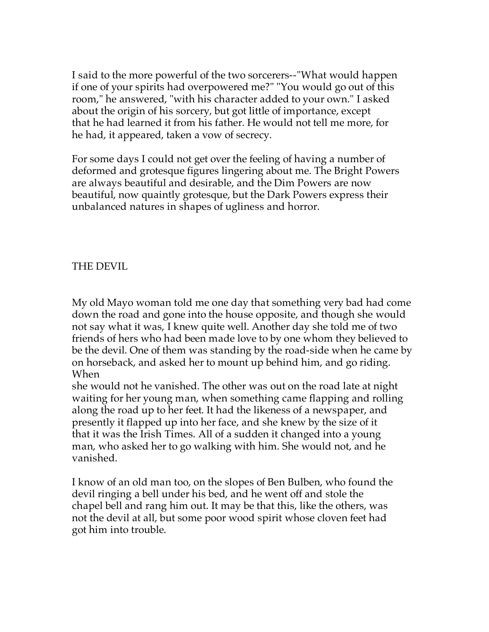I said to the more powerful of the two sorcerers--"What would happen if one of your spirits had overpowered me?" "You would go out of this room," he answered, "with his character added to your own." I asked about the origin of his sorcery, but got little of importance, except that he had learned it from his father. He would not tell me more, for he had, it appeared, taken a vow of secrecy.

For some days I could not get over the feeling of having a number of deformed and grotesque figures lingering about me. The Bright Powers are always beautiful and desirable, and the Dim Powers are now beautiful, now quaintly grotesque, but the Dark Powers express their unbalanced natures in shapes of ugliness and horror.

# THE DEVIL

My old Mayo woman told me one day that something very bad had come down the road and gone into the house opposite, and though she would not say what it was, I knew quite well. Another day she told me of two friends of hers who had been made love to by one whom they believed to be the devil. One of them was standing by the road-side when he came by on horseback, and asked her to mount up behind him, and go riding. When

she would not he vanished. The other was out on the road late at night waiting for her young man, when something came flapping and rolling along the road up to her feet. It had the likeness of a newspaper, and presently it flapped up into her face, and she knew by the size of it that it was the Irish Times. All of a sudden it changed into a young man, who asked her to go walking with him. She would not, and he vanished.

I know of an old man too, on the slopes of Ben Bulben, who found the devil ringing a bell under his bed, and he went off and stole the chapel bell and rang him out. It may be that this, like the others, was not the devil at all, but some poor wood spirit whose cloven feet had got him into trouble.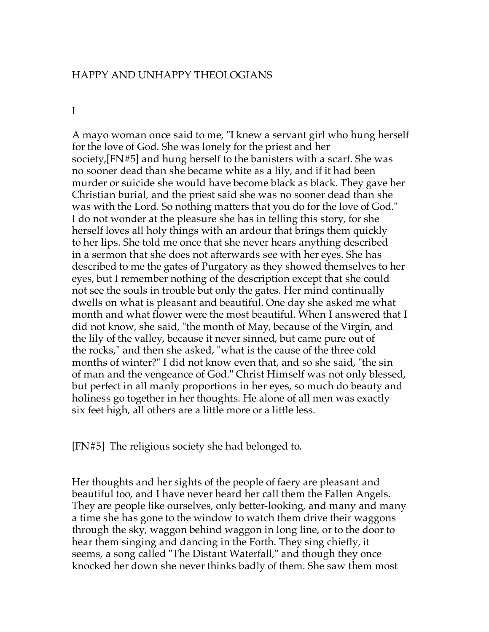### HAPPY AND UNHAPPY THEOLOGIANS

#### I

A mayo woman once said to me, "I knew a servant girl who hung herself for the love of God. She was lonely for the priest and her society,[FN#5] and hung herself to the banisters with a scarf. She was no sooner dead than she became white as a lily, and if it had been murder or suicide she would have become black as black. They gave her Christian burial, and the priest said she was no sooner dead than she was with the Lord. So nothing matters that you do for the love of God." I do not wonder at the pleasure she has in telling this story, for she herself loves all holy things with an ardour that brings them quickly to her lips. She told me once that she never hears anything described in a sermon that she does not afterwards see with her eyes. She has described to me the gates of Purgatory as they showed themselves to her eyes, but I remember nothing of the description except that she could not see the souls in trouble but only the gates. Her mind continually dwells on what is pleasant and beautiful. One day she asked me what month and what flower were the most beautiful. When I answered that I did not know, she said, "the month of May, because of the Virgin, and the lily of the valley, because it never sinned, but came pure out of the rocks," and then she asked, "what is the cause of the three cold months of winter?" I did not know even that, and so she said, "the sin of man and the vengeance of God." Christ Himself was not only blessed, but perfect in all manly proportions in her eyes, so much do beauty and holiness go together in her thoughts. He alone of all men was exactly six feet high, all others are a little more or a little less.

[FN#5] The religious society she had belonged to.

Her thoughts and her sights of the people of faery are pleasant and beautiful too, and I have never heard her call them the Fallen Angels. They are people like ourselves, only better-looking, and many and many a time she has gone to the window to watch them drive their waggons through the sky, waggon behind waggon in long line, or to the door to hear them singing and dancing in the Forth. They sing chiefly, it seems, a song called "The Distant Waterfall," and though they once knocked her down she never thinks badly of them. She saw them most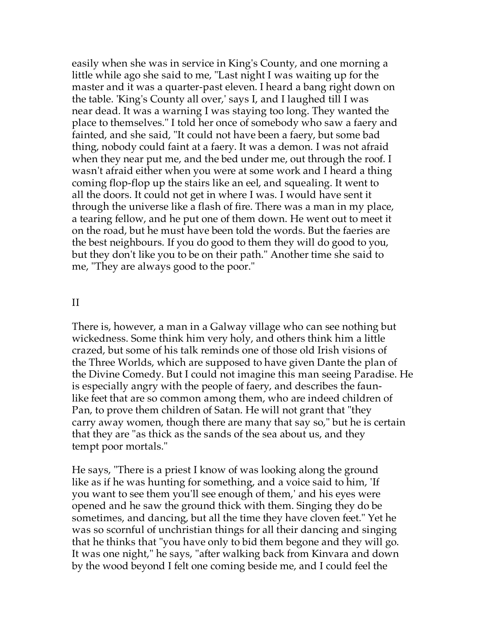easily when she was in service in King's County, and one morning a little while ago she said to me, "Last night I was waiting up for the master and it was a quarter-past eleven. I heard a bang right down on the table. 'King's County all over,' says I, and I laughed till I was near dead. It was a warning I was staying too long. They wanted the place to themselves." I told her once of somebody who saw a faery and fainted, and she said, "It could not have been a faery, but some bad thing, nobody could faint at a faery. It was a demon. I was not afraid when they near put me, and the bed under me, out through the roof. I wasn't afraid either when you were at some work and I heard a thing coming flop-flop up the stairs like an eel, and squealing. It went to all the doors. It could not get in where I was. I would have sent it through the universe like a flash of fire. There was a man in my place, a tearing fellow, and he put one of them down. He went out to meet it on the road, but he must have been told the words. But the faeries are the best neighbours. If you do good to them they will do good to you, but they don't like you to be on their path." Another time she said to me, "They are always good to the poor."

#### II

There is, however, a man in a Galway village who can see nothing but wickedness. Some think him very holy, and others think him a little crazed, but some of his talk reminds one of those old Irish visions of the Three Worlds, which are supposed to have given Dante the plan of the Divine Comedy. But I could not imagine this man seeing Paradise. He is especially angry with the people of faery, and describes the faunlike feet that are so common among them, who are indeed children of Pan, to prove them children of Satan. He will not grant that "they carry away women, though there are many that say so," but he is certain that they are "as thick as the sands of the sea about us, and they tempt poor mortals."

He says, "There is a priest I know of was looking along the ground like as if he was hunting for something, and a voice said to him, 'If you want to see them you'll see enough of them,' and his eyes were opened and he saw the ground thick with them. Singing they do be sometimes, and dancing, but all the time they have cloven feet." Yet he was so scornful of unchristian things for all their dancing and singing that he thinks that "you have only to bid them begone and they will go. It was one night," he says, "after walking back from Kinvara and down by the wood beyond I felt one coming beside me, and I could feel the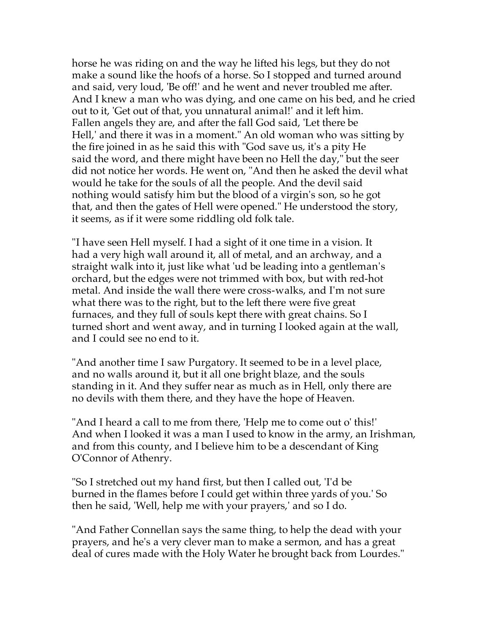horse he was riding on and the way he lifted his legs, but they do not make a sound like the hoofs of a horse. So I stopped and turned around and said, very loud, 'Be off!' and he went and never troubled me after. And I knew a man who was dying, and one came on his bed, and he cried out to it, 'Get out of that, you unnatural animal!' and it left him. Fallen angels they are, and after the fall God said, 'Let there be Hell,' and there it was in a moment." An old woman who was sitting by the fire joined in as he said this with "God save us, it's a pity He said the word, and there might have been no Hell the day," but the seer did not notice her words. He went on, "And then he asked the devil what would he take for the souls of all the people. And the devil said nothing would satisfy him but the blood of a virgin's son, so he got that, and then the gates of Hell were opened." He understood the story, it seems, as if it were some riddling old folk tale.

"I have seen Hell myself. I had a sight of it one time in a vision. It had a very high wall around it, all of metal, and an archway, and a straight walk into it, just like what 'ud be leading into a gentleman's orchard, but the edges were not trimmed with box, but with red-hot metal. And inside the wall there were cross-walks, and I'm not sure what there was to the right, but to the left there were five great furnaces, and they full of souls kept there with great chains. So I turned short and went away, and in turning I looked again at the wall, and I could see no end to it.

"And another time I saw Purgatory. It seemed to be in a level place, and no walls around it, but it all one bright blaze, and the souls standing in it. And they suffer near as much as in Hell, only there are no devils with them there, and they have the hope of Heaven.

"And I heard a call to me from there, 'Help me to come out o' this!' And when I looked it was a man I used to know in the army, an Irishman, and from this county, and I believe him to be a descendant of King O'Connor of Athenry.

"So I stretched out my hand first, but then I called out, 'I'd be burned in the flames before I could get within three yards of you.' So then he said, 'Well, help me with your prayers,' and so I do.

"And Father Connellan says the same thing, to help the dead with your prayers, and he's a very clever man to make a sermon, and has a great deal of cures made with the Holy Water he brought back from Lourdes."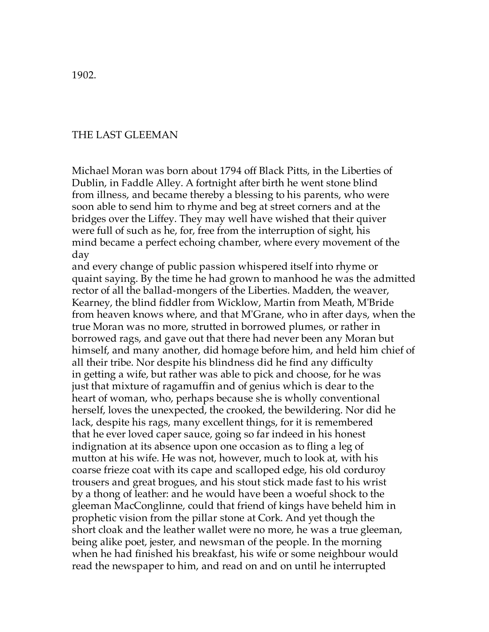1902.

#### THE LAST GLEEMAN

Michael Moran was born about 1794 off Black Pitts, in the Liberties of Dublin, in Faddle Alley. A fortnight after birth he went stone blind from illness, and became thereby a blessing to his parents, who were soon able to send him to rhyme and beg at street corners and at the bridges over the Liffey. They may well have wished that their quiver were full of such as he, for, free from the interruption of sight, his mind became a perfect echoing chamber, where every movement of the day

and every change of public passion whispered itself into rhyme or quaint saying. By the time he had grown to manhood he was the admitted rector of all the ballad-mongers of the Liberties. Madden, the weaver, Kearney, the blind fiddler from Wicklow, Martin from Meath, M'Bride from heaven knows where, and that M'Grane, who in after days, when the true Moran was no more, strutted in borrowed plumes, or rather in borrowed rags, and gave out that there had never been any Moran but himself, and many another, did homage before him, and held him chief of all their tribe. Nor despite his blindness did he find any difficulty in getting a wife, but rather was able to pick and choose, for he was just that mixture of ragamuffin and of genius which is dear to the heart of woman, who, perhaps because she is wholly conventional herself, loves the unexpected, the crooked, the bewildering. Nor did he lack, despite his rags, many excellent things, for it is remembered that he ever loved caper sauce, going so far indeed in his honest indignation at its absence upon one occasion as to fling a leg of mutton at his wife. He was not, however, much to look at, with his coarse frieze coat with its cape and scalloped edge, his old corduroy trousers and great brogues, and his stout stick made fast to his wrist by a thong of leather: and he would have been a woeful shock to the gleeman MacConglinne, could that friend of kings have beheld him in prophetic vision from the pillar stone at Cork. And yet though the short cloak and the leather wallet were no more, he was a true gleeman, being alike poet, jester, and newsman of the people. In the morning when he had finished his breakfast, his wife or some neighbour would read the newspaper to him, and read on and on until he interrupted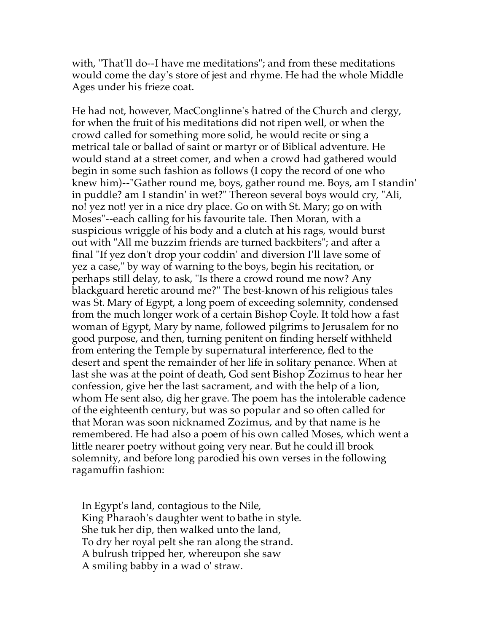with, "That'll do--I have me meditations"; and from these meditations would come the day's store of jest and rhyme. He had the whole Middle Ages under his frieze coat.

He had not, however, MacConglinne's hatred of the Church and clergy, for when the fruit of his meditations did not ripen well, or when the crowd called for something more solid, he would recite or sing a metrical tale or ballad of saint or martyr or of Biblical adventure. He would stand at a street comer, and when a crowd had gathered would begin in some such fashion as follows (I copy the record of one who knew him)--"Gather round me, boys, gather round me. Boys, am I standin' in puddle? am I standin' in wet?" Thereon several boys would cry, "Ali, no! yez not! yer in a nice dry place. Go on with St. Mary; go on with Moses"--each calling for his favourite tale. Then Moran, with a suspicious wriggle of his body and a clutch at his rags, would burst out with "All me buzzim friends are turned backbiters"; and after a final "If yez don't drop your coddin' and diversion I'll lave some of yez a case," by way of warning to the boys, begin his recitation, or perhaps still delay, to ask, "Is there a crowd round me now? Any blackguard heretic around me?" The best-known of his religious tales was St. Mary of Egypt, a long poem of exceeding solemnity, condensed from the much longer work of a certain Bishop Coyle. It told how a fast woman of Egypt, Mary by name, followed pilgrims to Jerusalem for no good purpose, and then, turning penitent on finding herself withheld from entering the Temple by supernatural interference, fled to the desert and spent the remainder of her life in solitary penance. When at last she was at the point of death, God sent Bishop Zozimus to hear her confession, give her the last sacrament, and with the help of a lion, whom He sent also, dig her grave. The poem has the intolerable cadence of the eighteenth century, but was so popular and so often called for that Moran was soon nicknamed Zozimus, and by that name is he remembered. He had also a poem of his own called Moses, which went a little nearer poetry without going very near. But he could ill brook solemnity, and before long parodied his own verses in the following ragamuffin fashion:

 In Egypt's land, contagious to the Nile, King Pharaoh's daughter went to bathe in style. She tuk her dip, then walked unto the land, To dry her royal pelt she ran along the strand. A bulrush tripped her, whereupon she saw A smiling babby in a wad o' straw.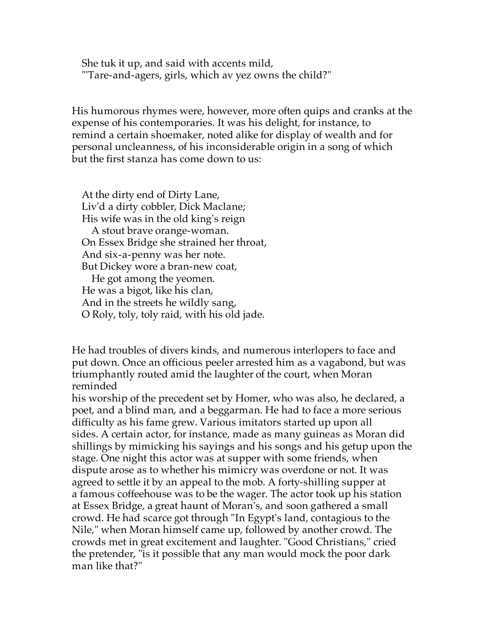She tuk it up, and said with accents mild, "'Tare-and-agers, girls, which av yez owns the child?"

His humorous rhymes were, however, more often quips and cranks at the expense of his contemporaries. It was his delight, for instance, to remind a certain shoemaker, noted alike for display of wealth and for personal uncleanness, of his inconsiderable origin in a song of which but the first stanza has come down to us:

 At the dirty end of Dirty Lane, Liv'd a dirty cobbler, Dick Maclane; His wife was in the old king's reign A stout brave orange-woman. On Essex Bridge she strained her throat, And six-a-penny was her note. But Dickey wore a bran-new coat, He got among the yeomen. He was a bigot, like his clan, And in the streets he wildly sang, O Roly, toly, toly raid, with his old jade.

He had troubles of divers kinds, and numerous interlopers to face and put down. Once an officious peeler arrested him as a vagabond, but was triumphantly routed amid the laughter of the court, when Moran reminded

his worship of the precedent set by Homer, who was also, he declared, a poet, and a blind man, and a beggarman. He had to face a more serious difficulty as his fame grew. Various imitators started up upon all sides. A certain actor, for instance, made as many guineas as Moran did shillings by mimicking his sayings and his songs and his getup upon the stage. One night this actor was at supper with some friends, when dispute arose as to whether his mimicry was overdone or not. It was agreed to settle it by an appeal to the mob. A forty-shilling supper at a famous coffeehouse was to be the wager. The actor took up his station at Essex Bridge, a great haunt of Moran's, and soon gathered a small crowd. He had scarce got through "In Egypt's land, contagious to the Nile," when Moran himself came up, followed by another crowd. The crowds met in great excitement and laughter. "Good Christians," cried the pretender, "is it possible that any man would mock the poor dark man like that?"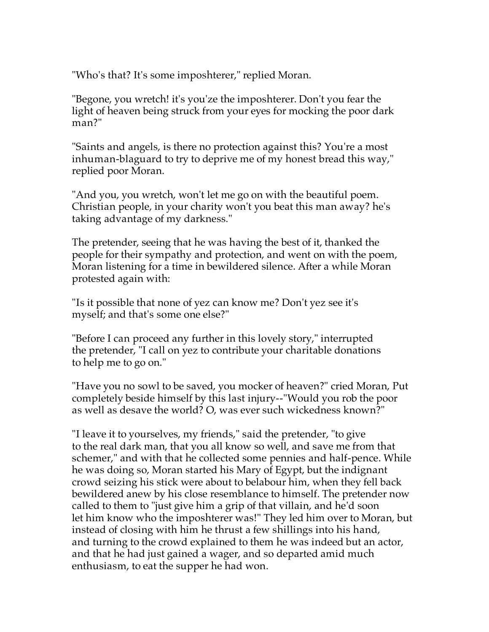"Who's that? It's some imposhterer," replied Moran.

"Begone, you wretch! it's you'ze the imposhterer. Don't you fear the light of heaven being struck from your eyes for mocking the poor dark man?"

"Saints and angels, is there no protection against this? You're a most inhuman-blaguard to try to deprive me of my honest bread this way," replied poor Moran.

"And you, you wretch, won't let me go on with the beautiful poem. Christian people, in your charity won't you beat this man away? he's taking advantage of my darkness."

The pretender, seeing that he was having the best of it, thanked the people for their sympathy and protection, and went on with the poem, Moran listening for a time in bewildered silence. After a while Moran protested again with:

"Is it possible that none of yez can know me? Don't yez see it's myself; and that's some one else?"

"Before I can proceed any further in this lovely story," interrupted the pretender, "I call on yez to contribute your charitable donations to help me to go on."

"Have you no sowl to be saved, you mocker of heaven?" cried Moran, Put completely beside himself by this last injury--"Would you rob the poor as well as desave the world? O, was ever such wickedness known?"

"I leave it to yourselves, my friends," said the pretender, "to give to the real dark man, that you all know so well, and save me from that schemer," and with that he collected some pennies and half-pence. While he was doing so, Moran started his Mary of Egypt, but the indignant crowd seizing his stick were about to belabour him, when they fell back bewildered anew by his close resemblance to himself. The pretender now called to them to "just give him a grip of that villain, and he'd soon let him know who the imposhterer was!" They led him over to Moran, but instead of closing with him he thrust a few shillings into his hand, and turning to the crowd explained to them he was indeed but an actor, and that he had just gained a wager, and so departed amid much enthusiasm, to eat the supper he had won.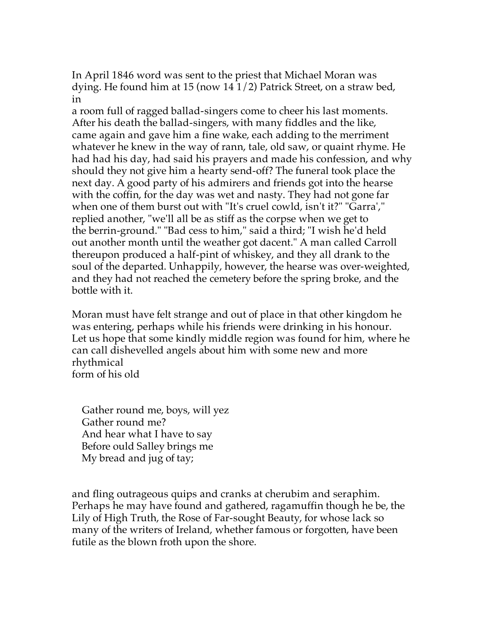In April 1846 word was sent to the priest that Michael Moran was dying. He found him at 15 (now 14 1/2) Patrick Street, on a straw bed, in

a room full of ragged ballad-singers come to cheer his last moments. After his death the ballad-singers, with many fiddles and the like, came again and gave him a fine wake, each adding to the merriment whatever he knew in the way of rann, tale, old saw, or quaint rhyme. He had had his day, had said his prayers and made his confession, and why should they not give him a hearty send-off? The funeral took place the next day. A good party of his admirers and friends got into the hearse with the coffin, for the day was wet and nasty. They had not gone far when one of them burst out with "It's cruel cowld, isn't it?" "Garra'," replied another, "we'll all be as stiff as the corpse when we get to the berrin-ground." "Bad cess to him," said a third; "I wish he'd held out another month until the weather got dacent." A man called Carroll thereupon produced a half-pint of whiskey, and they all drank to the soul of the departed. Unhappily, however, the hearse was over-weighted, and they had not reached the cemetery before the spring broke, and the bottle with it.

Moran must have felt strange and out of place in that other kingdom he was entering, perhaps while his friends were drinking in his honour. Let us hope that some kindly middle region was found for him, where he can call dishevelled angels about him with some new and more rhythmical form of his old

 Gather round me, boys, will yez Gather round me? And hear what I have to say Before ould Salley brings me My bread and jug of tay;

and fling outrageous quips and cranks at cherubim and seraphim. Perhaps he may have found and gathered, ragamuffin though he be, the Lily of High Truth, the Rose of Far-sought Beauty, for whose lack so many of the writers of Ireland, whether famous or forgotten, have been futile as the blown froth upon the shore.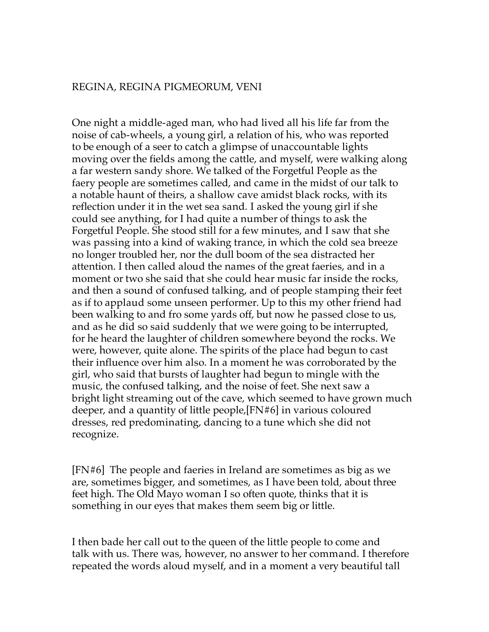### REGINA, REGINA PIGMEORUM, VENI

One night a middle-aged man, who had lived all his life far from the noise of cab-wheels, a young girl, a relation of his, who was reported to be enough of a seer to catch a glimpse of unaccountable lights moving over the fields among the cattle, and myself, were walking along a far western sandy shore. We talked of the Forgetful People as the faery people are sometimes called, and came in the midst of our talk to a notable haunt of theirs, a shallow cave amidst black rocks, with its reflection under it in the wet sea sand. I asked the young girl if she could see anything, for I had quite a number of things to ask the Forgetful People. She stood still for a few minutes, and I saw that she was passing into a kind of waking trance, in which the cold sea breeze no longer troubled her, nor the dull boom of the sea distracted her attention. I then called aloud the names of the great faeries, and in a moment or two she said that she could hear music far inside the rocks, and then a sound of confused talking, and of people stamping their feet as if to applaud some unseen performer. Up to this my other friend had been walking to and fro some yards off, but now he passed close to us, and as he did so said suddenly that we were going to be interrupted, for he heard the laughter of children somewhere beyond the rocks. We were, however, quite alone. The spirits of the place had begun to cast their influence over him also. In a moment he was corroborated by the girl, who said that bursts of laughter had begun to mingle with the music, the confused talking, and the noise of feet. She next saw a bright light streaming out of the cave, which seemed to have grown much deeper, and a quantity of little people,[FN#6] in various coloured dresses, red predominating, dancing to a tune which she did not recognize.

[FN#6] The people and faeries in Ireland are sometimes as big as we are, sometimes bigger, and sometimes, as I have been told, about three feet high. The Old Mayo woman I so often quote, thinks that it is something in our eyes that makes them seem big or little.

I then bade her call out to the queen of the little people to come and talk with us. There was, however, no answer to her command. I therefore repeated the words aloud myself, and in a moment a very beautiful tall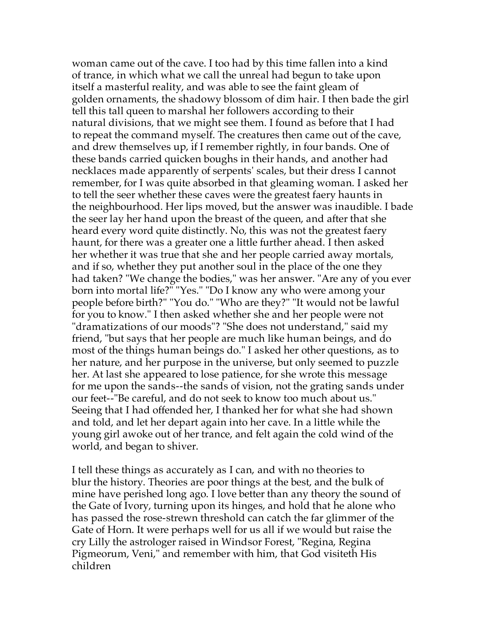woman came out of the cave. I too had by this time fallen into a kind of trance, in which what we call the unreal had begun to take upon itself a masterful reality, and was able to see the faint gleam of golden ornaments, the shadowy blossom of dim hair. I then bade the girl tell this tall queen to marshal her followers according to their natural divisions, that we might see them. I found as before that I had to repeat the command myself. The creatures then came out of the cave, and drew themselves up, if I remember rightly, in four bands. One of these bands carried quicken boughs in their hands, and another had necklaces made apparently of serpents' scales, but their dress I cannot remember, for I was quite absorbed in that gleaming woman. I asked her to tell the seer whether these caves were the greatest faery haunts in the neighbourhood. Her lips moved, but the answer was inaudible. I bade the seer lay her hand upon the breast of the queen, and after that she heard every word quite distinctly. No, this was not the greatest faery haunt, for there was a greater one a little further ahead. I then asked her whether it was true that she and her people carried away mortals, and if so, whether they put another soul in the place of the one they had taken? "We change the bodies," was her answer. "Are any of you ever born into mortal life?" "Yes." "Do I know any who were among your people before birth?" "You do." "Who are they?" "It would not be lawful for you to know." I then asked whether she and her people were not "dramatizations of our moods"? "She does not understand," said my friend, "but says that her people are much like human beings, and do most of the things human beings do." I asked her other questions, as to her nature, and her purpose in the universe, but only seemed to puzzle her. At last she appeared to lose patience, for she wrote this message for me upon the sands--the sands of vision, not the grating sands under our feet--"Be careful, and do not seek to know too much about us." Seeing that I had offended her, I thanked her for what she had shown and told, and let her depart again into her cave. In a little while the young girl awoke out of her trance, and felt again the cold wind of the world, and began to shiver.

I tell these things as accurately as I can, and with no theories to blur the history. Theories are poor things at the best, and the bulk of mine have perished long ago. I love better than any theory the sound of the Gate of Ivory, turning upon its hinges, and hold that he alone who has passed the rose-strewn threshold can catch the far glimmer of the Gate of Horn. It were perhaps well for us all if we would but raise the cry Lilly the astrologer raised in Windsor Forest, "Regina, Regina Pigmeorum, Veni," and remember with him, that God visiteth His children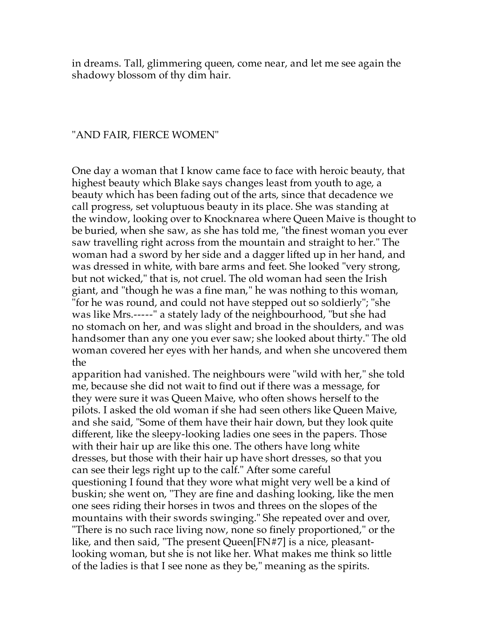in dreams. Tall, glimmering queen, come near, and let me see again the shadowy blossom of thy dim hair.

#### "AND FAIR, FIERCE WOMEN"

One day a woman that I know came face to face with heroic beauty, that highest beauty which Blake says changes least from youth to age, a beauty which has been fading out of the arts, since that decadence we call progress, set voluptuous beauty in its place. She was standing at the window, looking over to Knocknarea where Queen Maive is thought to be buried, when she saw, as she has told me, "the finest woman you ever saw travelling right across from the mountain and straight to her." The woman had a sword by her side and a dagger lifted up in her hand, and was dressed in white, with bare arms and feet. She looked "very strong, but not wicked," that is, not cruel. The old woman had seen the Irish giant, and "though he was a fine man," he was nothing to this woman, "for he was round, and could not have stepped out so soldierly"; "she was like Mrs.-----" a stately lady of the neighbourhood, "but she had no stomach on her, and was slight and broad in the shoulders, and was handsomer than any one you ever saw; she looked about thirty." The old woman covered her eyes with her hands, and when she uncovered them the

apparition had vanished. The neighbours were "wild with her," she told me, because she did not wait to find out if there was a message, for they were sure it was Queen Maive, who often shows herself to the pilots. I asked the old woman if she had seen others like Queen Maive, and she said, "Some of them have their hair down, but they look quite different, like the sleepy-looking ladies one sees in the papers. Those with their hair up are like this one. The others have long white dresses, but those with their hair up have short dresses, so that you can see their legs right up to the calf." After some careful questioning I found that they wore what might very well be a kind of buskin; she went on, "They are fine and dashing looking, like the men one sees riding their horses in twos and threes on the slopes of the mountains with their swords swinging." She repeated over and over, "There is no such race living now, none so finely proportioned," or the like, and then said, "The present Queen[FN#7] is a nice, pleasantlooking woman, but she is not like her. What makes me think so little of the ladies is that I see none as they be," meaning as the spirits.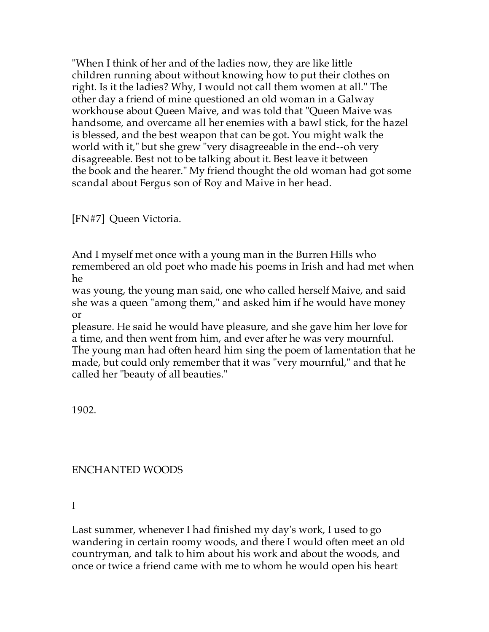"When I think of her and of the ladies now, they are like little children running about without knowing how to put their clothes on right. Is it the ladies? Why, I would not call them women at all." The other day a friend of mine questioned an old woman in a Galway workhouse about Queen Maive, and was told that "Queen Maive was handsome, and overcame all her enemies with a bawl stick, for the hazel is blessed, and the best weapon that can be got. You might walk the world with it," but she grew "very disagreeable in the end--oh very disagreeable. Best not to be talking about it. Best leave it between the book and the hearer." My friend thought the old woman had got some scandal about Fergus son of Roy and Maive in her head.

[FN#7] Queen Victoria.

And I myself met once with a young man in the Burren Hills who remembered an old poet who made his poems in Irish and had met when he

was young, the young man said, one who called herself Maive, and said she was a queen "among them," and asked him if he would have money or

pleasure. He said he would have pleasure, and she gave him her love for a time, and then went from him, and ever after he was very mournful. The young man had often heard him sing the poem of lamentation that he made, but could only remember that it was "very mournful," and that he called her "beauty of all beauties."

1902.

# ENCHANTED WOODS

I

Last summer, whenever I had finished my day's work, I used to go wandering in certain roomy woods, and there I would often meet an old countryman, and talk to him about his work and about the woods, and once or twice a friend came with me to whom he would open his heart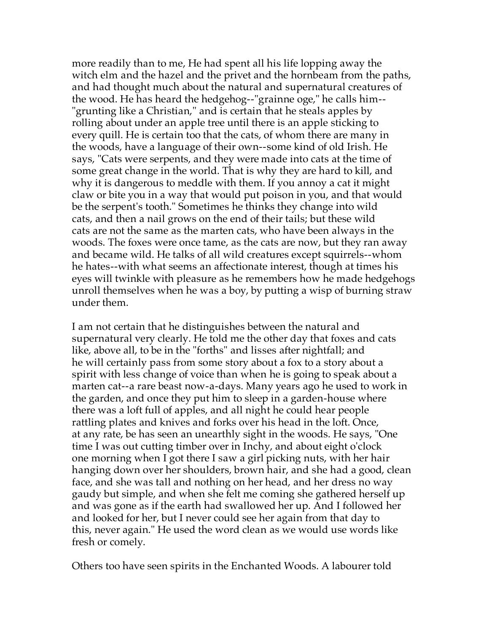more readily than to me, He had spent all his life lopping away the witch elm and the hazel and the privet and the hornbeam from the paths, and had thought much about the natural and supernatural creatures of the wood. He has heard the hedgehog--"grainne oge," he calls him-- "grunting like a Christian," and is certain that he steals apples by rolling about under an apple tree until there is an apple sticking to every quill. He is certain too that the cats, of whom there are many in the woods, have a language of their own--some kind of old Irish. He says, "Cats were serpents, and they were made into cats at the time of some great change in the world. That is why they are hard to kill, and why it is dangerous to meddle with them. If you annoy a cat it might claw or bite you in a way that would put poison in you, and that would be the serpent's tooth." Sometimes he thinks they change into wild cats, and then a nail grows on the end of their tails; but these wild cats are not the same as the marten cats, who have been always in the woods. The foxes were once tame, as the cats are now, but they ran away and became wild. He talks of all wild creatures except squirrels--whom he hates--with what seems an affectionate interest, though at times his eyes will twinkle with pleasure as he remembers how he made hedgehogs unroll themselves when he was a boy, by putting a wisp of burning straw under them.

I am not certain that he distinguishes between the natural and supernatural very clearly. He told me the other day that foxes and cats like, above all, to be in the "forths" and lisses after nightfall; and he will certainly pass from some story about a fox to a story about a spirit with less change of voice than when he is going to speak about a marten cat--a rare beast now-a-days. Many years ago he used to work in the garden, and once they put him to sleep in a garden-house where there was a loft full of apples, and all night he could hear people rattling plates and knives and forks over his head in the loft. Once, at any rate, be has seen an unearthly sight in the woods. He says, "One time I was out cutting timber over in Inchy, and about eight o'clock one morning when I got there I saw a girl picking nuts, with her hair hanging down over her shoulders, brown hair, and she had a good, clean face, and she was tall and nothing on her head, and her dress no way gaudy but simple, and when she felt me coming she gathered herself up and was gone as if the earth had swallowed her up. And I followed her and looked for her, but I never could see her again from that day to this, never again." He used the word clean as we would use words like fresh or comely.

Others too have seen spirits in the Enchanted Woods. A labourer told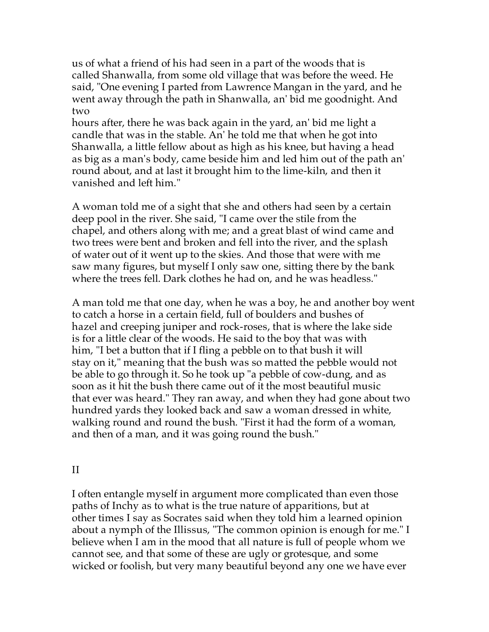us of what a friend of his had seen in a part of the woods that is called Shanwalla, from some old village that was before the weed. He said, "One evening I parted from Lawrence Mangan in the yard, and he went away through the path in Shanwalla, an' bid me goodnight. And two

hours after, there he was back again in the yard, an' bid me light a candle that was in the stable. An' he told me that when he got into Shanwalla, a little fellow about as high as his knee, but having a head as big as a man's body, came beside him and led him out of the path an' round about, and at last it brought him to the lime-kiln, and then it vanished and left him."

A woman told me of a sight that she and others had seen by a certain deep pool in the river. She said, "I came over the stile from the chapel, and others along with me; and a great blast of wind came and two trees were bent and broken and fell into the river, and the splash of water out of it went up to the skies. And those that were with me saw many figures, but myself I only saw one, sitting there by the bank where the trees fell. Dark clothes he had on, and he was headless."

A man told me that one day, when he was a boy, he and another boy went to catch a horse in a certain field, full of boulders and bushes of hazel and creeping juniper and rock-roses, that is where the lake side is for a little clear of the woods. He said to the boy that was with him, "I bet a button that if I fling a pebble on to that bush it will stay on it," meaning that the bush was so matted the pebble would not be able to go through it. So he took up "a pebble of cow-dung, and as soon as it hit the bush there came out of it the most beautiful music that ever was heard." They ran away, and when they had gone about two hundred yards they looked back and saw a woman dressed in white, walking round and round the bush. "First it had the form of a woman, and then of a man, and it was going round the bush."

#### II

I often entangle myself in argument more complicated than even those paths of Inchy as to what is the true nature of apparitions, but at other times I say as Socrates said when they told him a learned opinion about a nymph of the Illissus, "The common opinion is enough for me." I believe when I am in the mood that all nature is full of people whom we cannot see, and that some of these are ugly or grotesque, and some wicked or foolish, but very many beautiful beyond any one we have ever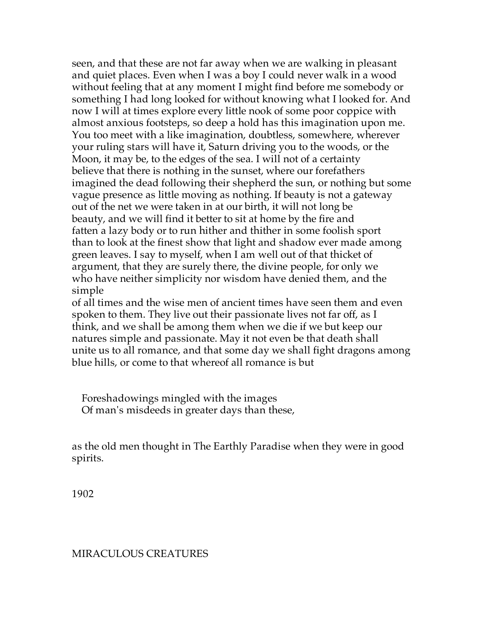seen, and that these are not far away when we are walking in pleasant and quiet places. Even when I was a boy I could never walk in a wood without feeling that at any moment I might find before me somebody or something I had long looked for without knowing what I looked for. And now I will at times explore every little nook of some poor coppice with almost anxious footsteps, so deep a hold has this imagination upon me. You too meet with a like imagination, doubtless, somewhere, wherever your ruling stars will have it, Saturn driving you to the woods, or the Moon, it may be, to the edges of the sea. I will not of a certainty believe that there is nothing in the sunset, where our forefathers imagined the dead following their shepherd the sun, or nothing but some vague presence as little moving as nothing. If beauty is not a gateway out of the net we were taken in at our birth, it will not long be beauty, and we will find it better to sit at home by the fire and fatten a lazy body or to run hither and thither in some foolish sport than to look at the finest show that light and shadow ever made among green leaves. I say to myself, when I am well out of that thicket of argument, that they are surely there, the divine people, for only we who have neither simplicity nor wisdom have denied them, and the simple

of all times and the wise men of ancient times have seen them and even spoken to them. They live out their passionate lives not far off, as I think, and we shall be among them when we die if we but keep our natures simple and passionate. May it not even be that death shall unite us to all romance, and that some day we shall fight dragons among blue hills, or come to that whereof all romance is but

 Foreshadowings mingled with the images Of man's misdeeds in greater days than these,

as the old men thought in The Earthly Paradise when they were in good spirits.

1902

#### MIRACULOUS CREATURES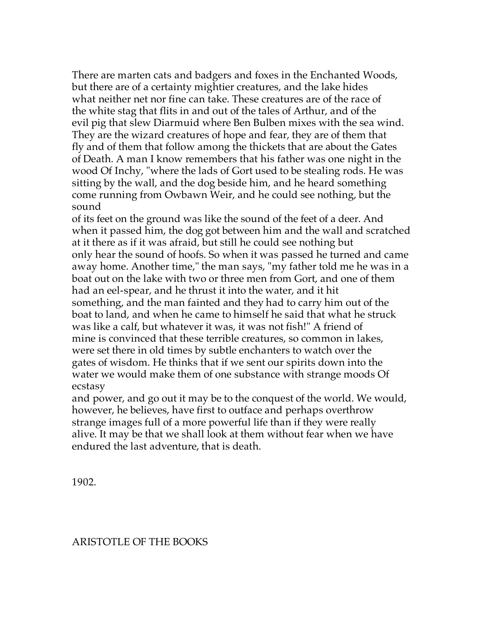There are marten cats and badgers and foxes in the Enchanted Woods, but there are of a certainty mightier creatures, and the lake hides what neither net nor fine can take. These creatures are of the race of the white stag that flits in and out of the tales of Arthur, and of the evil pig that slew Diarmuid where Ben Bulben mixes with the sea wind. They are the wizard creatures of hope and fear, they are of them that fly and of them that follow among the thickets that are about the Gates of Death. A man I know remembers that his father was one night in the wood Of Inchy, "where the lads of Gort used to be stealing rods. He was sitting by the wall, and the dog beside him, and he heard something come running from Owbawn Weir, and he could see nothing, but the sound

of its feet on the ground was like the sound of the feet of a deer. And when it passed him, the dog got between him and the wall and scratched at it there as if it was afraid, but still he could see nothing but only hear the sound of hoofs. So when it was passed he turned and came away home. Another time," the man says, "my father told me he was in a boat out on the lake with two or three men from Gort, and one of them had an eel-spear, and he thrust it into the water, and it hit something, and the man fainted and they had to carry him out of the boat to land, and when he came to himself he said that what he struck was like a calf, but whatever it was, it was not fish!" A friend of mine is convinced that these terrible creatures, so common in lakes, were set there in old times by subtle enchanters to watch over the gates of wisdom. He thinks that if we sent our spirits down into the water we would make them of one substance with strange moods Of ecstasy

and power, and go out it may be to the conquest of the world. We would, however, he believes, have first to outface and perhaps overthrow strange images full of a more powerful life than if they were really alive. It may be that we shall look at them without fear when we have endured the last adventure, that is death.

1902.

## ARISTOTLE OF THE BOOKS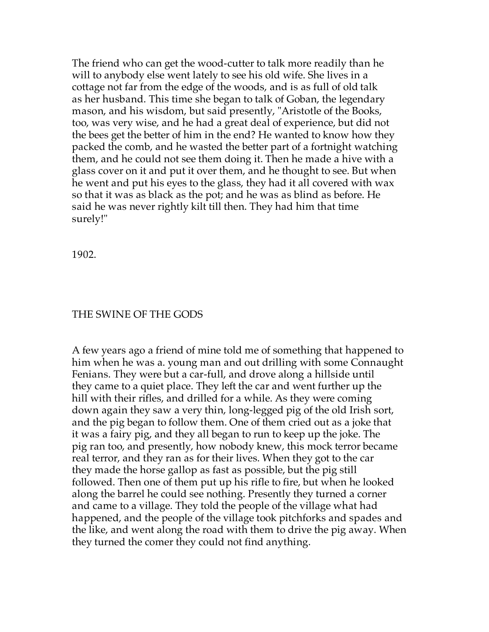The friend who can get the wood-cutter to talk more readily than he will to anybody else went lately to see his old wife. She lives in a cottage not far from the edge of the woods, and is as full of old talk as her husband. This time she began to talk of Goban, the legendary mason, and his wisdom, but said presently, "Aristotle of the Books, too, was very wise, and he had a great deal of experience, but did not the bees get the better of him in the end? He wanted to know how they packed the comb, and he wasted the better part of a fortnight watching them, and he could not see them doing it. Then he made a hive with a glass cover on it and put it over them, and he thought to see. But when he went and put his eyes to the glass, they had it all covered with wax so that it was as black as the pot; and he was as blind as before. He said he was never rightly kilt till then. They had him that time surely!"

1902.

### THE SWINE OF THE GODS

A few years ago a friend of mine told me of something that happened to him when he was a. young man and out drilling with some Connaught Fenians. They were but a car-full, and drove along a hillside until they came to a quiet place. They left the car and went further up the hill with their rifles, and drilled for a while. As they were coming down again they saw a very thin, long-legged pig of the old Irish sort, and the pig began to follow them. One of them cried out as a joke that it was a fairy pig, and they all began to run to keep up the joke. The pig ran too, and presently, how nobody knew, this mock terror became real terror, and they ran as for their lives. When they got to the car they made the horse gallop as fast as possible, but the pig still followed. Then one of them put up his rifle to fire, but when he looked along the barrel he could see nothing. Presently they turned a corner and came to a village. They told the people of the village what had happened, and the people of the village took pitchforks and spades and the like, and went along the road with them to drive the pig away. When they turned the comer they could not find anything.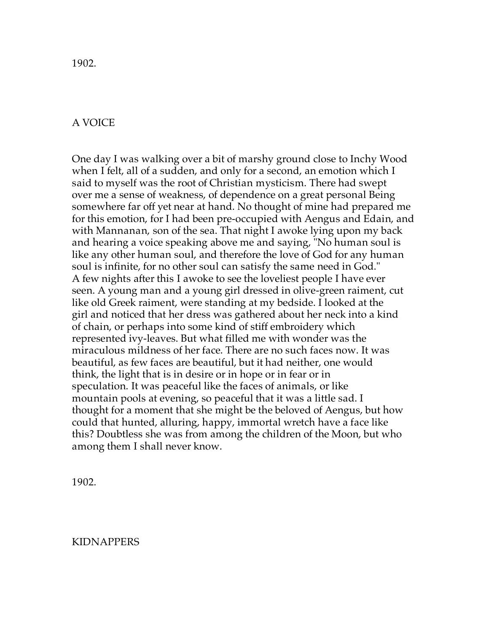1902.

## A VOICE

One day I was walking over a bit of marshy ground close to Inchy Wood when I felt, all of a sudden, and only for a second, an emotion which I said to myself was the root of Christian mysticism. There had swept over me a sense of weakness, of dependence on a great personal Being somewhere far off yet near at hand. No thought of mine had prepared me for this emotion, for I had been pre-occupied with Aengus and Edain, and with Mannanan, son of the sea. That night I awoke lying upon my back and hearing a voice speaking above me and saying, "No human soul is like any other human soul, and therefore the love of God for any human soul is infinite, for no other soul can satisfy the same need in God." A few nights after this I awoke to see the loveliest people I have ever seen. A young man and a young girl dressed in olive-green raiment, cut like old Greek raiment, were standing at my bedside. I looked at the girl and noticed that her dress was gathered about her neck into a kind of chain, or perhaps into some kind of stiff embroidery which represented ivy-leaves. But what filled me with wonder was the miraculous mildness of her face. There are no such faces now. It was beautiful, as few faces are beautiful, but it had neither, one would think, the light that is in desire or in hope or in fear or in speculation. It was peaceful like the faces of animals, or like mountain pools at evening, so peaceful that it was a little sad. I thought for a moment that she might be the beloved of Aengus, but how could that hunted, alluring, happy, immortal wretch have a face like this? Doubtless she was from among the children of the Moon, but who among them I shall never know.

1902.

#### KIDNAPPERS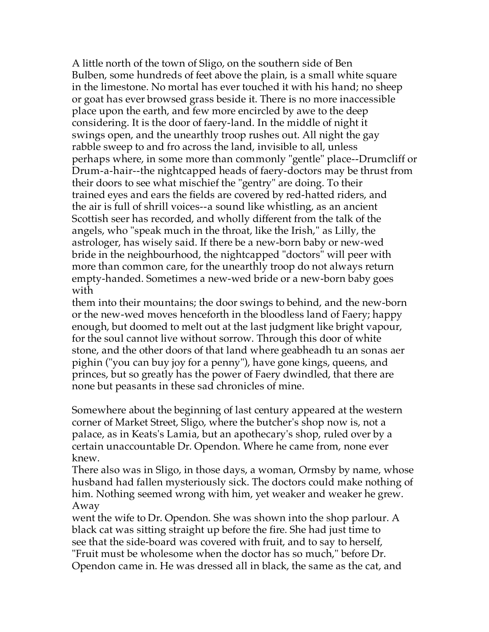A little north of the town of Sligo, on the southern side of Ben Bulben, some hundreds of feet above the plain, is a small white square in the limestone. No mortal has ever touched it with his hand; no sheep or goat has ever browsed grass beside it. There is no more inaccessible place upon the earth, and few more encircled by awe to the deep considering. It is the door of faery-land. In the middle of night it swings open, and the unearthly troop rushes out. All night the gay rabble sweep to and fro across the land, invisible to all, unless perhaps where, in some more than commonly "gentle" place--Drumcliff or Drum-a-hair--the nightcapped heads of faery-doctors may be thrust from their doors to see what mischief the "gentry" are doing. To their trained eyes and ears the fields are covered by red-hatted riders, and the air is full of shrill voices--a sound like whistling, as an ancient Scottish seer has recorded, and wholly different from the talk of the angels, who "speak much in the throat, like the Irish," as Lilly, the astrologer, has wisely said. If there be a new-born baby or new-wed bride in the neighbourhood, the nightcapped "doctors" will peer with more than common care, for the unearthly troop do not always return empty-handed. Sometimes a new-wed bride or a new-born baby goes with

them into their mountains; the door swings to behind, and the new-born or the new-wed moves henceforth in the bloodless land of Faery; happy enough, but doomed to melt out at the last judgment like bright vapour, for the soul cannot live without sorrow. Through this door of white stone, and the other doors of that land where geabheadh tu an sonas aer pighin ("you can buy joy for a penny"), have gone kings, queens, and princes, but so greatly has the power of Faery dwindled, that there are none but peasants in these sad chronicles of mine.

Somewhere about the beginning of last century appeared at the western corner of Market Street, Sligo, where the butcher's shop now is, not a palace, as in Keats's Lamia, but an apothecary's shop, ruled over by a certain unaccountable Dr. Opendon. Where he came from, none ever knew.

There also was in Sligo, in those days, a woman, Ormsby by name, whose husband had fallen mysteriously sick. The doctors could make nothing of him. Nothing seemed wrong with him, yet weaker and weaker he grew. Away

went the wife to Dr. Opendon. She was shown into the shop parlour. A black cat was sitting straight up before the fire. She had just time to see that the side-board was covered with fruit, and to say to herself, "Fruit must be wholesome when the doctor has so much," before Dr. Opendon came in. He was dressed all in black, the same as the cat, and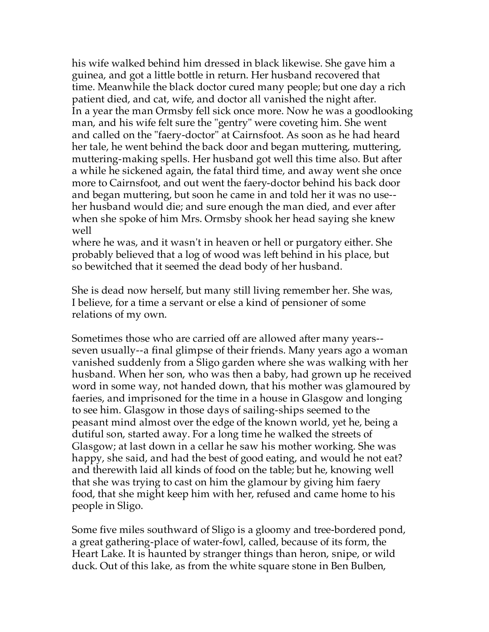his wife walked behind him dressed in black likewise. She gave him a guinea, and got a little bottle in return. Her husband recovered that time. Meanwhile the black doctor cured many people; but one day a rich patient died, and cat, wife, and doctor all vanished the night after. In a year the man Ormsby fell sick once more. Now he was a goodlooking man, and his wife felt sure the "gentry" were coveting him. She went and called on the "faery-doctor" at Cairnsfoot. As soon as he had heard her tale, he went behind the back door and began muttering, muttering, muttering-making spells. Her husband got well this time also. But after a while he sickened again, the fatal third time, and away went she once more to Cairnsfoot, and out went the faery-doctor behind his back door and began muttering, but soon he came in and told her it was no use- her husband would die; and sure enough the man died, and ever after when she spoke of him Mrs. Ormsby shook her head saying she knew well

where he was, and it wasn't in heaven or hell or purgatory either. She probably believed that a log of wood was left behind in his place, but so bewitched that it seemed the dead body of her husband.

She is dead now herself, but many still living remember her. She was, I believe, for a time a servant or else a kind of pensioner of some relations of my own.

Sometimes those who are carried off are allowed after many years- seven usually--a final glimpse of their friends. Many years ago a woman vanished suddenly from a Sligo garden where she was walking with her husband. When her son, who was then a baby, had grown up he received word in some way, not handed down, that his mother was glamoured by faeries, and imprisoned for the time in a house in Glasgow and longing to see him. Glasgow in those days of sailing-ships seemed to the peasant mind almost over the edge of the known world, yet he, being a dutiful son, started away. For a long time he walked the streets of Glasgow; at last down in a cellar he saw his mother working. She was happy, she said, and had the best of good eating, and would he not eat? and therewith laid all kinds of food on the table; but he, knowing well that she was trying to cast on him the glamour by giving him faery food, that she might keep him with her, refused and came home to his people in Sligo.

Some five miles southward of Sligo is a gloomy and tree-bordered pond, a great gathering-place of water-fowl, called, because of its form, the Heart Lake. It is haunted by stranger things than heron, snipe, or wild duck. Out of this lake, as from the white square stone in Ben Bulben,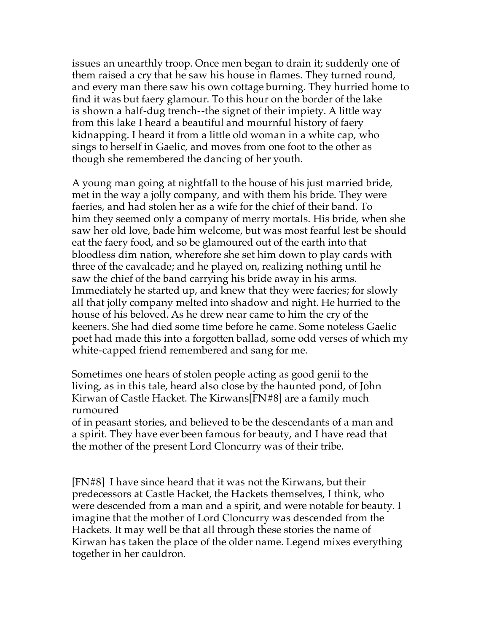issues an unearthly troop. Once men began to drain it; suddenly one of them raised a cry that he saw his house in flames. They turned round, and every man there saw his own cottage burning. They hurried home to find it was but faery glamour. To this hour on the border of the lake is shown a half-dug trench--the signet of their impiety. A little way from this lake I heard a beautiful and mournful history of faery kidnapping. I heard it from a little old woman in a white cap, who sings to herself in Gaelic, and moves from one foot to the other as though she remembered the dancing of her youth.

A young man going at nightfall to the house of his just married bride, met in the way a jolly company, and with them his bride. They were faeries, and had stolen her as a wife for the chief of their band. To him they seemed only a company of merry mortals. His bride, when she saw her old love, bade him welcome, but was most fearful lest be should eat the faery food, and so be glamoured out of the earth into that bloodless dim nation, wherefore she set him down to play cards with three of the cavalcade; and he played on, realizing nothing until he saw the chief of the band carrying his bride away in his arms. Immediately he started up, and knew that they were faeries; for slowly all that jolly company melted into shadow and night. He hurried to the house of his beloved. As he drew near came to him the cry of the keeners. She had died some time before he came. Some noteless Gaelic poet had made this into a forgotten ballad, some odd verses of which my white-capped friend remembered and sang for me.

Sometimes one hears of stolen people acting as good genii to the living, as in this tale, heard also close by the haunted pond, of John Kirwan of Castle Hacket. The Kirwans[FN#8] are a family much rumoured

of in peasant stories, and believed to be the descendants of a man and a spirit. They have ever been famous for beauty, and I have read that the mother of the present Lord Cloncurry was of their tribe.

[FN#8] I have since heard that it was not the Kirwans, but their predecessors at Castle Hacket, the Hackets themselves, I think, who were descended from a man and a spirit, and were notable for beauty. I imagine that the mother of Lord Cloncurry was descended from the Hackets. It may well be that all through these stories the name of Kirwan has taken the place of the older name. Legend mixes everything together in her cauldron.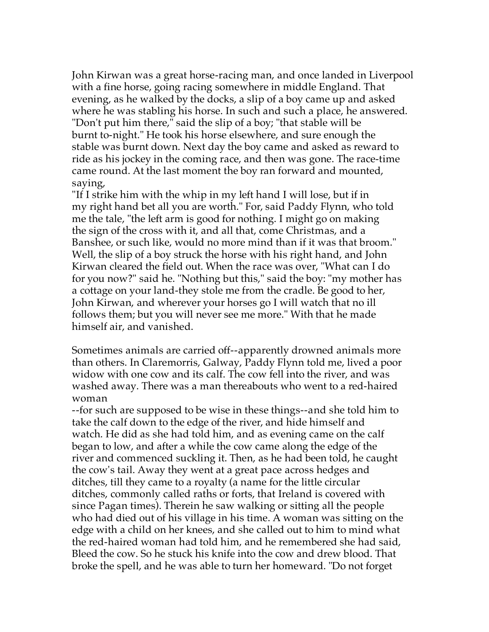John Kirwan was a great horse-racing man, and once landed in Liverpool with a fine horse, going racing somewhere in middle England. That evening, as he walked by the docks, a slip of a boy came up and asked where he was stabling his horse. In such and such a place, he answered. "Don't put him there," said the slip of a boy; "that stable will be burnt to-night." He took his horse elsewhere, and sure enough the stable was burnt down. Next day the boy came and asked as reward to ride as his jockey in the coming race, and then was gone. The race-time came round. At the last moment the boy ran forward and mounted, saying,

"If I strike him with the whip in my left hand I will lose, but if in my right hand bet all you are worth." For, said Paddy Flynn, who told me the tale, "the left arm is good for nothing. I might go on making the sign of the cross with it, and all that, come Christmas, and a Banshee, or such like, would no more mind than if it was that broom." Well, the slip of a boy struck the horse with his right hand, and John Kirwan cleared the field out. When the race was over, "What can I do for you now?" said he. "Nothing but this," said the boy: "my mother has a cottage on your land-they stole me from the cradle. Be good to her, John Kirwan, and wherever your horses go I will watch that no ill follows them; but you will never see me more." With that he made himself air, and vanished.

Sometimes animals are carried off--apparently drowned animals more than others. In Claremorris, Galway, Paddy Flynn told me, lived a poor widow with one cow and its calf. The cow fell into the river, and was washed away. There was a man thereabouts who went to a red-haired woman

--for such are supposed to be wise in these things--and she told him to take the calf down to the edge of the river, and hide himself and watch. He did as she had told him, and as evening came on the calf began to low, and after a while the cow came along the edge of the river and commenced suckling it. Then, as he had been told, he caught the cow's tail. Away they went at a great pace across hedges and ditches, till they came to a royalty (a name for the little circular ditches, commonly called raths or forts, that Ireland is covered with since Pagan times). Therein he saw walking or sitting all the people who had died out of his village in his time. A woman was sitting on the edge with a child on her knees, and she called out to him to mind what the red-haired woman had told him, and he remembered she had said, Bleed the cow. So he stuck his knife into the cow and drew blood. That broke the spell, and he was able to turn her homeward. "Do not forget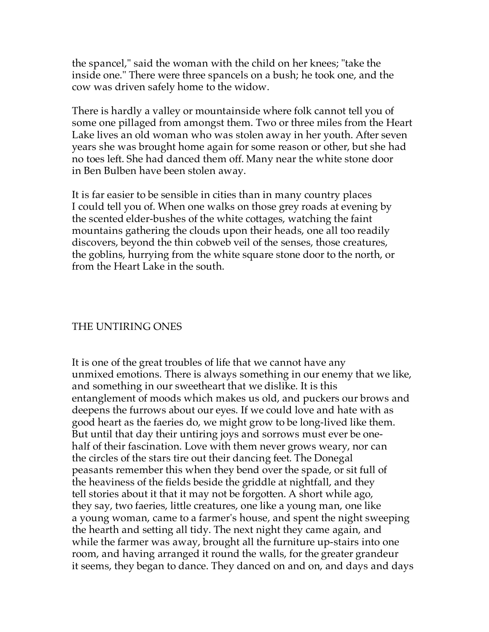the spancel," said the woman with the child on her knees; "take the inside one." There were three spancels on a bush; he took one, and the cow was driven safely home to the widow.

There is hardly a valley or mountainside where folk cannot tell you of some one pillaged from amongst them. Two or three miles from the Heart Lake lives an old woman who was stolen away in her youth. After seven years she was brought home again for some reason or other, but she had no toes left. She had danced them off. Many near the white stone door in Ben Bulben have been stolen away.

It is far easier to be sensible in cities than in many country places I could tell you of. When one walks on those grey roads at evening by the scented elder-bushes of the white cottages, watching the faint mountains gathering the clouds upon their heads, one all too readily discovers, beyond the thin cobweb veil of the senses, those creatures, the goblins, hurrying from the white square stone door to the north, or from the Heart Lake in the south.

## THE UNTIRING ONES

It is one of the great troubles of life that we cannot have any unmixed emotions. There is always something in our enemy that we like, and something in our sweetheart that we dislike. It is this entanglement of moods which makes us old, and puckers our brows and deepens the furrows about our eyes. If we could love and hate with as good heart as the faeries do, we might grow to be long-lived like them. But until that day their untiring joys and sorrows must ever be onehalf of their fascination. Love with them never grows weary, nor can the circles of the stars tire out their dancing feet. The Donegal peasants remember this when they bend over the spade, or sit full of the heaviness of the fields beside the griddle at nightfall, and they tell stories about it that it may not be forgotten. A short while ago, they say, two faeries, little creatures, one like a young man, one like a young woman, came to a farmer's house, and spent the night sweeping the hearth and setting all tidy. The next night they came again, and while the farmer was away, brought all the furniture up-stairs into one room, and having arranged it round the walls, for the greater grandeur it seems, they began to dance. They danced on and on, and days and days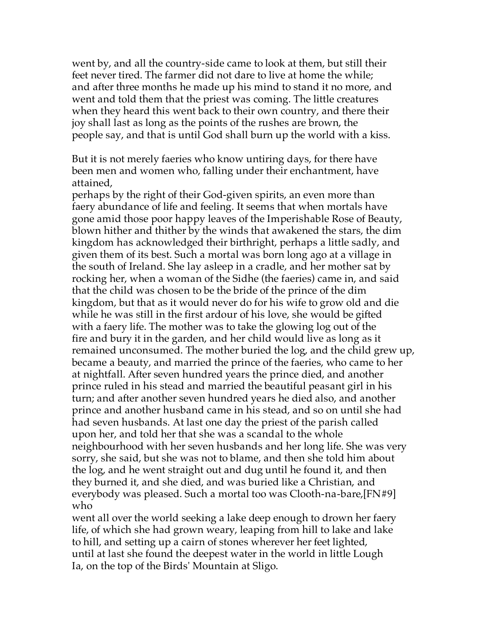went by, and all the country-side came to look at them, but still their feet never tired. The farmer did not dare to live at home the while; and after three months he made up his mind to stand it no more, and went and told them that the priest was coming. The little creatures when they heard this went back to their own country, and there their joy shall last as long as the points of the rushes are brown, the people say, and that is until God shall burn up the world with a kiss.

But it is not merely faeries who know untiring days, for there have been men and women who, falling under their enchantment, have attained,

perhaps by the right of their God-given spirits, an even more than faery abundance of life and feeling. It seems that when mortals have gone amid those poor happy leaves of the Imperishable Rose of Beauty, blown hither and thither by the winds that awakened the stars, the dim kingdom has acknowledged their birthright, perhaps a little sadly, and given them of its best. Such a mortal was born long ago at a village in the south of Ireland. She lay asleep in a cradle, and her mother sat by rocking her, when a woman of the Sidhe (the faeries) came in, and said that the child was chosen to be the bride of the prince of the dim kingdom, but that as it would never do for his wife to grow old and die while he was still in the first ardour of his love, she would be gifted with a faery life. The mother was to take the glowing log out of the fire and bury it in the garden, and her child would live as long as it remained unconsumed. The mother buried the log, and the child grew up, became a beauty, and married the prince of the faeries, who came to her at nightfall. After seven hundred years the prince died, and another prince ruled in his stead and married the beautiful peasant girl in his turn; and after another seven hundred years he died also, and another prince and another husband came in his stead, and so on until she had had seven husbands. At last one day the priest of the parish called upon her, and told her that she was a scandal to the whole neighbourhood with her seven husbands and her long life. She was very sorry, she said, but she was not to blame, and then she told him about the log, and he went straight out and dug until he found it, and then they burned it, and she died, and was buried like a Christian, and everybody was pleased. Such a mortal too was Clooth-na-bare,[FN#9] who

went all over the world seeking a lake deep enough to drown her faery life, of which she had grown weary, leaping from hill to lake and lake to hill, and setting up a cairn of stones wherever her feet lighted, until at last she found the deepest water in the world in little Lough Ia, on the top of the Birds' Mountain at Sligo.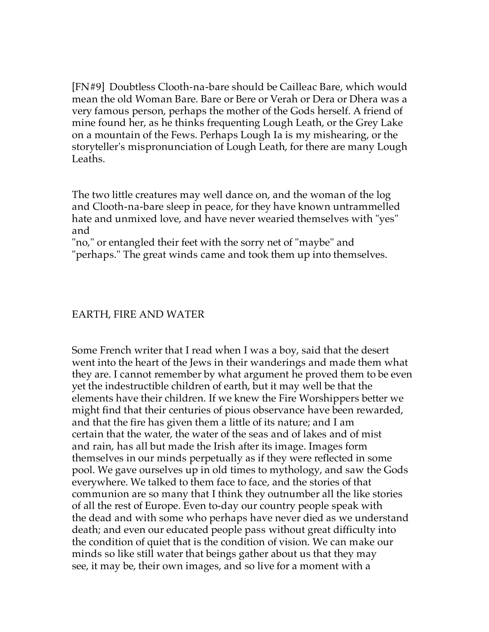[FN#9] Doubtless Clooth-na-bare should be Cailleac Bare, which would mean the old Woman Bare. Bare or Bere or Verah or Dera or Dhera was a very famous person, perhaps the mother of the Gods herself. A friend of mine found her, as he thinks frequenting Lough Leath, or the Grey Lake on a mountain of the Fews. Perhaps Lough Ia is my mishearing, or the storyteller's mispronunciation of Lough Leath, for there are many Lough Leaths.

The two little creatures may well dance on, and the woman of the log and Clooth-na-bare sleep in peace, for they have known untrammelled hate and unmixed love, and have never wearied themselves with "yes" and

"no," or entangled their feet with the sorry net of "maybe" and

"perhaps." The great winds came and took them up into themselves.

### EARTH, FIRE AND WATER

Some French writer that I read when I was a boy, said that the desert went into the heart of the Jews in their wanderings and made them what they are. I cannot remember by what argument he proved them to be even yet the indestructible children of earth, but it may well be that the elements have their children. If we knew the Fire Worshippers better we might find that their centuries of pious observance have been rewarded, and that the fire has given them a little of its nature; and I am certain that the water, the water of the seas and of lakes and of mist and rain, has all but made the Irish after its image. Images form themselves in our minds perpetually as if they were reflected in some pool. We gave ourselves up in old times to mythology, and saw the Gods everywhere. We talked to them face to face, and the stories of that communion are so many that I think they outnumber all the like stories of all the rest of Europe. Even to-day our country people speak with the dead and with some who perhaps have never died as we understand death; and even our educated people pass without great difficulty into the condition of quiet that is the condition of vision. We can make our minds so like still water that beings gather about us that they may see, it may be, their own images, and so live for a moment with a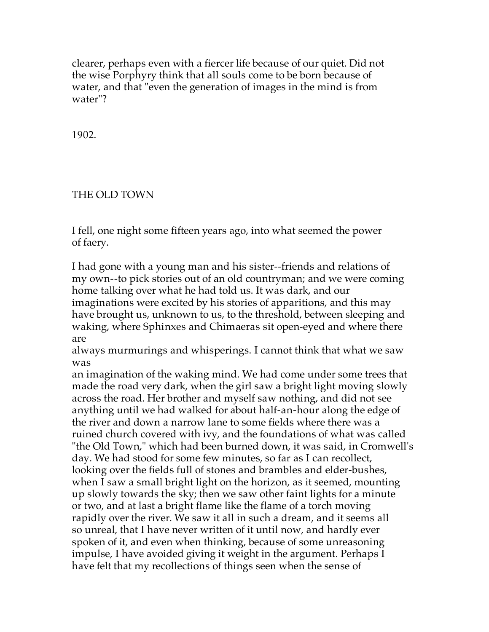clearer, perhaps even with a fiercer life because of our quiet. Did not the wise Porphyry think that all souls come to be born because of water, and that "even the generation of images in the mind is from water"?

1902.

## THE OLD TOWN

I fell, one night some fifteen years ago, into what seemed the power of faery.

I had gone with a young man and his sister--friends and relations of my own--to pick stories out of an old countryman; and we were coming home talking over what he had told us. It was dark, and our imaginations were excited by his stories of apparitions, and this may have brought us, unknown to us, to the threshold, between sleeping and waking, where Sphinxes and Chimaeras sit open-eyed and where there are

always murmurings and whisperings. I cannot think that what we saw was

an imagination of the waking mind. We had come under some trees that made the road very dark, when the girl saw a bright light moving slowly across the road. Her brother and myself saw nothing, and did not see anything until we had walked for about half-an-hour along the edge of the river and down a narrow lane to some fields where there was a ruined church covered with ivy, and the foundations of what was called "the Old Town," which had been burned down, it was said, in Cromwell's day. We had stood for some few minutes, so far as I can recollect, looking over the fields full of stones and brambles and elder-bushes, when I saw a small bright light on the horizon, as it seemed, mounting up slowly towards the sky; then we saw other faint lights for a minute or two, and at last a bright flame like the flame of a torch moving rapidly over the river. We saw it all in such a dream, and it seems all so unreal, that I have never written of it until now, and hardly ever spoken of it, and even when thinking, because of some unreasoning impulse, I have avoided giving it weight in the argument. Perhaps I have felt that my recollections of things seen when the sense of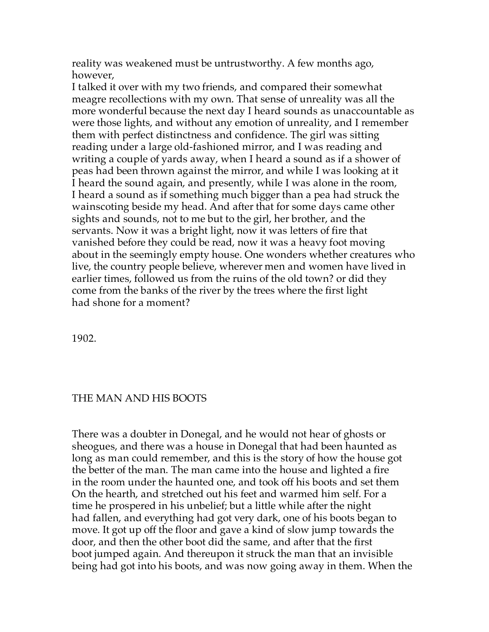reality was weakened must be untrustworthy. A few months ago, however,

I talked it over with my two friends, and compared their somewhat meagre recollections with my own. That sense of unreality was all the more wonderful because the next day I heard sounds as unaccountable as were those lights, and without any emotion of unreality, and I remember them with perfect distinctness and confidence. The girl was sitting reading under a large old-fashioned mirror, and I was reading and writing a couple of yards away, when I heard a sound as if a shower of peas had been thrown against the mirror, and while I was looking at it I heard the sound again, and presently, while I was alone in the room, I heard a sound as if something much bigger than a pea had struck the wainscoting beside my head. And after that for some days came other sights and sounds, not to me but to the girl, her brother, and the servants. Now it was a bright light, now it was letters of fire that vanished before they could be read, now it was a heavy foot moving about in the seemingly empty house. One wonders whether creatures who live, the country people believe, wherever men and women have lived in earlier times, followed us from the ruins of the old town? or did they come from the banks of the river by the trees where the first light had shone for a moment?

1902.

## THE MAN AND HIS BOOTS

There was a doubter in Donegal, and he would not hear of ghosts or sheogues, and there was a house in Donegal that had been haunted as long as man could remember, and this is the story of how the house got the better of the man. The man came into the house and lighted a fire in the room under the haunted one, and took off his boots and set them On the hearth, and stretched out his feet and warmed him self. For a time he prospered in his unbelief; but a little while after the night had fallen, and everything had got very dark, one of his boots began to move. It got up off the floor and gave a kind of slow jump towards the door, and then the other boot did the same, and after that the first boot jumped again. And thereupon it struck the man that an invisible being had got into his boots, and was now going away in them. When the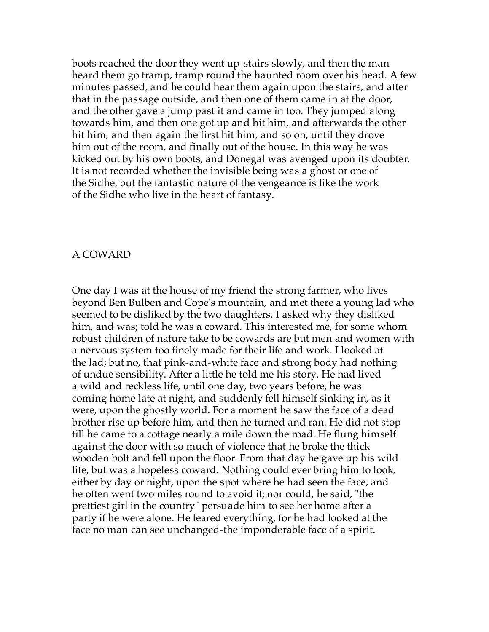boots reached the door they went up-stairs slowly, and then the man heard them go tramp, tramp round the haunted room over his head. A few minutes passed, and he could hear them again upon the stairs, and after that in the passage outside, and then one of them came in at the door, and the other gave a jump past it and came in too. They jumped along towards him, and then one got up and hit him, and afterwards the other hit him, and then again the first hit him, and so on, until they drove him out of the room, and finally out of the house. In this way he was kicked out by his own boots, and Donegal was avenged upon its doubter. It is not recorded whether the invisible being was a ghost or one of the Sidhe, but the fantastic nature of the vengeance is like the work of the Sidhe who live in the heart of fantasy.

#### A COWARD

One day I was at the house of my friend the strong farmer, who lives beyond Ben Bulben and Cope's mountain, and met there a young lad who seemed to be disliked by the two daughters. I asked why they disliked him, and was; told he was a coward. This interested me, for some whom robust children of nature take to be cowards are but men and women with a nervous system too finely made for their life and work. I looked at the lad; but no, that pink-and-white face and strong body had nothing of undue sensibility. After a little he told me his story. He had lived a wild and reckless life, until one day, two years before, he was coming home late at night, and suddenly fell himself sinking in, as it were, upon the ghostly world. For a moment he saw the face of a dead brother rise up before him, and then he turned and ran. He did not stop till he came to a cottage nearly a mile down the road. He flung himself against the door with so much of violence that he broke the thick wooden bolt and fell upon the floor. From that day he gave up his wild life, but was a hopeless coward. Nothing could ever bring him to look, either by day or night, upon the spot where he had seen the face, and he often went two miles round to avoid it; nor could, he said, "the prettiest girl in the country" persuade him to see her home after a party if he were alone. He feared everything, for he had looked at the face no man can see unchanged-the imponderable face of a spirit.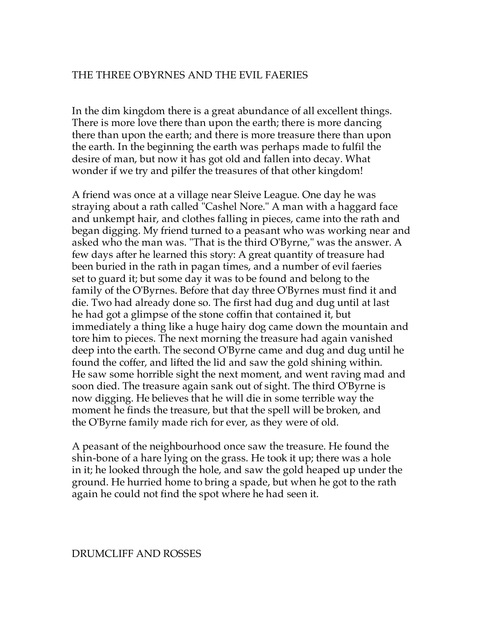### THE THREE O'BYRNES AND THE EVIL FAERIES

In the dim kingdom there is a great abundance of all excellent things. There is more love there than upon the earth; there is more dancing there than upon the earth; and there is more treasure there than upon the earth. In the beginning the earth was perhaps made to fulfil the desire of man, but now it has got old and fallen into decay. What wonder if we try and pilfer the treasures of that other kingdom!

A friend was once at a village near Sleive League. One day he was straying about a rath called "Cashel Nore." A man with a haggard face and unkempt hair, and clothes falling in pieces, came into the rath and began digging. My friend turned to a peasant who was working near and asked who the man was. "That is the third O'Byrne," was the answer. A few days after he learned this story: A great quantity of treasure had been buried in the rath in pagan times, and a number of evil faeries set to guard it; but some day it was to be found and belong to the family of the O'Byrnes. Before that day three O'Byrnes must find it and die. Two had already done so. The first had dug and dug until at last he had got a glimpse of the stone coffin that contained it, but immediately a thing like a huge hairy dog came down the mountain and tore him to pieces. The next morning the treasure had again vanished deep into the earth. The second O'Byrne came and dug and dug until he found the coffer, and lifted the lid and saw the gold shining within. He saw some horrible sight the next moment, and went raving mad and soon died. The treasure again sank out of sight. The third O'Byrne is now digging. He believes that he will die in some terrible way the moment he finds the treasure, but that the spell will be broken, and the O'Byrne family made rich for ever, as they were of old.

A peasant of the neighbourhood once saw the treasure. He found the shin-bone of a hare lying on the grass. He took it up; there was a hole in it; he looked through the hole, and saw the gold heaped up under the ground. He hurried home to bring a spade, but when he got to the rath again he could not find the spot where he had seen it.

#### DRUMCLIFF AND ROSSES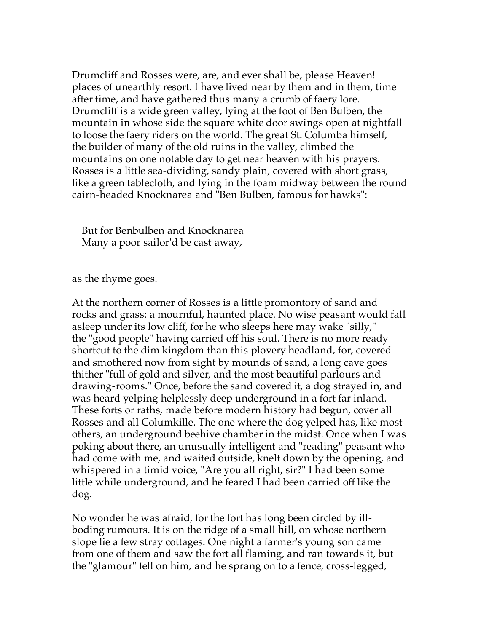Drumcliff and Rosses were, are, and ever shall be, please Heaven! places of unearthly resort. I have lived near by them and in them, time after time, and have gathered thus many a crumb of faery lore. Drumcliff is a wide green valley, lying at the foot of Ben Bulben, the mountain in whose side the square white door swings open at nightfall to loose the faery riders on the world. The great St. Columba himself, the builder of many of the old ruins in the valley, climbed the mountains on one notable day to get near heaven with his prayers. Rosses is a little sea-dividing, sandy plain, covered with short grass, like a green tablecloth, and lying in the foam midway between the round cairn-headed Knocknarea and "Ben Bulben, famous for hawks":

 But for Benbulben and Knocknarea Many a poor sailor'd be cast away,

as the rhyme goes.

At the northern corner of Rosses is a little promontory of sand and rocks and grass: a mournful, haunted place. No wise peasant would fall asleep under its low cliff, for he who sleeps here may wake "silly," the "good people" having carried off his soul. There is no more ready shortcut to the dim kingdom than this plovery headland, for, covered and smothered now from sight by mounds of sand, a long cave goes thither "full of gold and silver, and the most beautiful parlours and drawing-rooms." Once, before the sand covered it, a dog strayed in, and was heard yelping helplessly deep underground in a fort far inland. These forts or raths, made before modern history had begun, cover all Rosses and all Columkille. The one where the dog yelped has, like most others, an underground beehive chamber in the midst. Once when I was poking about there, an unusually intelligent and "reading" peasant who had come with me, and waited outside, knelt down by the opening, and whispered in a timid voice, "Are you all right, sir?" I had been some little while underground, and he feared I had been carried off like the dog.

No wonder he was afraid, for the fort has long been circled by illboding rumours. It is on the ridge of a small hill, on whose northern slope lie a few stray cottages. One night a farmer's young son came from one of them and saw the fort all flaming, and ran towards it, but the "glamour" fell on him, and he sprang on to a fence, cross-legged,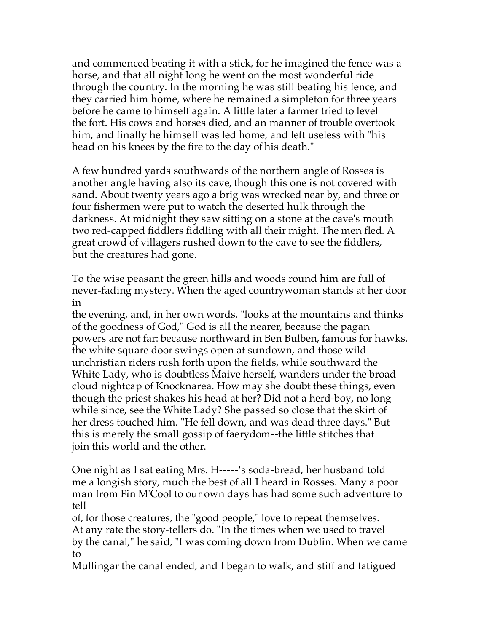and commenced beating it with a stick, for he imagined the fence was a horse, and that all night long he went on the most wonderful ride through the country. In the morning he was still beating his fence, and they carried him home, where he remained a simpleton for three years before he came to himself again. A little later a farmer tried to level the fort. His cows and horses died, and an manner of trouble overtook him, and finally he himself was led home, and left useless with "his head on his knees by the fire to the day of his death."

A few hundred yards southwards of the northern angle of Rosses is another angle having also its cave, though this one is not covered with sand. About twenty years ago a brig was wrecked near by, and three or four fishermen were put to watch the deserted hulk through the darkness. At midnight they saw sitting on a stone at the cave's mouth two red-capped fiddlers fiddling with all their might. The men fled. A great crowd of villagers rushed down to the cave to see the fiddlers, but the creatures had gone.

To the wise peasant the green hills and woods round him are full of never-fading mystery. When the aged countrywoman stands at her door in

the evening, and, in her own words, "looks at the mountains and thinks of the goodness of God," God is all the nearer, because the pagan powers are not far: because northward in Ben Bulben, famous for hawks, the white square door swings open at sundown, and those wild unchristian riders rush forth upon the fields, while southward the White Lady, who is doubtless Maive herself, wanders under the broad cloud nightcap of Knocknarea. How may she doubt these things, even though the priest shakes his head at her? Did not a herd-boy, no long while since, see the White Lady? She passed so close that the skirt of her dress touched him. "He fell down, and was dead three days." But this is merely the small gossip of faerydom--the little stitches that join this world and the other.

One night as I sat eating Mrs. H-----'s soda-bread, her husband told me a longish story, much the best of all I heard in Rosses. Many a poor man from Fin M'Cool to our own days has had some such adventure to tell

of, for those creatures, the "good people," love to repeat themselves. At any rate the story-tellers do. "In the times when we used to travel by the canal," he said, "I was coming down from Dublin. When we came to

Mullingar the canal ended, and I began to walk, and stiff and fatigued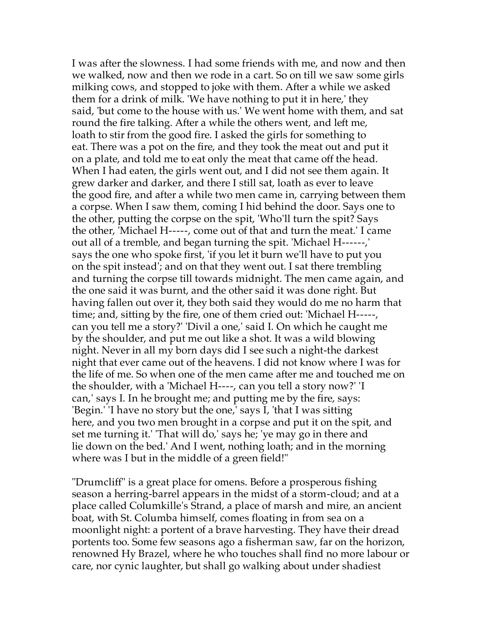I was after the slowness. I had some friends with me, and now and then we walked, now and then we rode in a cart. So on till we saw some girls milking cows, and stopped to joke with them. After a while we asked them for a drink of milk. 'We have nothing to put it in here,' they said, 'but come to the house with us.' We went home with them, and sat round the fire talking. After a while the others went, and left me, loath to stir from the good fire. I asked the girls for something to eat. There was a pot on the fire, and they took the meat out and put it on a plate, and told me to eat only the meat that came off the head. When I had eaten, the girls went out, and I did not see them again. It grew darker and darker, and there I still sat, loath as ever to leave the good fire, and after a while two men came in, carrying between them a corpse. When I saw them, coming I hid behind the door. Says one to the other, putting the corpse on the spit, 'Who'll turn the spit? Says the other, 'Michael H-----, come out of that and turn the meat.' I came out all of a tremble, and began turning the spit. 'Michael H------,' says the one who spoke first, 'if you let it burn we'll have to put you on the spit instead'; and on that they went out. I sat there trembling and turning the corpse till towards midnight. The men came again, and the one said it was burnt, and the other said it was done right. But having fallen out over it, they both said they would do me no harm that time; and, sitting by the fire, one of them cried out: 'Michael H-----, can you tell me a story?' 'Divil a one,' said I. On which he caught me by the shoulder, and put me out like a shot. It was a wild blowing night. Never in all my born days did I see such a night-the darkest night that ever came out of the heavens. I did not know where I was for the life of me. So when one of the men came after me and touched me on the shoulder, with a 'Michael H----, can you tell a story now?' 'I can,' says I. In he brought me; and putting me by the fire, says: 'Begin.' 'I have no story but the one,' says I, 'that I was sitting here, and you two men brought in a corpse and put it on the spit, and set me turning it.' 'That will do,' says he; 'ye may go in there and lie down on the bed.' And I went, nothing loath; and in the morning where was I but in the middle of a green field!"

"Drumcliff" is a great place for omens. Before a prosperous fishing season a herring-barrel appears in the midst of a storm-cloud; and at a place called Columkille's Strand, a place of marsh and mire, an ancient boat, with St. Columba himself, comes floating in from sea on a moonlight night: a portent of a brave harvesting. They have their dread portents too. Some few seasons ago a fisherman saw, far on the horizon, renowned Hy Brazel, where he who touches shall find no more labour or care, nor cynic laughter, but shall go walking about under shadiest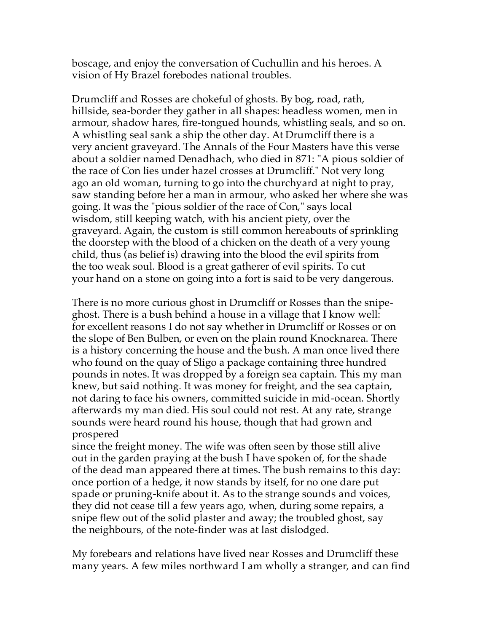boscage, and enjoy the conversation of Cuchullin and his heroes. A vision of Hy Brazel forebodes national troubles.

Drumcliff and Rosses are chokeful of ghosts. By bog, road, rath, hillside, sea-border they gather in all shapes: headless women, men in armour, shadow hares, fire-tongued hounds, whistling seals, and so on. A whistling seal sank a ship the other day. At Drumcliff there is a very ancient graveyard. The Annals of the Four Masters have this verse about a soldier named Denadhach, who died in 871: "A pious soldier of the race of Con lies under hazel crosses at Drumcliff." Not very long ago an old woman, turning to go into the churchyard at night to pray, saw standing before her a man in armour, who asked her where she was going. It was the "pious soldier of the race of Con," says local wisdom, still keeping watch, with his ancient piety, over the graveyard. Again, the custom is still common hereabouts of sprinkling the doorstep with the blood of a chicken on the death of a very young child, thus (as belief is) drawing into the blood the evil spirits from the too weak soul. Blood is a great gatherer of evil spirits. To cut your hand on a stone on going into a fort is said to be very dangerous.

There is no more curious ghost in Drumcliff or Rosses than the snipeghost. There is a bush behind a house in a village that I know well: for excellent reasons I do not say whether in Drumcliff or Rosses or on the slope of Ben Bulben, or even on the plain round Knocknarea. There is a history concerning the house and the bush. A man once lived there who found on the quay of Sligo a package containing three hundred pounds in notes. It was dropped by a foreign sea captain. This my man knew, but said nothing. It was money for freight, and the sea captain, not daring to face his owners, committed suicide in mid-ocean. Shortly afterwards my man died. His soul could not rest. At any rate, strange sounds were heard round his house, though that had grown and prospered

since the freight money. The wife was often seen by those still alive out in the garden praying at the bush I have spoken of, for the shade of the dead man appeared there at times. The bush remains to this day: once portion of a hedge, it now stands by itself, for no one dare put spade or pruning-knife about it. As to the strange sounds and voices, they did not cease till a few years ago, when, during some repairs, a snipe flew out of the solid plaster and away; the troubled ghost, say the neighbours, of the note-finder was at last dislodged.

My forebears and relations have lived near Rosses and Drumcliff these many years. A few miles northward I am wholly a stranger, and can find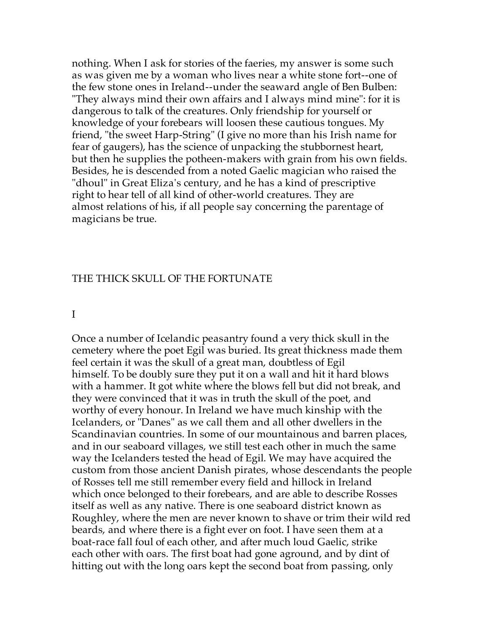nothing. When I ask for stories of the faeries, my answer is some such as was given me by a woman who lives near a white stone fort--one of the few stone ones in Ireland--under the seaward angle of Ben Bulben: "They always mind their own affairs and I always mind mine": for it is dangerous to talk of the creatures. Only friendship for yourself or knowledge of your forebears will loosen these cautious tongues. My friend, "the sweet Harp-String" (I give no more than his Irish name for fear of gaugers), has the science of unpacking the stubbornest heart, but then he supplies the potheen-makers with grain from his own fields. Besides, he is descended from a noted Gaelic magician who raised the "dhoul" in Great Eliza's century, and he has a kind of prescriptive right to hear tell of all kind of other-world creatures. They are almost relations of his, if all people say concerning the parentage of magicians be true.

#### THE THICK SKULL OF THE FORTUNATE

#### I

Once a number of Icelandic peasantry found a very thick skull in the cemetery where the poet Egil was buried. Its great thickness made them feel certain it was the skull of a great man, doubtless of Egil himself. To be doubly sure they put it on a wall and hit it hard blows with a hammer. It got white where the blows fell but did not break, and they were convinced that it was in truth the skull of the poet, and worthy of every honour. In Ireland we have much kinship with the Icelanders, or "Danes" as we call them and all other dwellers in the Scandinavian countries. In some of our mountainous and barren places, and in our seaboard villages, we still test each other in much the same way the Icelanders tested the head of Egil. We may have acquired the custom from those ancient Danish pirates, whose descendants the people of Rosses tell me still remember every field and hillock in Ireland which once belonged to their forebears, and are able to describe Rosses itself as well as any native. There is one seaboard district known as Roughley, where the men are never known to shave or trim their wild red beards, and where there is a fight ever on foot. I have seen them at a boat-race fall foul of each other, and after much loud Gaelic, strike each other with oars. The first boat had gone aground, and by dint of hitting out with the long oars kept the second boat from passing, only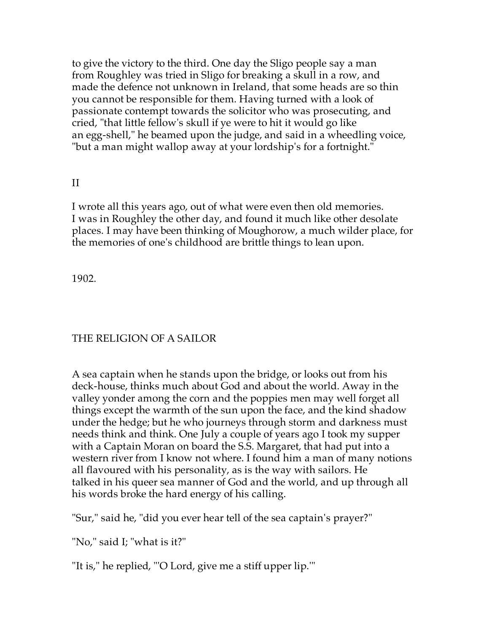to give the victory to the third. One day the Sligo people say a man from Roughley was tried in Sligo for breaking a skull in a row, and made the defence not unknown in Ireland, that some heads are so thin you cannot be responsible for them. Having turned with a look of passionate contempt towards the solicitor who was prosecuting, and cried, "that little fellow's skull if ye were to hit it would go like an egg-shell," he beamed upon the judge, and said in a wheedling voice, "but a man might wallop away at your lordship's for a fortnight."

## II

I wrote all this years ago, out of what were even then old memories. I was in Roughley the other day, and found it much like other desolate places. I may have been thinking of Moughorow, a much wilder place, for the memories of one's childhood are brittle things to lean upon.

1902.

## THE RELIGION OF A SAILOR

A sea captain when he stands upon the bridge, or looks out from his deck-house, thinks much about God and about the world. Away in the valley yonder among the corn and the poppies men may well forget all things except the warmth of the sun upon the face, and the kind shadow under the hedge; but he who journeys through storm and darkness must needs think and think. One July a couple of years ago I took my supper with a Captain Moran on board the S.S. Margaret, that had put into a western river from I know not where. I found him a man of many notions all flavoured with his personality, as is the way with sailors. He talked in his queer sea manner of God and the world, and up through all his words broke the hard energy of his calling.

"Sur," said he, "did you ever hear tell of the sea captain's prayer?"

"No," said I; "what is it?"

"It is," he replied, "'O Lord, give me a stiff upper lip.'"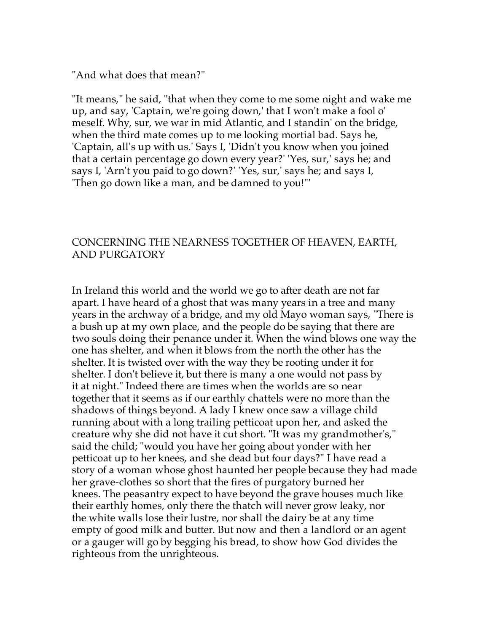"And what does that mean?"

"It means," he said, "that when they come to me some night and wake me up, and say, 'Captain, we're going down,' that I won't make a fool o' meself. Why, sur, we war in mid Atlantic, and I standin' on the bridge, when the third mate comes up to me looking mortial bad. Says he, 'Captain, all's up with us.' Says I, 'Didn't you know when you joined that a certain percentage go down every year?' 'Yes, sur,' says he; and says I, 'Arn't you paid to go down?' 'Yes, sur,' says he; and says I, 'Then go down like a man, and be damned to you!"'

### CONCERNING THE NEARNESS TOGETHER OF HEAVEN, EARTH, AND PURGATORY

In Ireland this world and the world we go to after death are not far apart. I have heard of a ghost that was many years in a tree and many years in the archway of a bridge, and my old Mayo woman says, "There is a bush up at my own place, and the people do be saying that there are two souls doing their penance under it. When the wind blows one way the one has shelter, and when it blows from the north the other has the shelter. It is twisted over with the way they be rooting under it for shelter. I don't believe it, but there is many a one would not pass by it at night." Indeed there are times when the worlds are so near together that it seems as if our earthly chattels were no more than the shadows of things beyond. A lady I knew once saw a village child running about with a long trailing petticoat upon her, and asked the creature why she did not have it cut short. "It was my grandmother's," said the child; "would you have her going about yonder with her petticoat up to her knees, and she dead but four days?" I have read a story of a woman whose ghost haunted her people because they had made her grave-clothes so short that the fires of purgatory burned her knees. The peasantry expect to have beyond the grave houses much like their earthly homes, only there the thatch will never grow leaky, nor the white walls lose their lustre, nor shall the dairy be at any time empty of good milk and butter. But now and then a landlord or an agent or a gauger will go by begging his bread, to show how God divides the righteous from the unrighteous.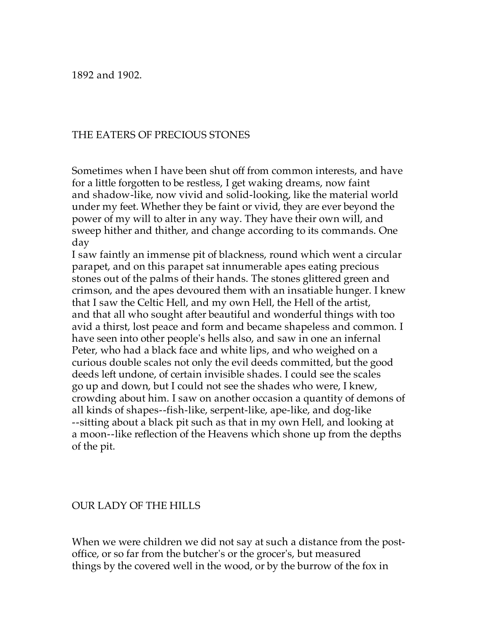1892 and 1902.

### THE EATERS OF PRECIOUS STONES

Sometimes when I have been shut off from common interests, and have for a little forgotten to be restless, I get waking dreams, now faint and shadow-like, now vivid and solid-looking, like the material world under my feet. Whether they be faint or vivid, they are ever beyond the power of my will to alter in any way. They have their own will, and sweep hither and thither, and change according to its commands. One day

I saw faintly an immense pit of blackness, round which went a circular parapet, and on this parapet sat innumerable apes eating precious stones out of the palms of their hands. The stones glittered green and crimson, and the apes devoured them with an insatiable hunger. I knew that I saw the Celtic Hell, and my own Hell, the Hell of the artist, and that all who sought after beautiful and wonderful things with too avid a thirst, lost peace and form and became shapeless and common. I have seen into other people's hells also, and saw in one an infernal Peter, who had a black face and white lips, and who weighed on a curious double scales not only the evil deeds committed, but the good deeds left undone, of certain invisible shades. I could see the scales go up and down, but I could not see the shades who were, I knew, crowding about him. I saw on another occasion a quantity of demons of all kinds of shapes--fish-like, serpent-like, ape-like, and dog-like --sitting about a black pit such as that in my own Hell, and looking at a moon--like reflection of the Heavens which shone up from the depths of the pit.

#### OUR LADY OF THE HILLS

When we were children we did not say at such a distance from the postoffice, or so far from the butcher's or the grocer's, but measured things by the covered well in the wood, or by the burrow of the fox in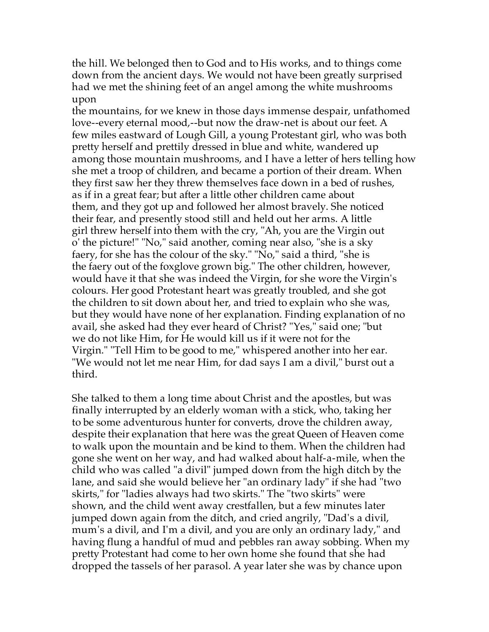the hill. We belonged then to God and to His works, and to things come down from the ancient days. We would not have been greatly surprised had we met the shining feet of an angel among the white mushrooms upon

the mountains, for we knew in those days immense despair, unfathomed love--every eternal mood,--but now the draw-net is about our feet. A few miles eastward of Lough Gill, a young Protestant girl, who was both pretty herself and prettily dressed in blue and white, wandered up among those mountain mushrooms, and I have a letter of hers telling how she met a troop of children, and became a portion of their dream. When they first saw her they threw themselves face down in a bed of rushes, as if in a great fear; but after a little other children came about them, and they got up and followed her almost bravely. She noticed their fear, and presently stood still and held out her arms. A little girl threw herself into them with the cry, "Ah, you are the Virgin out o' the picture!" "No," said another, coming near also, "she is a sky faery, for she has the colour of the sky." "No," said a third, "she is the faery out of the foxglove grown big." The other children, however, would have it that she was indeed the Virgin, for she wore the Virgin's colours. Her good Protestant heart was greatly troubled, and she got the children to sit down about her, and tried to explain who she was, but they would have none of her explanation. Finding explanation of no avail, she asked had they ever heard of Christ? "Yes," said one; "but we do not like Him, for He would kill us if it were not for the Virgin." "Tell Him to be good to me," whispered another into her ear. "We would not let me near Him, for dad says I am a divil," burst out a third.

She talked to them a long time about Christ and the apostles, but was finally interrupted by an elderly woman with a stick, who, taking her to be some adventurous hunter for converts, drove the children away, despite their explanation that here was the great Queen of Heaven come to walk upon the mountain and be kind to them. When the children had gone she went on her way, and had walked about half-a-mile, when the child who was called "a divil" jumped down from the high ditch by the lane, and said she would believe her "an ordinary lady" if she had "two skirts," for "ladies always had two skirts." The "two skirts" were shown, and the child went away crestfallen, but a few minutes later jumped down again from the ditch, and cried angrily, "Dad's a divil, mum's a divil, and I'm a divil, and you are only an ordinary lady," and having flung a handful of mud and pebbles ran away sobbing. When my pretty Protestant had come to her own home she found that she had dropped the tassels of her parasol. A year later she was by chance upon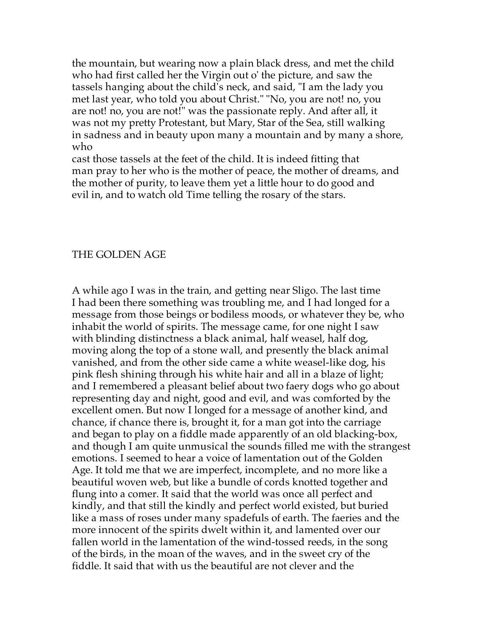the mountain, but wearing now a plain black dress, and met the child who had first called her the Virgin out o' the picture, and saw the tassels hanging about the child's neck, and said, "I am the lady you met last year, who told you about Christ." "No, you are not! no, you are not! no, you are not!" was the passionate reply. And after all, it was not my pretty Protestant, but Mary, Star of the Sea, still walking in sadness and in beauty upon many a mountain and by many a shore, who

cast those tassels at the feet of the child. It is indeed fitting that man pray to her who is the mother of peace, the mother of dreams, and the mother of purity, to leave them yet a little hour to do good and evil in, and to watch old Time telling the rosary of the stars.

#### THE GOLDEN AGE

A while ago I was in the train, and getting near Sligo. The last time I had been there something was troubling me, and I had longed for a message from those beings or bodiless moods, or whatever they be, who inhabit the world of spirits. The message came, for one night I saw with blinding distinctness a black animal, half weasel, half dog, moving along the top of a stone wall, and presently the black animal vanished, and from the other side came a white weasel-like dog, his pink flesh shining through his white hair and all in a blaze of light; and I remembered a pleasant belief about two faery dogs who go about representing day and night, good and evil, and was comforted by the excellent omen. But now I longed for a message of another kind, and chance, if chance there is, brought it, for a man got into the carriage and began to play on a fiddle made apparently of an old blacking-box, and though I am quite unmusical the sounds filled me with the strangest emotions. I seemed to hear a voice of lamentation out of the Golden Age. It told me that we are imperfect, incomplete, and no more like a beautiful woven web, but like a bundle of cords knotted together and flung into a comer. It said that the world was once all perfect and kindly, and that still the kindly and perfect world existed, but buried like a mass of roses under many spadefuls of earth. The faeries and the more innocent of the spirits dwelt within it, and lamented over our fallen world in the lamentation of the wind-tossed reeds, in the song of the birds, in the moan of the waves, and in the sweet cry of the fiddle. It said that with us the beautiful are not clever and the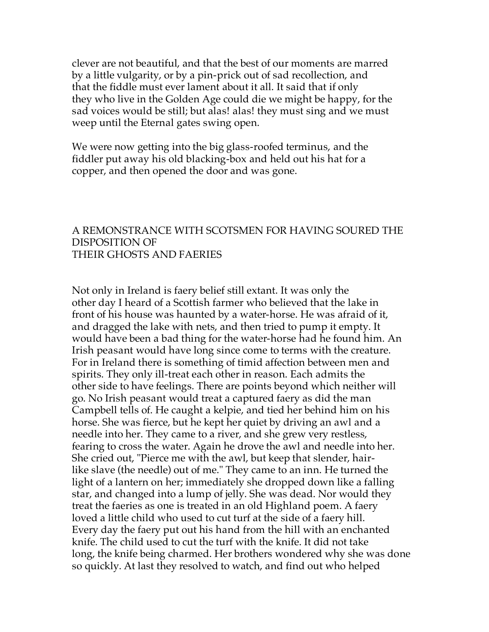clever are not beautiful, and that the best of our moments are marred by a little vulgarity, or by a pin-prick out of sad recollection, and that the fiddle must ever lament about it all. It said that if only they who live in the Golden Age could die we might be happy, for the sad voices would be still; but alas! alas! they must sing and we must weep until the Eternal gates swing open.

We were now getting into the big glass-roofed terminus, and the fiddler put away his old blacking-box and held out his hat for a copper, and then opened the door and was gone.

#### A REMONSTRANCE WITH SCOTSMEN FOR HAVING SOURED THE DISPOSITION OF THEIR GHOSTS AND FAERIES

Not only in Ireland is faery belief still extant. It was only the other day I heard of a Scottish farmer who believed that the lake in front of his house was haunted by a water-horse. He was afraid of it, and dragged the lake with nets, and then tried to pump it empty. It would have been a bad thing for the water-horse had he found him. An Irish peasant would have long since come to terms with the creature. For in Ireland there is something of timid affection between men and spirits. They only ill-treat each other in reason. Each admits the other side to have feelings. There are points beyond which neither will go. No Irish peasant would treat a captured faery as did the man Campbell tells of. He caught a kelpie, and tied her behind him on his horse. She was fierce, but he kept her quiet by driving an awl and a needle into her. They came to a river, and she grew very restless, fearing to cross the water. Again he drove the awl and needle into her. She cried out, "Pierce me with the awl, but keep that slender, hairlike slave (the needle) out of me." They came to an inn. He turned the light of a lantern on her; immediately she dropped down like a falling star, and changed into a lump of jelly. She was dead. Nor would they treat the faeries as one is treated in an old Highland poem. A faery loved a little child who used to cut turf at the side of a faery hill. Every day the faery put out his hand from the hill with an enchanted knife. The child used to cut the turf with the knife. It did not take long, the knife being charmed. Her brothers wondered why she was done so quickly. At last they resolved to watch, and find out who helped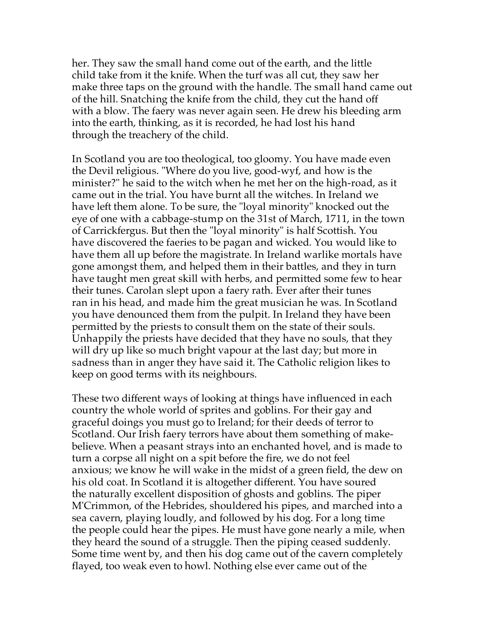her. They saw the small hand come out of the earth, and the little child take from it the knife. When the turf was all cut, they saw her make three taps on the ground with the handle. The small hand came out of the hill. Snatching the knife from the child, they cut the hand off with a blow. The faery was never again seen. He drew his bleeding arm into the earth, thinking, as it is recorded, he had lost his hand through the treachery of the child.

In Scotland you are too theological, too gloomy. You have made even the Devil religious. "Where do you live, good-wyf, and how is the minister?" he said to the witch when he met her on the high-road, as it came out in the trial. You have burnt all the witches. In Ireland we have left them alone. To be sure, the "loyal minority" knocked out the eye of one with a cabbage-stump on the 31st of March, 1711, in the town of Carrickfergus. But then the "loyal minority" is half Scottish. You have discovered the faeries to be pagan and wicked. You would like to have them all up before the magistrate. In Ireland warlike mortals have gone amongst them, and helped them in their battles, and they in turn have taught men great skill with herbs, and permitted some few to hear their tunes. Carolan slept upon a faery rath. Ever after their tunes ran in his head, and made him the great musician he was. In Scotland you have denounced them from the pulpit. In Ireland they have been permitted by the priests to consult them on the state of their souls. Unhappily the priests have decided that they have no souls, that they will dry up like so much bright vapour at the last day; but more in sadness than in anger they have said it. The Catholic religion likes to keep on good terms with its neighbours.

These two different ways of looking at things have influenced in each country the whole world of sprites and goblins. For their gay and graceful doings you must go to Ireland; for their deeds of terror to Scotland. Our Irish faery terrors have about them something of makebelieve. When a peasant strays into an enchanted hovel, and is made to turn a corpse all night on a spit before the fire, we do not feel anxious; we know he will wake in the midst of a green field, the dew on his old coat. In Scotland it is altogether different. You have soured the naturally excellent disposition of ghosts and goblins. The piper M'Crimmon, of the Hebrides, shouldered his pipes, and marched into a sea cavern, playing loudly, and followed by his dog. For a long time the people could hear the pipes. He must have gone nearly a mile, when they heard the sound of a struggle. Then the piping ceased suddenly. Some time went by, and then his dog came out of the cavern completely flayed, too weak even to howl. Nothing else ever came out of the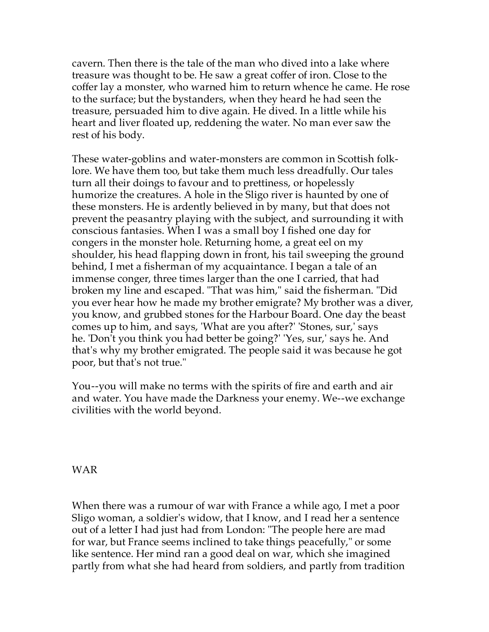cavern. Then there is the tale of the man who dived into a lake where treasure was thought to be. He saw a great coffer of iron. Close to the coffer lay a monster, who warned him to return whence he came. He rose to the surface; but the bystanders, when they heard he had seen the treasure, persuaded him to dive again. He dived. In a little while his heart and liver floated up, reddening the water. No man ever saw the rest of his body.

These water-goblins and water-monsters are common in Scottish folklore. We have them too, but take them much less dreadfully. Our tales turn all their doings to favour and to prettiness, or hopelessly humorize the creatures. A hole in the Sligo river is haunted by one of these monsters. He is ardently believed in by many, but that does not prevent the peasantry playing with the subject, and surrounding it with conscious fantasies. When I was a small boy I fished one day for congers in the monster hole. Returning home, a great eel on my shoulder, his head flapping down in front, his tail sweeping the ground behind, I met a fisherman of my acquaintance. I began a tale of an immense conger, three times larger than the one I carried, that had broken my line and escaped. "That was him," said the fisherman. "Did you ever hear how he made my brother emigrate? My brother was a diver, you know, and grubbed stones for the Harbour Board. One day the beast comes up to him, and says, 'What are you after?' 'Stones, sur,' says he. 'Don't you think you had better be going?' 'Yes, sur,' says he. And that's why my brother emigrated. The people said it was because he got poor, but that's not true."

You--you will make no terms with the spirits of fire and earth and air and water. You have made the Darkness your enemy. We--we exchange civilities with the world beyond.

WAR

When there was a rumour of war with France a while ago, I met a poor Sligo woman, a soldier's widow, that I know, and I read her a sentence out of a letter I had just had from London: "The people here are mad for war, but France seems inclined to take things peacefully," or some like sentence. Her mind ran a good deal on war, which she imagined partly from what she had heard from soldiers, and partly from tradition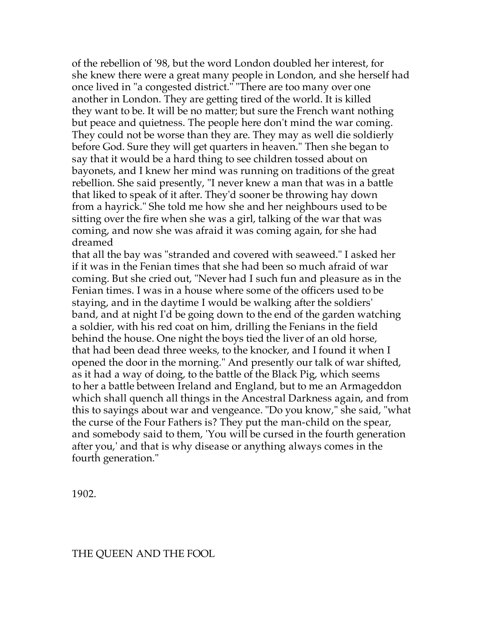of the rebellion of '98, but the word London doubled her interest, for she knew there were a great many people in London, and she herself had once lived in "a congested district." "There are too many over one another in London. They are getting tired of the world. It is killed they want to be. It will be no matter; but sure the French want nothing but peace and quietness. The people here don't mind the war coming. They could not be worse than they are. They may as well die soldierly before God. Sure they will get quarters in heaven." Then she began to say that it would be a hard thing to see children tossed about on bayonets, and I knew her mind was running on traditions of the great rebellion. She said presently, "I never knew a man that was in a battle that liked to speak of it after. They'd sooner be throwing hay down from a hayrick." She told me how she and her neighbours used to be sitting over the fire when she was a girl, talking of the war that was coming, and now she was afraid it was coming again, for she had dreamed

that all the bay was "stranded and covered with seaweed." I asked her if it was in the Fenian times that she had been so much afraid of war coming. But she cried out, "Never had I such fun and pleasure as in the Fenian times. I was in a house where some of the officers used to be staying, and in the daytime I would be walking after the soldiers' band, and at night I'd be going down to the end of the garden watching a soldier, with his red coat on him, drilling the Fenians in the field behind the house. One night the boys tied the liver of an old horse, that had been dead three weeks, to the knocker, and I found it when I opened the door in the morning." And presently our talk of war shifted, as it had a way of doing, to the battle of the Black Pig, which seems to her a battle between Ireland and England, but to me an Armageddon which shall quench all things in the Ancestral Darkness again, and from this to sayings about war and vengeance. "Do you know," she said, "what the curse of the Four Fathers is? They put the man-child on the spear, and somebody said to them, 'You will be cursed in the fourth generation after you,' and that is why disease or anything always comes in the fourth generation."

1902.

#### THE QUEEN AND THE FOOL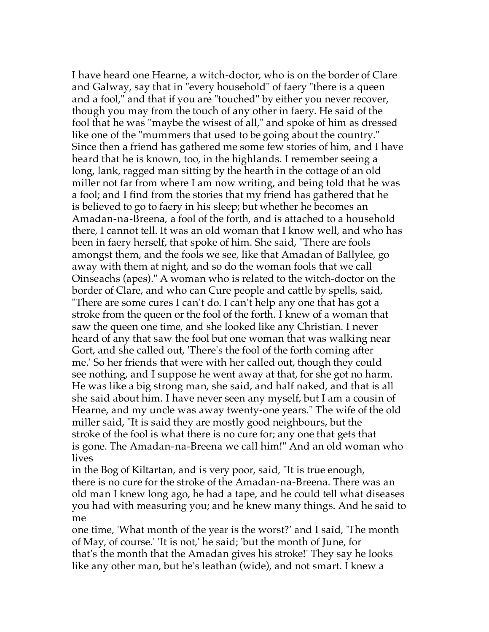I have heard one Hearne, a witch-doctor, who is on the border of Clare and Galway, say that in "every household" of faery "there is a queen and a fool," and that if you are "touched" by either you never recover, though you may from the touch of any other in faery. He said of the fool that he was "maybe the wisest of all," and spoke of him as dressed like one of the "mummers that used to be going about the country." Since then a friend has gathered me some few stories of him, and I have heard that he is known, too, in the highlands. I remember seeing a long, lank, ragged man sitting by the hearth in the cottage of an old miller not far from where I am now writing, and being told that he was a fool; and I find from the stories that my friend has gathered that he is believed to go to faery in his sleep; but whether he becomes an Amadan-na-Breena, a fool of the forth, and is attached to a household there, I cannot tell. It was an old woman that I know well, and who has been in faery herself, that spoke of him. She said, "There are fools amongst them, and the fools we see, like that Amadan of Ballylee, go away with them at night, and so do the woman fools that we call Oinseachs (apes)." A woman who is related to the witch-doctor on the border of Clare, and who can Cure people and cattle by spells, said, "There are some cures I can't do. I can't help any one that has got a stroke from the queen or the fool of the forth. I knew of a woman that saw the queen one time, and she looked like any Christian. I never heard of any that saw the fool but one woman that was walking near Gort, and she called out, 'There's the fool of the forth coming after me.' So her friends that were with her called out, though they could see nothing, and I suppose he went away at that, for she got no harm. He was like a big strong man, she said, and half naked, and that is all she said about him. I have never seen any myself, but I am a cousin of Hearne, and my uncle was away twenty-one years." The wife of the old miller said, "It is said they are mostly good neighbours, but the stroke of the fool is what there is no cure for; any one that gets that is gone. The Amadan-na-Breena we call him!" And an old woman who lives

in the Bog of Kiltartan, and is very poor, said, "It is true enough, there is no cure for the stroke of the Amadan-na-Breena. There was an old man I knew long ago, he had a tape, and he could tell what diseases you had with measuring you; and he knew many things. And he said to me

one time, 'What month of the year is the worst?' and I said, 'The month of May, of course.' 'It is not,' he said; 'but the month of June, for that's the month that the Amadan gives his stroke!' They say he looks like any other man, but he's leathan (wide), and not smart. I knew a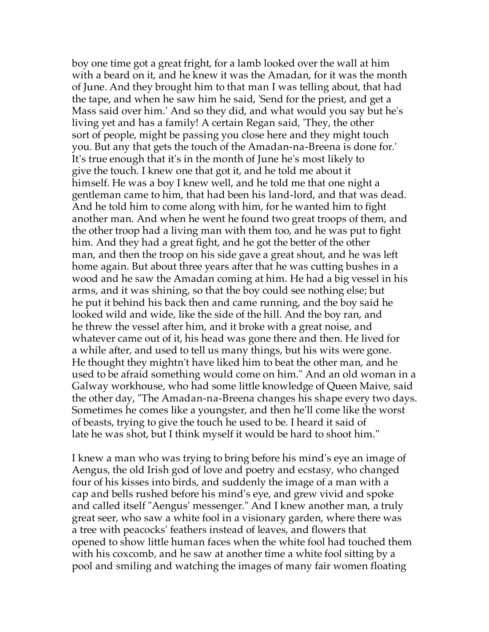boy one time got a great fright, for a lamb looked over the wall at him with a beard on it, and he knew it was the Amadan, for it was the month of June. And they brought him to that man I was telling about, that had the tape, and when he saw him he said, 'Send for the priest, and get a Mass said over him.' And so they did, and what would you say but he's living yet and has a family! A certain Regan said, 'They, the other sort of people, might be passing you close here and they might touch you. But any that gets the touch of the Amadan-na-Breena is done for.' It's true enough that it's in the month of June he's most likely to give the touch. I knew one that got it, and he told me about it himself. He was a boy I knew well, and he told me that one night a gentleman came to him, that had been his land-lord, and that was dead. And he told him to come along with him, for he wanted him to fight another man. And when he went he found two great troops of them, and the other troop had a living man with them too, and he was put to fight him. And they had a great fight, and he got the better of the other man, and then the troop on his side gave a great shout, and he was left home again. But about three years after that he was cutting bushes in a wood and he saw the Amadan coming at him. He had a big vessel in his arms, and it was shining, so that the boy could see nothing else; but he put it behind his back then and came running, and the boy said he looked wild and wide, like the side of the hill. And the boy ran, and he threw the vessel after him, and it broke with a great noise, and whatever came out of it, his head was gone there and then. He lived for a while after, and used to tell us many things, but his wits were gone. He thought they mightn't have liked him to beat the other man, and he used to be afraid something would come on him." And an old woman in a Galway workhouse, who had some little knowledge of Queen Maive, said the other day, "The Amadan-na-Breena changes his shape every two days. Sometimes he comes like a youngster, and then he'll come like the worst of beasts, trying to give the touch he used to be. I heard it said of late he was shot, but I think myself it would be hard to shoot him."

I knew a man who was trying to bring before his mind's eye an image of Aengus, the old Irish god of love and poetry and ecstasy, who changed four of his kisses into birds, and suddenly the image of a man with a cap and bells rushed before his mind's eye, and grew vivid and spoke and called itself "Aengus' messenger." And I knew another man, a truly great seer, who saw a white fool in a visionary garden, where there was a tree with peacocks' feathers instead of leaves, and flowers that opened to show little human faces when the white fool had touched them with his coxcomb, and he saw at another time a white fool sitting by a pool and smiling and watching the images of many fair women floating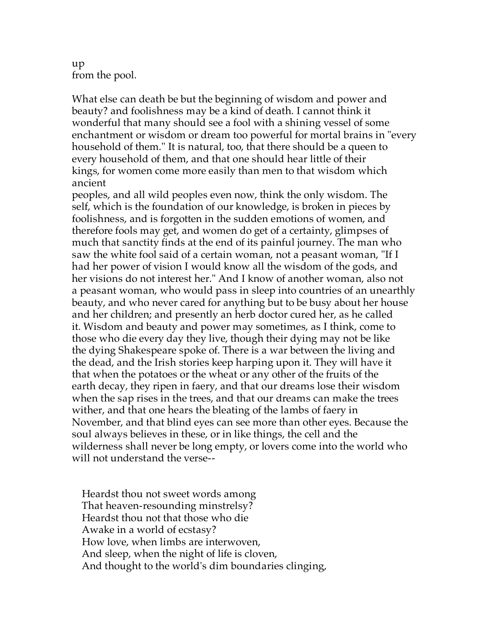up from the pool.

What else can death be but the beginning of wisdom and power and beauty? and foolishness may be a kind of death. I cannot think it wonderful that many should see a fool with a shining vessel of some enchantment or wisdom or dream too powerful for mortal brains in "every household of them." It is natural, too, that there should be a queen to every household of them, and that one should hear little of their kings, for women come more easily than men to that wisdom which ancient

peoples, and all wild peoples even now, think the only wisdom. The self, which is the foundation of our knowledge, is broken in pieces by foolishness, and is forgotten in the sudden emotions of women, and therefore fools may get, and women do get of a certainty, glimpses of much that sanctity finds at the end of its painful journey. The man who saw the white fool said of a certain woman, not a peasant woman, "If I had her power of vision I would know all the wisdom of the gods, and her visions do not interest her." And I know of another woman, also not a peasant woman, who would pass in sleep into countries of an unearthly beauty, and who never cared for anything but to be busy about her house and her children; and presently an herb doctor cured her, as he called it. Wisdom and beauty and power may sometimes, as I think, come to those who die every day they live, though their dying may not be like the dying Shakespeare spoke of. There is a war between the living and the dead, and the Irish stories keep harping upon it. They will have it that when the potatoes or the wheat or any other of the fruits of the earth decay, they ripen in faery, and that our dreams lose their wisdom when the sap rises in the trees, and that our dreams can make the trees wither, and that one hears the bleating of the lambs of faery in November, and that blind eyes can see more than other eyes. Because the soul always believes in these, or in like things, the cell and the wilderness shall never be long empty, or lovers come into the world who will not understand the verse--

 Heardst thou not sweet words among That heaven-resounding minstrelsy? Heardst thou not that those who die Awake in a world of ecstasy? How love, when limbs are interwoven, And sleep, when the night of life is cloven, And thought to the world's dim boundaries clinging,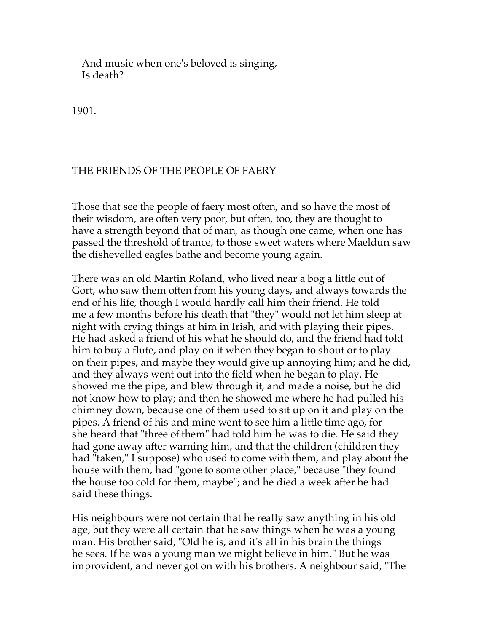And music when one's beloved is singing, Is death?

1901.

## THE FRIENDS OF THE PEOPLE OF FAERY

Those that see the people of faery most often, and so have the most of their wisdom, are often very poor, but often, too, they are thought to have a strength beyond that of man, as though one came, when one has passed the threshold of trance, to those sweet waters where Maeldun saw the dishevelled eagles bathe and become young again.

There was an old Martin Roland, who lived near a bog a little out of Gort, who saw them often from his young days, and always towards the end of his life, though I would hardly call him their friend. He told me a few months before his death that "they" would not let him sleep at night with crying things at him in Irish, and with playing their pipes. He had asked a friend of his what he should do, and the friend had told him to buy a flute, and play on it when they began to shout or to play on their pipes, and maybe they would give up annoying him; and he did, and they always went out into the field when he began to play. He showed me the pipe, and blew through it, and made a noise, but he did not know how to play; and then he showed me where he had pulled his chimney down, because one of them used to sit up on it and play on the pipes. A friend of his and mine went to see him a little time ago, for she heard that "three of them" had told him he was to die. He said they had gone away after warning him, and that the children (children they had "taken," I suppose) who used to come with them, and play about the house with them, had "gone to some other place," because "they found the house too cold for them, maybe"; and he died a week after he had said these things.

His neighbours were not certain that he really saw anything in his old age, but they were all certain that he saw things when he was a young man. His brother said, "Old he is, and it's all in his brain the things he sees. If he was a young man we might believe in him." But he was improvident, and never got on with his brothers. A neighbour said, "The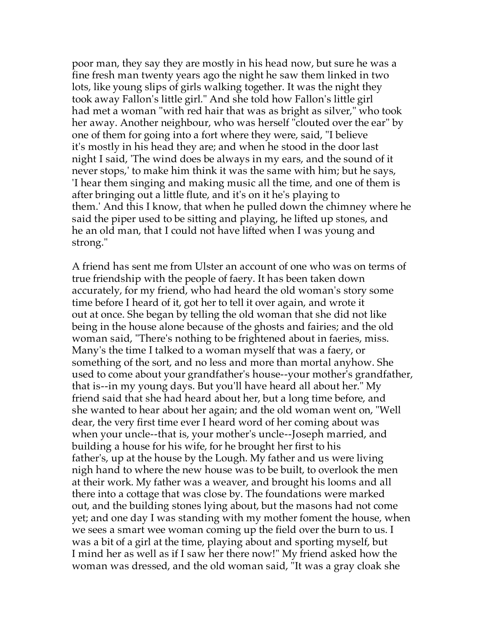poor man, they say they are mostly in his head now, but sure he was a fine fresh man twenty years ago the night he saw them linked in two lots, like young slips of girls walking together. It was the night they took away Fallon's little girl." And she told how Fallon's little girl had met a woman "with red hair that was as bright as silver," who took her away. Another neighbour, who was herself "clouted over the ear" by one of them for going into a fort where they were, said, "I believe it's mostly in his head they are; and when he stood in the door last night I said, 'The wind does be always in my ears, and the sound of it never stops,' to make him think it was the same with him; but he says, 'I hear them singing and making music all the time, and one of them is after bringing out a little flute, and it's on it he's playing to them.' And this I know, that when he pulled down the chimney where he said the piper used to be sitting and playing, he lifted up stones, and he an old man, that I could not have lifted when I was young and strong."

A friend has sent me from Ulster an account of one who was on terms of true friendship with the people of faery. It has been taken down accurately, for my friend, who had heard the old woman's story some time before I heard of it, got her to tell it over again, and wrote it out at once. She began by telling the old woman that she did not like being in the house alone because of the ghosts and fairies; and the old woman said, "There's nothing to be frightened about in faeries, miss. Many's the time I talked to a woman myself that was a faery, or something of the sort, and no less and more than mortal anyhow. She used to come about your grandfather's house--your mother's grandfather, that is--in my young days. But you'll have heard all about her." My friend said that she had heard about her, but a long time before, and she wanted to hear about her again; and the old woman went on, "Well dear, the very first time ever I heard word of her coming about was when your uncle--that is, your mother's uncle--Joseph married, and building a house for his wife, for he brought her first to his father's, up at the house by the Lough. My father and us were living nigh hand to where the new house was to be built, to overlook the men at their work. My father was a weaver, and brought his looms and all there into a cottage that was close by. The foundations were marked out, and the building stones lying about, but the masons had not come yet; and one day I was standing with my mother foment the house, when we sees a smart wee woman coming up the field over the burn to us. I was a bit of a girl at the time, playing about and sporting myself, but I mind her as well as if I saw her there now!" My friend asked how the woman was dressed, and the old woman said, "It was a gray cloak she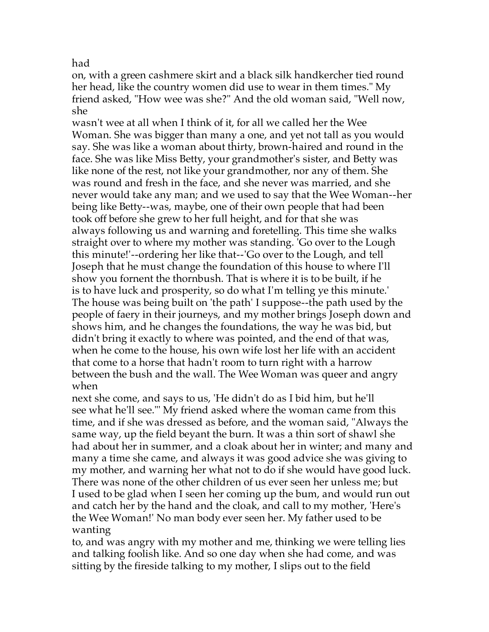had

on, with a green cashmere skirt and a black silk handkercher tied round her head, like the country women did use to wear in them times." My friend asked, "How wee was she?" And the old woman said, "Well now, she

wasn't wee at all when I think of it, for all we called her the Wee Woman. She was bigger than many a one, and yet not tall as you would say. She was like a woman about thirty, brown-haired and round in the face. She was like Miss Betty, your grandmother's sister, and Betty was like none of the rest, not like your grandmother, nor any of them. She was round and fresh in the face, and she never was married, and she never would take any man; and we used to say that the Wee Woman--her being like Betty--was, maybe, one of their own people that had been took off before she grew to her full height, and for that she was always following us and warning and foretelling. This time she walks straight over to where my mother was standing. 'Go over to the Lough this minute!'--ordering her like that--'Go over to the Lough, and tell Joseph that he must change the foundation of this house to where I'll show you fornent the thornbush. That is where it is to be built, if he is to have luck and prosperity, so do what I'm telling ye this minute.' The house was being built on 'the path' I suppose--the path used by the people of faery in their journeys, and my mother brings Joseph down and shows him, and he changes the foundations, the way he was bid, but didn't bring it exactly to where was pointed, and the end of that was, when he come to the house, his own wife lost her life with an accident that come to a horse that hadn't room to turn right with a harrow between the bush and the wall. The Wee Woman was queer and angry when

next she come, and says to us, 'He didn't do as I bid him, but he'll see what he'll see."' My friend asked where the woman came from this time, and if she was dressed as before, and the woman said, "Always the same way, up the field beyant the burn. It was a thin sort of shawl she had about her in summer, and a cloak about her in winter; and many and many a time she came, and always it was good advice she was giving to my mother, and warning her what not to do if she would have good luck. There was none of the other children of us ever seen her unless me; but I used to be glad when I seen her coming up the bum, and would run out and catch her by the hand and the cloak, and call to my mother, 'Here's the Wee Woman!' No man body ever seen her. My father used to be wanting

to, and was angry with my mother and me, thinking we were telling lies and talking foolish like. And so one day when she had come, and was sitting by the fireside talking to my mother, I slips out to the field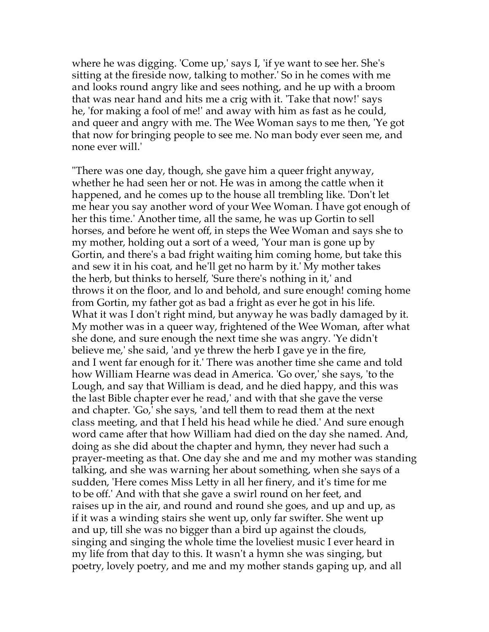where he was digging. 'Come up,' says I, 'if ye want to see her. She's sitting at the fireside now, talking to mother.' So in he comes with me and looks round angry like and sees nothing, and he up with a broom that was near hand and hits me a crig with it. 'Take that now!' says he, 'for making a fool of me!' and away with him as fast as he could, and queer and angry with me. The Wee Woman says to me then, 'Ye got that now for bringing people to see me. No man body ever seen me, and none ever will.'

"There was one day, though, she gave him a queer fright anyway, whether he had seen her or not. He was in among the cattle when it happened, and he comes up to the house all trembling like. 'Don't let me hear you say another word of your Wee Woman. I have got enough of her this time.' Another time, all the same, he was up Gortin to sell horses, and before he went off, in steps the Wee Woman and says she to my mother, holding out a sort of a weed, 'Your man is gone up by Gortin, and there's a bad fright waiting him coming home, but take this and sew it in his coat, and he'll get no harm by it.' My mother takes the herb, but thinks to herself, 'Sure there's nothing in it,' and throws it on the floor, and lo and behold, and sure enough! coming home from Gortin, my father got as bad a fright as ever he got in his life. What it was I don't right mind, but anyway he was badly damaged by it. My mother was in a queer way, frightened of the Wee Woman, after what she done, and sure enough the next time she was angry. 'Ye didn't believe me,' she said, 'and ye threw the herb I gave ye in the fire, and I went far enough for it.' There was another time she came and told how William Hearne was dead in America. 'Go over,' she says, 'to the Lough, and say that William is dead, and he died happy, and this was the last Bible chapter ever he read,' and with that she gave the verse and chapter. 'Go,' she says, 'and tell them to read them at the next class meeting, and that I held his head while he died.' And sure enough word came after that how William had died on the day she named. And, doing as she did about the chapter and hymn, they never had such a prayer-meeting as that. One day she and me and my mother was standing talking, and she was warning her about something, when she says of a sudden, 'Here comes Miss Letty in all her finery, and it's time for me to be off.' And with that she gave a swirl round on her feet, and raises up in the air, and round and round she goes, and up and up, as if it was a winding stairs she went up, only far swifter. She went up and up, till she was no bigger than a bird up against the clouds, singing and singing the whole time the loveliest music I ever heard in my life from that day to this. It wasn't a hymn she was singing, but poetry, lovely poetry, and me and my mother stands gaping up, and all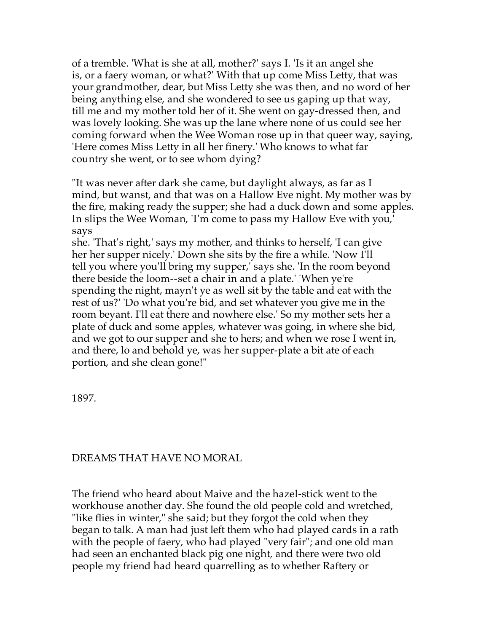of a tremble. 'What is she at all, mother?' says I. 'Is it an angel she is, or a faery woman, or what?' With that up come Miss Letty, that was your grandmother, dear, but Miss Letty she was then, and no word of her being anything else, and she wondered to see us gaping up that way, till me and my mother told her of it. She went on gay-dressed then, and was lovely looking. She was up the lane where none of us could see her coming forward when the Wee Woman rose up in that queer way, saying, 'Here comes Miss Letty in all her finery.' Who knows to what far country she went, or to see whom dying?

"It was never after dark she came, but daylight always, as far as I mind, but wanst, and that was on a Hallow Eve night. My mother was by the fire, making ready the supper; she had a duck down and some apples. In slips the Wee Woman, 'I'm come to pass my Hallow Eve with you,' says

she. 'That's right,' says my mother, and thinks to herself, 'I can give her her supper nicely.' Down she sits by the fire a while. 'Now I'll tell you where you'll bring my supper,' says she. 'In the room beyond there beside the loom--set a chair in and a plate.' 'When ye're spending the night, mayn't ye as well sit by the table and eat with the rest of us?' 'Do what you're bid, and set whatever you give me in the room beyant. I'll eat there and nowhere else.' So my mother sets her a plate of duck and some apples, whatever was going, in where she bid, and we got to our supper and she to hers; and when we rose I went in, and there, lo and behold ye, was her supper-plate a bit ate of each portion, and she clean gone!"

1897.

## DREAMS THAT HAVE NO MORAL

The friend who heard about Maive and the hazel-stick went to the workhouse another day. She found the old people cold and wretched, "like flies in winter," she said; but they forgot the cold when they began to talk. A man had just left them who had played cards in a rath with the people of faery, who had played "very fair"; and one old man had seen an enchanted black pig one night, and there were two old people my friend had heard quarrelling as to whether Raftery or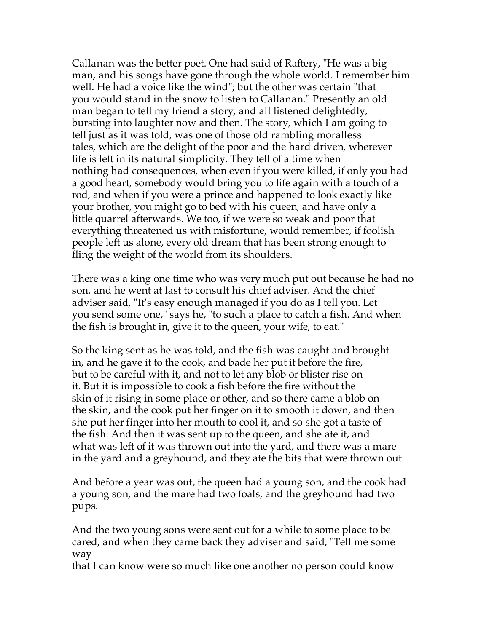Callanan was the better poet. One had said of Raftery, "He was a big man, and his songs have gone through the whole world. I remember him well. He had a voice like the wind"; but the other was certain "that you would stand in the snow to listen to Callanan." Presently an old man began to tell my friend a story, and all listened delightedly, bursting into laughter now and then. The story, which I am going to tell just as it was told, was one of those old rambling moralless tales, which are the delight of the poor and the hard driven, wherever life is left in its natural simplicity. They tell of a time when nothing had consequences, when even if you were killed, if only you had a good heart, somebody would bring you to life again with a touch of a rod, and when if you were a prince and happened to look exactly like your brother, you might go to bed with his queen, and have only a little quarrel afterwards. We too, if we were so weak and poor that everything threatened us with misfortune, would remember, if foolish people left us alone, every old dream that has been strong enough to fling the weight of the world from its shoulders.

There was a king one time who was very much put out because he had no son, and he went at last to consult his chief adviser. And the chief adviser said, "It's easy enough managed if you do as I tell you. Let you send some one," says he, "to such a place to catch a fish. And when the fish is brought in, give it to the queen, your wife, to eat."

So the king sent as he was told, and the fish was caught and brought in, and he gave it to the cook, and bade her put it before the fire, but to be careful with it, and not to let any blob or blister rise on it. But it is impossible to cook a fish before the fire without the skin of it rising in some place or other, and so there came a blob on the skin, and the cook put her finger on it to smooth it down, and then she put her finger into her mouth to cool it, and so she got a taste of the fish. And then it was sent up to the queen, and she ate it, and what was left of it was thrown out into the yard, and there was a mare in the yard and a greyhound, and they ate the bits that were thrown out.

And before a year was out, the queen had a young son, and the cook had a young son, and the mare had two foals, and the greyhound had two pups.

And the two young sons were sent out for a while to some place to be cared, and when they came back they adviser and said, "Tell me some way

that I can know were so much like one another no person could know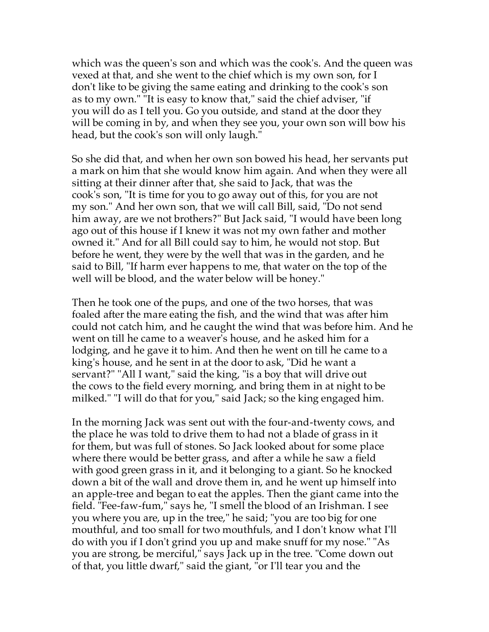which was the queen's son and which was the cook's. And the queen was vexed at that, and she went to the chief which is my own son, for I don't like to be giving the same eating and drinking to the cook's son as to my own." "It is easy to know that," said the chief adviser, "if you will do as I tell you. Go you outside, and stand at the door they will be coming in by, and when they see you, your own son will bow his head, but the cook's son will only laugh."

So she did that, and when her own son bowed his head, her servants put a mark on him that she would know him again. And when they were all sitting at their dinner after that, she said to Jack, that was the cook's son, "It is time for you to go away out of this, for you are not my son." And her own son, that we will call Bill, said, "Do not send him away, are we not brothers?" But Jack said, "I would have been long ago out of this house if I knew it was not my own father and mother owned it." And for all Bill could say to him, he would not stop. But before he went, they were by the well that was in the garden, and he said to Bill, "If harm ever happens to me, that water on the top of the well will be blood, and the water below will be honey."

Then he took one of the pups, and one of the two horses, that was foaled after the mare eating the fish, and the wind that was after him could not catch him, and he caught the wind that was before him. And he went on till he came to a weaver's house, and he asked him for a lodging, and he gave it to him. And then he went on till he came to a king's house, and he sent in at the door to ask, "Did he want a servant?" "All I want," said the king, "is a boy that will drive out the cows to the field every morning, and bring them in at night to be milked." "I will do that for you," said Jack; so the king engaged him.

In the morning Jack was sent out with the four-and-twenty cows, and the place he was told to drive them to had not a blade of grass in it for them, but was full of stones. So Jack looked about for some place where there would be better grass, and after a while he saw a field with good green grass in it, and it belonging to a giant. So he knocked down a bit of the wall and drove them in, and he went up himself into an apple-tree and began to eat the apples. Then the giant came into the field. "Fee-faw-fum," says he, "I smell the blood of an Irishman. I see you where you are, up in the tree," he said; "you are too big for one mouthful, and too small for two mouthfuls, and I don't know what I'll do with you if I don't grind you up and make snuff for my nose." "As you are strong, be merciful," says Jack up in the tree. "Come down out of that, you little dwarf," said the giant, "or I'll tear you and the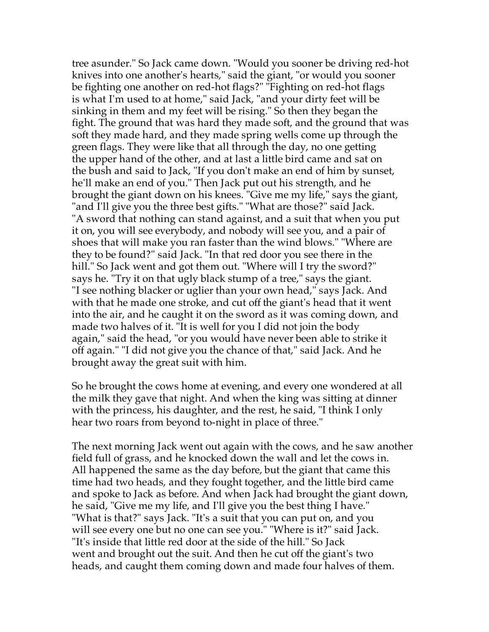tree asunder." So Jack came down. "Would you sooner be driving red-hot knives into one another's hearts," said the giant, "or would you sooner be fighting one another on red-hot flags?" "Fighting on red-hot flags is what I'm used to at home," said Jack, "and your dirty feet will be sinking in them and my feet will be rising." So then they began the fight. The ground that was hard they made soft, and the ground that was soft they made hard, and they made spring wells come up through the green flags. They were like that all through the day, no one getting the upper hand of the other, and at last a little bird came and sat on the bush and said to Jack, "If you don't make an end of him by sunset, he'll make an end of you." Then Jack put out his strength, and he brought the giant down on his knees. "Give me my life," says the giant, "and I'll give you the three best gifts." "What are those?" said Jack. "A sword that nothing can stand against, and a suit that when you put it on, you will see everybody, and nobody will see you, and a pair of shoes that will make you ran faster than the wind blows." "Where are they to be found?" said Jack. "In that red door you see there in the hill." So Jack went and got them out. "Where will I try the sword?" says he. "Try it on that ugly black stump of a tree," says the giant. "I see nothing blacker or uglier than your own head," says Jack. And with that he made one stroke, and cut off the giant's head that it went into the air, and he caught it on the sword as it was coming down, and made two halves of it. "It is well for you I did not join the body again," said the head, "or you would have never been able to strike it off again." "I did not give you the chance of that," said Jack. And he brought away the great suit with him.

So he brought the cows home at evening, and every one wondered at all the milk they gave that night. And when the king was sitting at dinner with the princess, his daughter, and the rest, he said, "I think I only hear two roars from beyond to-night in place of three."

The next morning Jack went out again with the cows, and he saw another field full of grass, and he knocked down the wall and let the cows in. All happened the same as the day before, but the giant that came this time had two heads, and they fought together, and the little bird came and spoke to Jack as before. And when Jack had brought the giant down, he said, "Give me my life, and I'll give you the best thing I have." "What is that?" says Jack. "It's a suit that you can put on, and you will see every one but no one can see you." "Where is it?" said Jack. "It's inside that little red door at the side of the hill." So Jack went and brought out the suit. And then he cut off the giant's two heads, and caught them coming down and made four halves of them.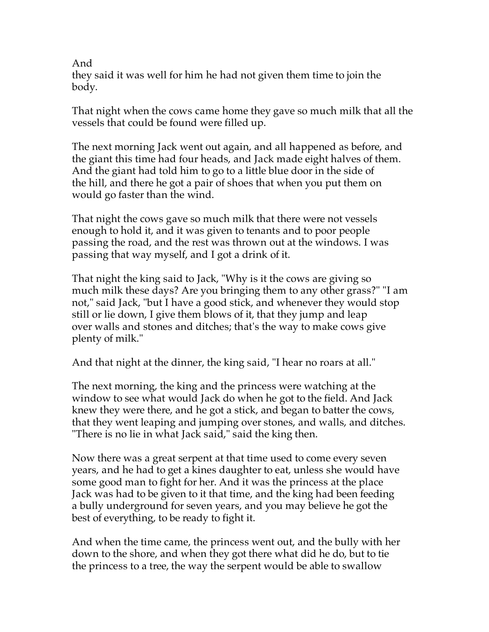And

they said it was well for him he had not given them time to join the body.

That night when the cows came home they gave so much milk that all the vessels that could be found were filled up.

The next morning Jack went out again, and all happened as before, and the giant this time had four heads, and Jack made eight halves of them. And the giant had told him to go to a little blue door in the side of the hill, and there he got a pair of shoes that when you put them on would go faster than the wind.

That night the cows gave so much milk that there were not vessels enough to hold it, and it was given to tenants and to poor people passing the road, and the rest was thrown out at the windows. I was passing that way myself, and I got a drink of it.

That night the king said to Jack, "Why is it the cows are giving so much milk these days? Are you bringing them to any other grass?" "I am not," said Jack, "but I have a good stick, and whenever they would stop still or lie down, I give them blows of it, that they jump and leap over walls and stones and ditches; that's the way to make cows give plenty of milk."

And that night at the dinner, the king said, "I hear no roars at all."

The next morning, the king and the princess were watching at the window to see what would Jack do when he got to the field. And Jack knew they were there, and he got a stick, and began to batter the cows, that they went leaping and jumping over stones, and walls, and ditches. "There is no lie in what Jack said," said the king then.

Now there was a great serpent at that time used to come every seven years, and he had to get a kines daughter to eat, unless she would have some good man to fight for her. And it was the princess at the place Jack was had to be given to it that time, and the king had been feeding a bully underground for seven years, and you may believe he got the best of everything, to be ready to fight it.

And when the time came, the princess went out, and the bully with her down to the shore, and when they got there what did he do, but to tie the princess to a tree, the way the serpent would be able to swallow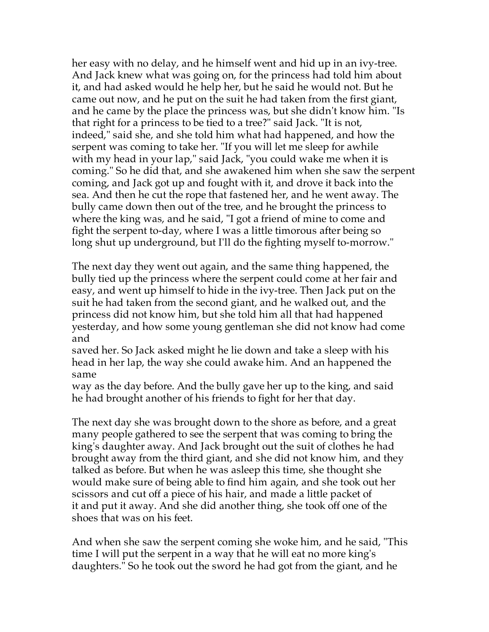her easy with no delay, and he himself went and hid up in an ivy-tree. And Jack knew what was going on, for the princess had told him about it, and had asked would he help her, but he said he would not. But he came out now, and he put on the suit he had taken from the first giant, and he came by the place the princess was, but she didn't know him. "Is that right for a princess to be tied to a tree?" said Jack. "It is not, indeed," said she, and she told him what had happened, and how the serpent was coming to take her. "If you will let me sleep for awhile with my head in your lap," said Jack, "you could wake me when it is coming." So he did that, and she awakened him when she saw the serpent coming, and Jack got up and fought with it, and drove it back into the sea. And then he cut the rope that fastened her, and he went away. The bully came down then out of the tree, and he brought the princess to where the king was, and he said, "I got a friend of mine to come and fight the serpent to-day, where I was a little timorous after being so long shut up underground, but I'll do the fighting myself to-morrow."

The next day they went out again, and the same thing happened, the bully tied up the princess where the serpent could come at her fair and easy, and went up himself to hide in the ivy-tree. Then Jack put on the suit he had taken from the second giant, and he walked out, and the princess did not know him, but she told him all that had happened yesterday, and how some young gentleman she did not know had come and

saved her. So Jack asked might he lie down and take a sleep with his head in her lap, the way she could awake him. And an happened the same

way as the day before. And the bully gave her up to the king, and said he had brought another of his friends to fight for her that day.

The next day she was brought down to the shore as before, and a great many people gathered to see the serpent that was coming to bring the king's daughter away. And Jack brought out the suit of clothes he had brought away from the third giant, and she did not know him, and they talked as before. But when he was asleep this time, she thought she would make sure of being able to find him again, and she took out her scissors and cut off a piece of his hair, and made a little packet of it and put it away. And she did another thing, she took off one of the shoes that was on his feet.

And when she saw the serpent coming she woke him, and he said, "This time I will put the serpent in a way that he will eat no more king's daughters." So he took out the sword he had got from the giant, and he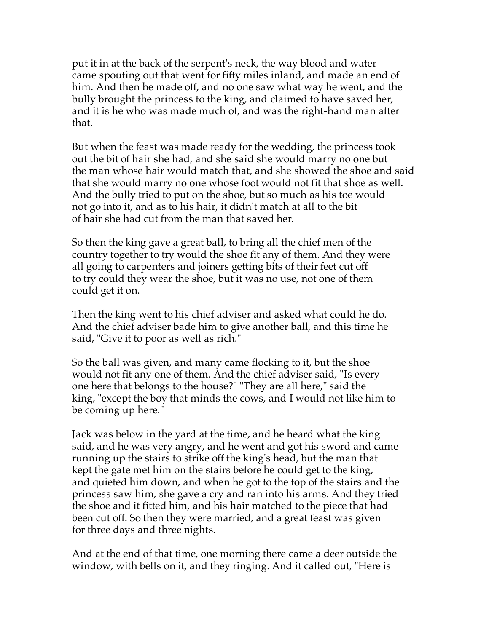put it in at the back of the serpent's neck, the way blood and water came spouting out that went for fifty miles inland, and made an end of him. And then he made off, and no one saw what way he went, and the bully brought the princess to the king, and claimed to have saved her, and it is he who was made much of, and was the right-hand man after that.

But when the feast was made ready for the wedding, the princess took out the bit of hair she had, and she said she would marry no one but the man whose hair would match that, and she showed the shoe and said that she would marry no one whose foot would not fit that shoe as well. And the bully tried to put on the shoe, but so much as his toe would not go into it, and as to his hair, it didn't match at all to the bit of hair she had cut from the man that saved her.

So then the king gave a great ball, to bring all the chief men of the country together to try would the shoe fit any of them. And they were all going to carpenters and joiners getting bits of their feet cut off to try could they wear the shoe, but it was no use, not one of them could get it on.

Then the king went to his chief adviser and asked what could he do. And the chief adviser bade him to give another ball, and this time he said, "Give it to poor as well as rich."

So the ball was given, and many came flocking to it, but the shoe would not fit any one of them. And the chief adviser said, "Is every one here that belongs to the house?" "They are all here," said the king, "except the boy that minds the cows, and I would not like him to be coming up here."

Jack was below in the yard at the time, and he heard what the king said, and he was very angry, and he went and got his sword and came running up the stairs to strike off the king's head, but the man that kept the gate met him on the stairs before he could get to the king, and quieted him down, and when he got to the top of the stairs and the princess saw him, she gave a cry and ran into his arms. And they tried the shoe and it fitted him, and his hair matched to the piece that had been cut off. So then they were married, and a great feast was given for three days and three nights.

And at the end of that time, one morning there came a deer outside the window, with bells on it, and they ringing. And it called out, "Here is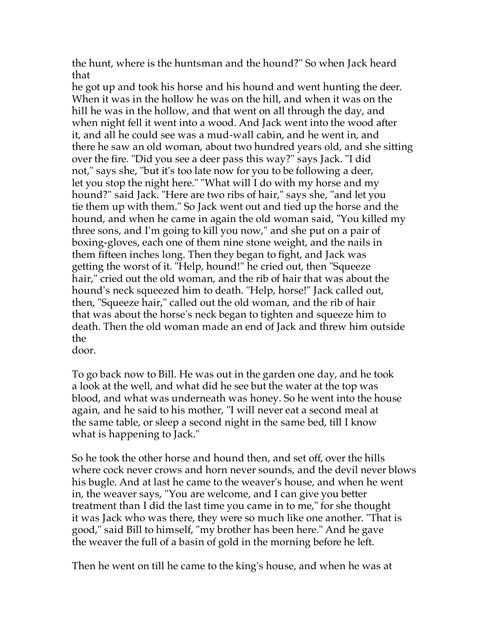the hunt, where is the huntsman and the hound?" So when Jack heard that

he got up and took his horse and his hound and went hunting the deer. When it was in the hollow he was on the hill, and when it was on the hill he was in the hollow, and that went on all through the day, and when night fell it went into a wood. And Jack went into the wood after it, and all he could see was a mud-wall cabin, and he went in, and there he saw an old woman, about two hundred years old, and she sitting over the fire. "Did you see a deer pass this way?" says Jack. "I did not," says she, "but it's too late now for you to be following a deer, let you stop the night here." "What will I do with my horse and my hound?" said Jack. "Here are two ribs of hair," says she, "and let you tie them up with them." So Jack went out and tied up the horse and the hound, and when he came in again the old woman said, "You killed my three sons, and I'm going to kill you now," and she put on a pair of boxing-gloves, each one of them nine stone weight, and the nails in them fifteen inches long. Then they began to fight, and Jack was getting the worst of it. "Help, hound!" he cried out, then "Squeeze hair," cried out the old woman, and the rib of hair that was about the hound's neck squeezed him to death. "Help, horse!" Jack called out, then, "Squeeze hair," called out the old woman, and the rib of hair that was about the horse's neck began to tighten and squeeze him to death. Then the old woman made an end of Jack and threw him outside the

door.

To go back now to Bill. He was out in the garden one day, and he took a look at the well, and what did he see but the water at the top was blood, and what was underneath was honey. So he went into the house again, and he said to his mother, "I will never eat a second meal at the same table, or sleep a second night in the same bed, till I know what is happening to Jack."

So he took the other horse and hound then, and set off, over the hills where cock never crows and horn never sounds, and the devil never blows his bugle. And at last he came to the weaver's house, and when he went in, the weaver says, "You are welcome, and I can give you better treatment than I did the last time you came in to me," for she thought it was Jack who was there, they were so much like one another. "That is good," said Bill to himself, "my brother has been here." And he gave the weaver the full of a basin of gold in the morning before he left.

Then he went on till he came to the king's house, and when he was at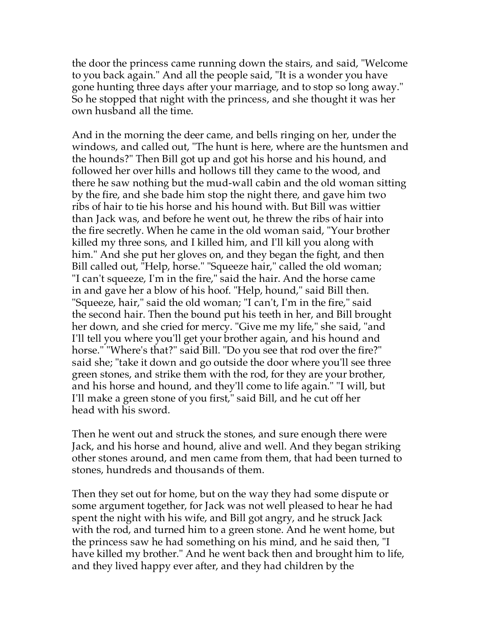the door the princess came running down the stairs, and said, "Welcome to you back again." And all the people said, "It is a wonder you have gone hunting three days after your marriage, and to stop so long away." So he stopped that night with the princess, and she thought it was her own husband all the time.

And in the morning the deer came, and bells ringing on her, under the windows, and called out, "The hunt is here, where are the huntsmen and the hounds?" Then Bill got up and got his horse and his hound, and followed her over hills and hollows till they came to the wood, and there he saw nothing but the mud-wall cabin and the old woman sitting by the fire, and she bade him stop the night there, and gave him two ribs of hair to tie his horse and his hound with. But Bill was wittier than Jack was, and before he went out, he threw the ribs of hair into the fire secretly. When he came in the old woman said, "Your brother killed my three sons, and I killed him, and I'll kill you along with him." And she put her gloves on, and they began the fight, and then Bill called out, "Help, horse." "Squeeze hair," called the old woman; "I can't squeeze, I'm in the fire," said the hair. And the horse came in and gave her a blow of his hoof. "Help, hound," said Bill then. "Squeeze, hair," said the old woman; "I can't, I'm in the fire," said the second hair. Then the bound put his teeth in her, and Bill brought her down, and she cried for mercy. "Give me my life," she said, "and I'll tell you where you'll get your brother again, and his hound and horse." "Where's that?" said Bill. "Do you see that rod over the fire?" said she; "take it down and go outside the door where you'll see three green stones, and strike them with the rod, for they are your brother, and his horse and hound, and they'll come to life again." "I will, but I'll make a green stone of you first," said Bill, and he cut off her head with his sword.

Then he went out and struck the stones, and sure enough there were Jack, and his horse and hound, alive and well. And they began striking other stones around, and men came from them, that had been turned to stones, hundreds and thousands of them.

Then they set out for home, but on the way they had some dispute or some argument together, for Jack was not well pleased to hear he had spent the night with his wife, and Bill got angry, and he struck Jack with the rod, and turned him to a green stone. And he went home, but the princess saw he had something on his mind, and he said then, "I have killed my brother." And he went back then and brought him to life, and they lived happy ever after, and they had children by the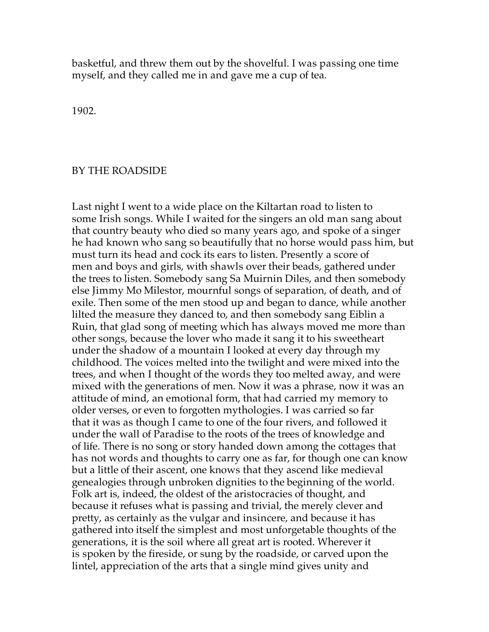basketful, and threw them out by the shovelful. I was passing one time myself, and they called me in and gave me a cup of tea.

1902.

## BY THE ROADSIDE

Last night I went to a wide place on the Kiltartan road to listen to some Irish songs. While I waited for the singers an old man sang about that country beauty who died so many years ago, and spoke of a singer he had known who sang so beautifully that no horse would pass him, but must turn its head and cock its ears to listen. Presently a score of men and boys and girls, with shawls over their beads, gathered under the trees to listen. Somebody sang Sa Muirnin Diles, and then somebody else Jimmy Mo Milestor, mournful songs of separation, of death, and of exile. Then some of the men stood up and began to dance, while another lilted the measure they danced to, and then somebody sang Eiblin a Ruin, that glad song of meeting which has always moved me more than other songs, because the lover who made it sang it to his sweetheart under the shadow of a mountain I looked at every day through my childhood. The voices melted into the twilight and were mixed into the trees, and when I thought of the words they too melted away, and were mixed with the generations of men. Now it was a phrase, now it was an attitude of mind, an emotional form, that had carried my memory to older verses, or even to forgotten mythologies. I was carried so far that it was as though I came to one of the four rivers, and followed it under the wall of Paradise to the roots of the trees of knowledge and of life. There is no song or story handed down among the cottages that has not words and thoughts to carry one as far, for though one can know but a little of their ascent, one knows that they ascend like medieval genealogies through unbroken dignities to the beginning of the world. Folk art is, indeed, the oldest of the aristocracies of thought, and because it refuses what is passing and trivial, the merely clever and pretty, as certainly as the vulgar and insincere, and because it has gathered into itself the simplest and most unforgetable thoughts of the generations, it is the soil where all great art is rooted. Wherever it is spoken by the fireside, or sung by the roadside, or carved upon the lintel, appreciation of the arts that a single mind gives unity and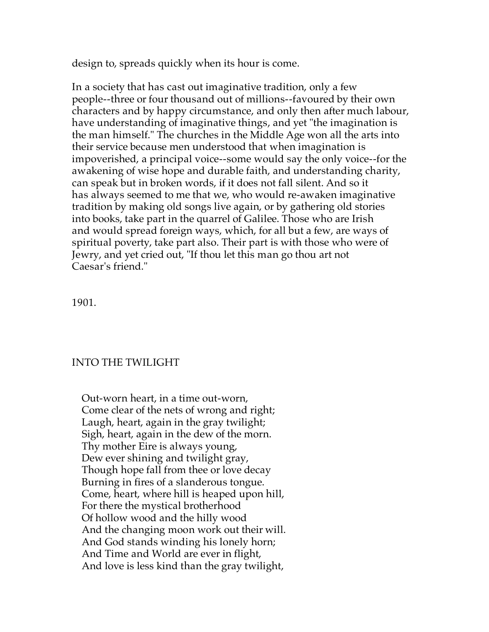design to, spreads quickly when its hour is come.

In a society that has cast out imaginative tradition, only a few people--three or four thousand out of millions--favoured by their own characters and by happy circumstance, and only then after much labour, have understanding of imaginative things, and yet "the imagination is the man himself." The churches in the Middle Age won all the arts into their service because men understood that when imagination is impoverished, a principal voice--some would say the only voice--for the awakening of wise hope and durable faith, and understanding charity, can speak but in broken words, if it does not fall silent. And so it has always seemed to me that we, who would re-awaken imaginative tradition by making old songs live again, or by gathering old stories into books, take part in the quarrel of Galilee. Those who are Irish and would spread foreign ways, which, for all but a few, are ways of spiritual poverty, take part also. Their part is with those who were of Jewry, and yet cried out, "If thou let this man go thou art not Caesar's friend."

1901.

## INTO THE TWILIGHT

 Out-worn heart, in a time out-worn, Come clear of the nets of wrong and right; Laugh, heart, again in the gray twilight; Sigh, heart, again in the dew of the morn. Thy mother Eire is always young, Dew ever shining and twilight gray, Though hope fall from thee or love decay Burning in fires of a slanderous tongue. Come, heart, where hill is heaped upon hill, For there the mystical brotherhood Of hollow wood and the hilly wood And the changing moon work out their will. And God stands winding his lonely horn; And Time and World are ever in flight, And love is less kind than the gray twilight,